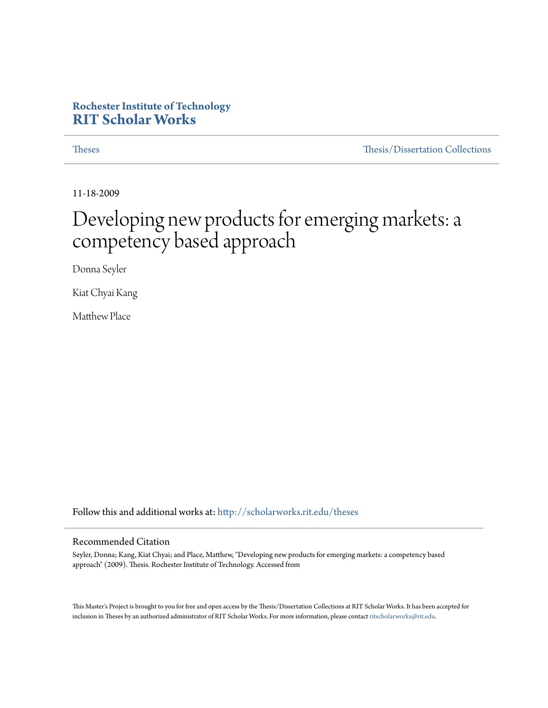#### **Rochester Institute of Technology [RIT Scholar Works](http://scholarworks.rit.edu?utm_source=scholarworks.rit.edu%2Ftheses%2F6545&utm_medium=PDF&utm_campaign=PDFCoverPages)**

[Theses](http://scholarworks.rit.edu/theses?utm_source=scholarworks.rit.edu%2Ftheses%2F6545&utm_medium=PDF&utm_campaign=PDFCoverPages) [Thesis/Dissertation Collections](http://scholarworks.rit.edu/etd_collections?utm_source=scholarworks.rit.edu%2Ftheses%2F6545&utm_medium=PDF&utm_campaign=PDFCoverPages)

11-18-2009

## Developing new products for emerging markets: a competency based approach

Donna Seyler

Kiat Chyai Kang

Matthew Place

Follow this and additional works at: [http://scholarworks.rit.edu/theses](http://scholarworks.rit.edu/theses?utm_source=scholarworks.rit.edu%2Ftheses%2F6545&utm_medium=PDF&utm_campaign=PDFCoverPages)

#### Recommended Citation

Seyler, Donna; Kang, Kiat Chyai; and Place, Matthew, "Developing new products for emerging markets: a competency based approach" (2009). Thesis. Rochester Institute of Technology. Accessed from

This Master's Project is brought to you for free and open access by the Thesis/Dissertation Collections at RIT Scholar Works. It has been accepted for inclusion in Theses by an authorized administrator of RIT Scholar Works. For more information, please contact [ritscholarworks@rit.edu](mailto:ritscholarworks@rit.edu).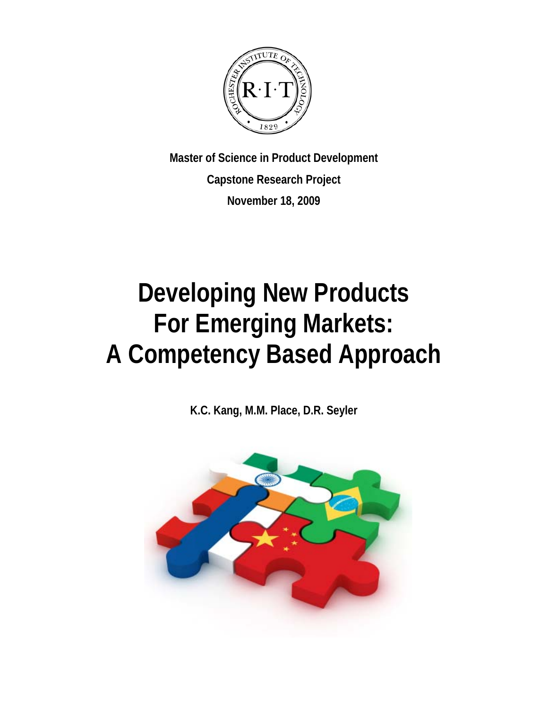

**Master of Science in Product Development Capstone Research Project November 18, 2009** 

# **Developing New Products For Emerging Markets: A Competency Based Approach**

**K.C. Kang, M.M. Place, D.R. Seyler**

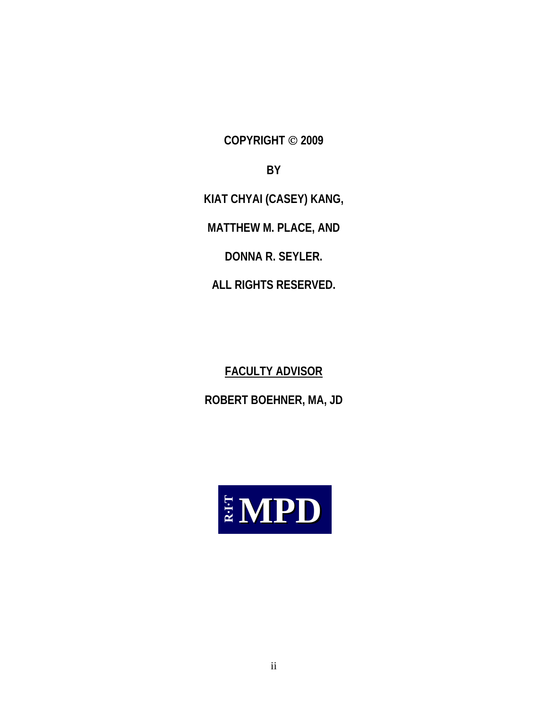**COPYRIGHT** © **2009** 

**BY** 

**KIAT CHYAI (CASEY) KANG,** 

**MATTHEW M. PLACE, AND** 

**DONNA R. SEYLER.** 

**ALL RIGHTS RESERVED.** 

**FACULTY ADVISOR ROBERT BOEHNER, MA, JD** 

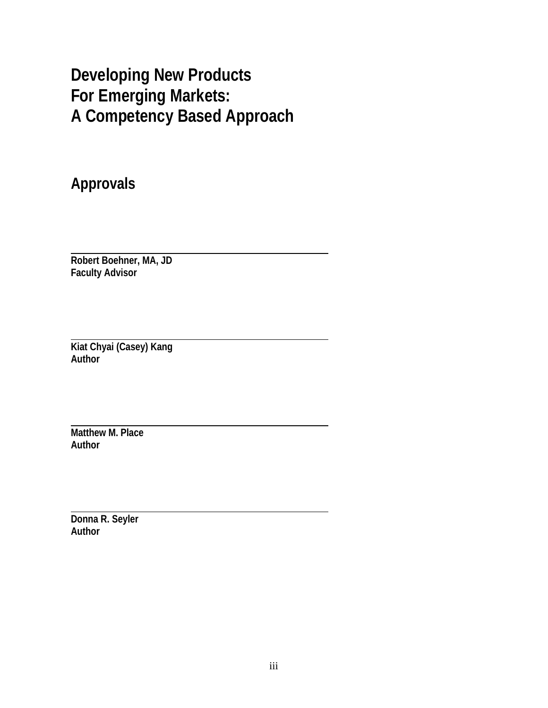### **Developing New Products For Emerging Markets: A Competency Based Approach**

**Approvals** 

 **Robert Boehner, MA, JD Faculty Advisor** 

 **Kiat Chyai (Casey) Kang Author** 

**Matthew M. Place Author** 

**Donna R. Seyler Author**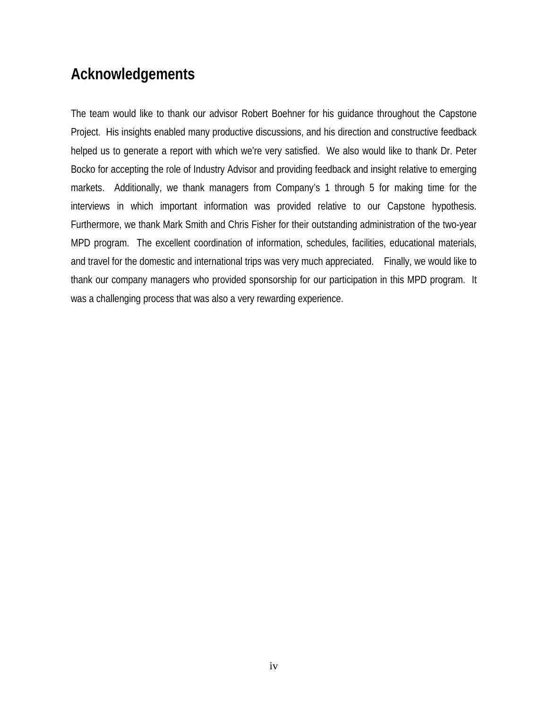### **Acknowledgements**

The team would like to thank our advisor Robert Boehner for his guidance throughout the Capstone Project. His insights enabled many productive discussions, and his direction and constructive feedback helped us to generate a report with which we're very satisfied. We also would like to thank Dr. Peter Bocko for accepting the role of Industry Advisor and providing feedback and insight relative to emerging markets. Additionally, we thank managers from Company's 1 through 5 for making time for the interviews in which important information was provided relative to our Capstone hypothesis. Furthermore, we thank Mark Smith and Chris Fisher for their outstanding administration of the two-year MPD program. The excellent coordination of information, schedules, facilities, educational materials, and travel for the domestic and international trips was very much appreciated. Finally, we would like to thank our company managers who provided sponsorship for our participation in this MPD program. It was a challenging process that was also a very rewarding experience.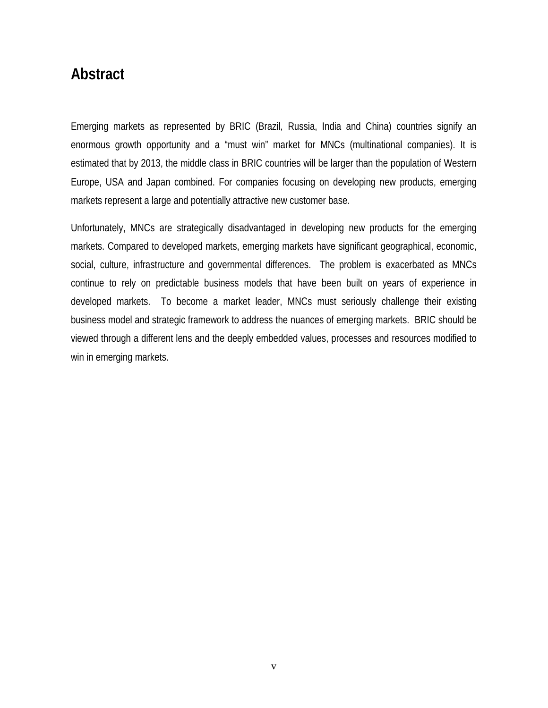### **Abstract**

Emerging markets as represented by BRIC (Brazil, Russia, India and China) countries signify an enormous growth opportunity and a "must win" market for MNCs (multinational companies). It is estimated that by 2013, the middle class in BRIC countries will be larger than the population of Western Europe, USA and Japan combined. For companies focusing on developing new products, emerging markets represent a large and potentially attractive new customer base.

Unfortunately, MNCs are strategically disadvantaged in developing new products for the emerging markets. Compared to developed markets, emerging markets have significant geographical, economic, social, culture, infrastructure and governmental differences. The problem is exacerbated as MNCs continue to rely on predictable business models that have been built on years of experience in developed markets. To become a market leader, MNCs must seriously challenge their existing business model and strategic framework to address the nuances of emerging markets. BRIC should be viewed through a different lens and the deeply embedded values, processes and resources modified to win in emerging markets.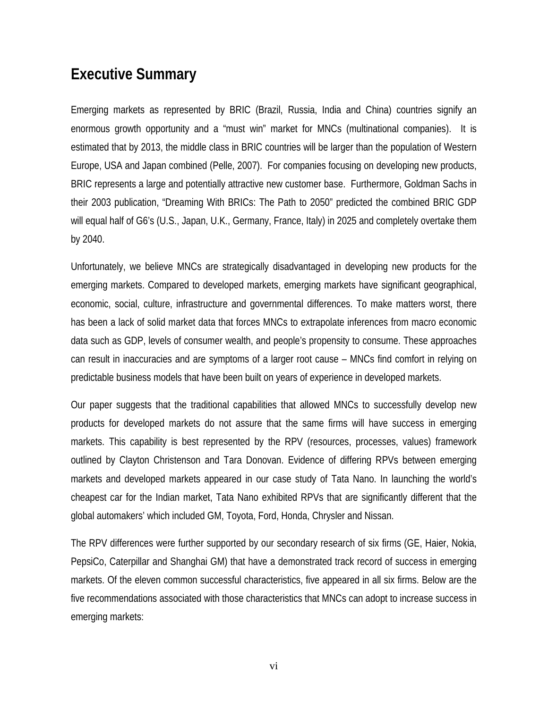### **Executive Summary**

Emerging markets as represented by BRIC (Brazil, Russia, India and China) countries signify an enormous growth opportunity and a "must win" market for MNCs (multinational companies). It is estimated that by 2013, the middle class in BRIC countries will be larger than the population of Western Europe, USA and Japan combined (Pelle, 2007). For companies focusing on developing new products, BRIC represents a large and potentially attractive new customer base. Furthermore, Goldman Sachs in their 2003 publication, "Dreaming With BRICs: The Path to 2050" predicted the combined BRIC GDP will equal half of G6's (U.S., Japan, U.K., Germany, France, Italy) in 2025 and completely overtake them by 2040.

Unfortunately, we believe MNCs are strategically disadvantaged in developing new products for the emerging markets. Compared to developed markets, emerging markets have significant geographical, economic, social, culture, infrastructure and governmental differences. To make matters worst, there has been a lack of solid market data that forces MNCs to extrapolate inferences from macro economic data such as GDP, levels of consumer wealth, and people's propensity to consume. These approaches can result in inaccuracies and are symptoms of a larger root cause – MNCs find comfort in relying on predictable business models that have been built on years of experience in developed markets.

Our paper suggests that the traditional capabilities that allowed MNCs to successfully develop new products for developed markets do not assure that the same firms will have success in emerging markets. This capability is best represented by the RPV (resources, processes, values) framework outlined by Clayton Christenson and Tara Donovan. Evidence of differing RPVs between emerging markets and developed markets appeared in our case study of Tata Nano. In launching the world's cheapest car for the Indian market, Tata Nano exhibited RPVs that are significantly different that the global automakers' which included GM, Toyota, Ford, Honda, Chrysler and Nissan.

The RPV differences were further supported by our secondary research of six firms (GE, Haier, Nokia, PepsiCo, Caterpillar and Shanghai GM) that have a demonstrated track record of success in emerging markets. Of the eleven common successful characteristics, five appeared in all six firms. Below are the five recommendations associated with those characteristics that MNCs can adopt to increase success in emerging markets: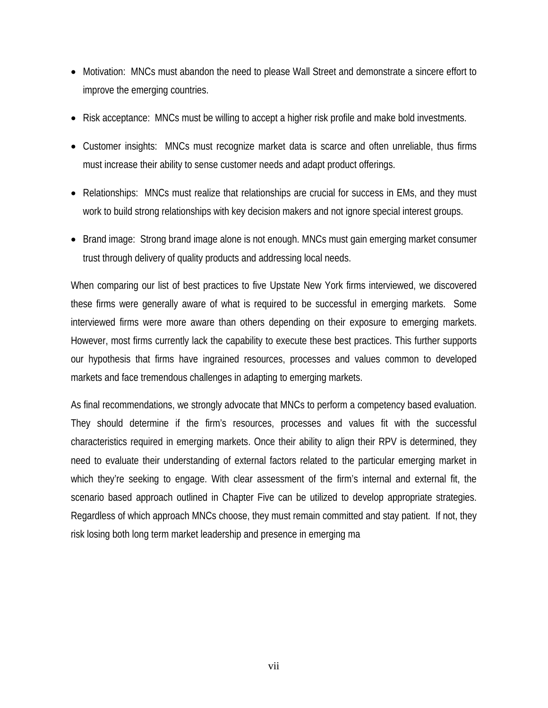- Motivation: MNCs must abandon the need to please Wall Street and demonstrate a sincere effort to improve the emerging countries.
- Risk acceptance: MNCs must be willing to accept a higher risk profile and make bold investments.
- Customer insights: MNCs must recognize market data is scarce and often unreliable, thus firms must increase their ability to sense customer needs and adapt product offerings.
- Relationships: MNCs must realize that relationships are crucial for success in EMs, and they must work to build strong relationships with key decision makers and not ignore special interest groups.
- Brand image: Strong brand image alone is not enough. MNCs must gain emerging market consumer trust through delivery of quality products and addressing local needs.

When comparing our list of best practices to five Upstate New York firms interviewed, we discovered these firms were generally aware of what is required to be successful in emerging markets. Some interviewed firms were more aware than others depending on their exposure to emerging markets. However, most firms currently lack the capability to execute these best practices. This further supports our hypothesis that firms have ingrained resources, processes and values common to developed markets and face tremendous challenges in adapting to emerging markets.

As final recommendations, we strongly advocate that MNCs to perform a competency based evaluation. They should determine if the firm's resources, processes and values fit with the successful characteristics required in emerging markets. Once their ability to align their RPV is determined, they need to evaluate their understanding of external factors related to the particular emerging market in which they're seeking to engage. With clear assessment of the firm's internal and external fit, the scenario based approach outlined in Chapter Five can be utilized to develop appropriate strategies. Regardless of which approach MNCs choose, they must remain committed and stay patient. If not, they risk losing both long term market leadership and presence in emerging ma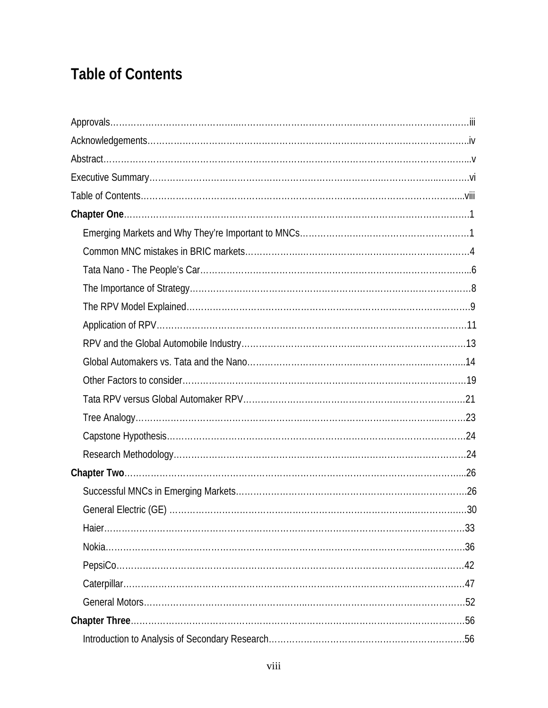### **Table of Contents**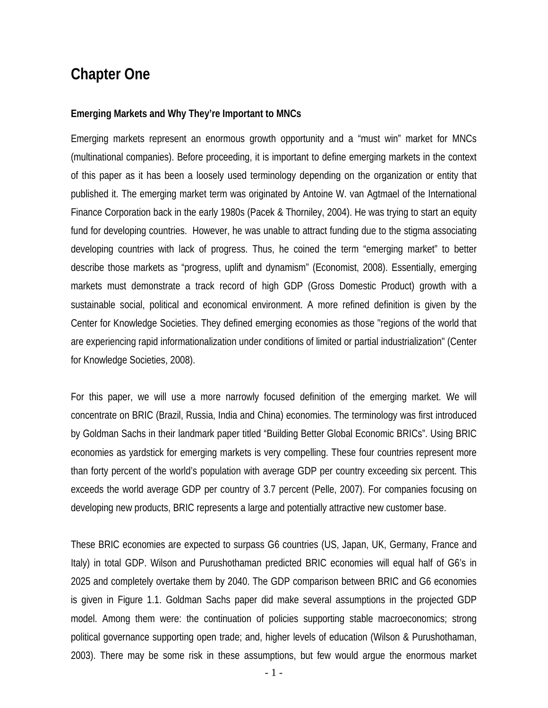### **Chapter One**

#### **Emerging Markets and Why They're Important to MNCs**

Emerging markets represent an enormous growth opportunity and a "must win" market for MNCs (multinational companies). Before proceeding, it is important to define emerging markets in the context of this paper as it has been a loosely used terminology depending on the organization or entity that published it. The emerging market term was originated by Antoine W. van Agtmael of the International Finance Corporation back in the early 1980s (Pacek & Thorniley, 2004). He was trying to start an equity fund for developing countries. However, he was unable to attract funding due to the stigma associating developing countries with lack of progress. Thus, he coined the term "emerging market" to better describe those markets as "progress, uplift and dynamism" (Economist, 2008). Essentially, emerging markets must demonstrate a track record of high GDP (Gross Domestic Product) growth with a sustainable social, political and economical environment. A more refined definition is given by the Center for Knowledge Societies. They defined emerging economies as those "regions of the world that are experiencing rapid informationalization under conditions of limited or partial industrialization" (Center for Knowledge Societies, 2008).

For this paper, we will use a more narrowly focused definition of the emerging market. We will concentrate on BRIC (Brazil, Russia, India and China) economies. The terminology was first introduced by Goldman Sachs in their landmark paper titled "Building Better Global Economic BRICs". Using BRIC economies as yardstick for emerging markets is very compelling. These four countries represent more than forty percent of the world's population with average GDP per country exceeding six percent. This exceeds the world average GDP per country of 3.7 percent (Pelle, 2007). For companies focusing on developing new products, BRIC represents a large and potentially attractive new customer base.

These BRIC economies are expected to surpass G6 countries (US, Japan, UK, Germany, France and Italy) in total GDP. Wilson and Purushothaman predicted BRIC economies will equal half of G6's in 2025 and completely overtake them by 2040. The GDP comparison between BRIC and G6 economies is given in Figure 1.1. Goldman Sachs paper did make several assumptions in the projected GDP model. Among them were: the continuation of policies supporting stable macroeconomics; strong political governance supporting open trade; and, higher levels of education (Wilson & Purushothaman, 2003). There may be some risk in these assumptions, but few would argue the enormous market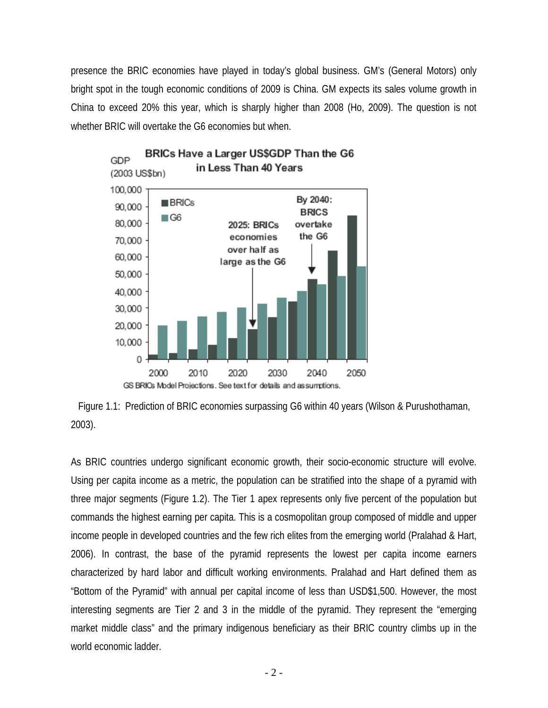presence the BRIC economies have played in today's global business. GM's (General Motors) only bright spot in the tough economic conditions of 2009 is China. GM expects its sales volume growth in China to exceed 20% this year, which is sharply higher than 2008 (Ho, 2009). The question is not whether BRIC will overtake the G6 economies but when.





As BRIC countries undergo significant economic growth, their socio-economic structure will evolve. Using per capita income as a metric, the population can be stratified into the shape of a pyramid with three major segments (Figure 1.2). The Tier 1 apex represents only five percent of the population but commands the highest earning per capita. This is a cosmopolitan group composed of middle and upper income people in developed countries and the few rich elites from the emerging world (Pralahad & Hart, 2006). In contrast, the base of the pyramid represents the lowest per capita income earners characterized by hard labor and difficult working environments. Pralahad and Hart defined them as "Bottom of the Pyramid" with annual per capital income of less than USD\$1,500. However, the most interesting segments are Tier 2 and 3 in the middle of the pyramid. They represent the "emerging market middle class" and the primary indigenous beneficiary as their BRIC country climbs up in the world economic ladder.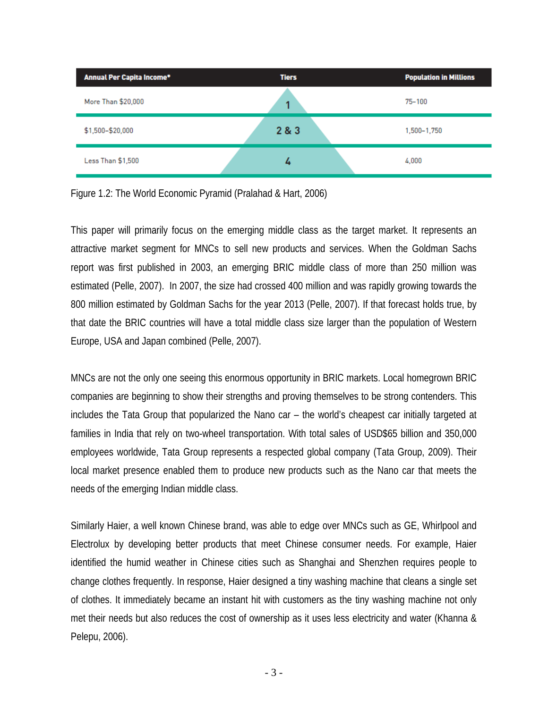

Figure 1.2: The World Economic Pyramid (Pralahad & Hart, 2006)

This paper will primarily focus on the emerging middle class as the target market. It represents an attractive market segment for MNCs to sell new products and services. When the Goldman Sachs report was first published in 2003, an emerging BRIC middle class of more than 250 million was estimated (Pelle, 2007). In 2007, the size had crossed 400 million and was rapidly growing towards the 800 million estimated by Goldman Sachs for the year 2013 (Pelle, 2007). If that forecast holds true, by that date the BRIC countries will have a total middle class size larger than the population of Western Europe, USA and Japan combined (Pelle, 2007).

MNCs are not the only one seeing this enormous opportunity in BRIC markets. Local homegrown BRIC companies are beginning to show their strengths and proving themselves to be strong contenders. This includes the Tata Group that popularized the Nano car – the world's cheapest car initially targeted at families in India that rely on two-wheel transportation. With total sales of USD\$65 billion and 350,000 employees worldwide, Tata Group represents a respected global company (Tata Group, 2009). Their local market presence enabled them to produce new products such as the Nano car that meets the needs of the emerging Indian middle class.

Similarly Haier, a well known Chinese brand, was able to edge over MNCs such as GE, Whirlpool and Electrolux by developing better products that meet Chinese consumer needs. For example, Haier identified the humid weather in Chinese cities such as Shanghai and Shenzhen requires people to change clothes frequently. In response, Haier designed a tiny washing machine that cleans a single set of clothes. It immediately became an instant hit with customers as the tiny washing machine not only met their needs but also reduces the cost of ownership as it uses less electricity and water (Khanna & Pelepu, 2006).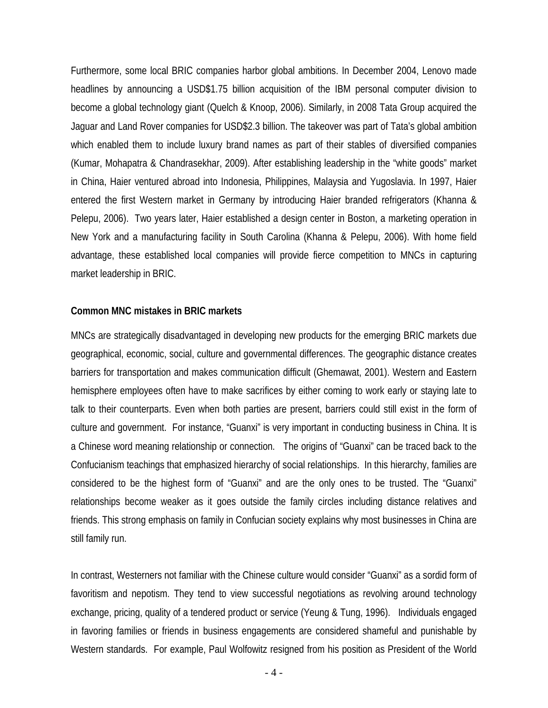Furthermore, some local BRIC companies harbor global ambitions. In December 2004, Lenovo made headlines by announcing a USD\$1.75 billion acquisition of the IBM personal computer division to become a global technology giant (Quelch & Knoop, 2006). Similarly, in 2008 Tata Group acquired the Jaguar and Land Rover companies for USD\$2.3 billion. The takeover was part of Tata's global ambition which enabled them to include luxury brand names as part of their stables of diversified companies (Kumar, Mohapatra & Chandrasekhar, 2009). After establishing leadership in the "white goods" market in China, Haier ventured abroad into Indonesia, Philippines, Malaysia and Yugoslavia. In 1997, Haier entered the first Western market in Germany by introducing Haier branded refrigerators (Khanna & Pelepu, 2006). Two years later, Haier established a design center in Boston, a marketing operation in New York and a manufacturing facility in South Carolina (Khanna & Pelepu, 2006). With home field advantage, these established local companies will provide fierce competition to MNCs in capturing market leadership in BRIC.

#### **Common MNC mistakes in BRIC markets**

MNCs are strategically disadvantaged in developing new products for the emerging BRIC markets due geographical, economic, social, culture and governmental differences. The geographic distance creates barriers for transportation and makes communication difficult (Ghemawat, 2001). Western and Eastern hemisphere employees often have to make sacrifices by either coming to work early or staying late to talk to their counterparts. Even when both parties are present, barriers could still exist in the form of culture and government. For instance, "Guanxi" is very important in conducting business in China. It is a Chinese word meaning relationship or connection. The origins of "Guanxi" can be traced back to the Confucianism teachings that emphasized hierarchy of social relationships. In this hierarchy, families are considered to be the highest form of "Guanxi" and are the only ones to be trusted. The "Guanxi" relationships become weaker as it goes outside the family circles including distance relatives and friends. This strong emphasis on family in Confucian society explains why most businesses in China are still family run.

In contrast, Westerners not familiar with the Chinese culture would consider "Guanxi" as a sordid form of favoritism and nepotism. They tend to view successful negotiations as revolving around technology exchange, pricing, quality of a tendered product or service (Yeung & Tung, 1996). Individuals engaged in favoring families or friends in business engagements are considered shameful and punishable by Western standards. For example, Paul Wolfowitz resigned from his position as President of the World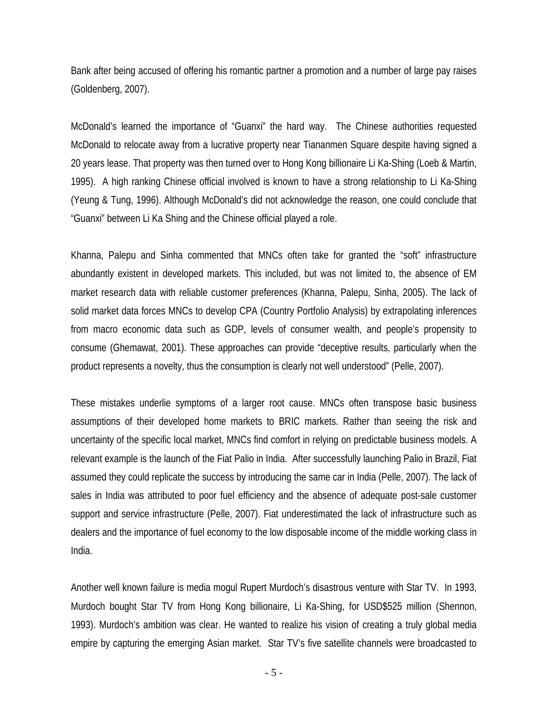Bank after being accused of offering his romantic partner a promotion and a number of large pay raises (Goldenberg, 2007).

McDonald's learned the importance of "Guanxi" the hard way. The Chinese authorities requested McDonald to relocate away from a lucrative property near Tiananmen Square despite having signed a 20 years lease. That property was then turned over to Hong Kong billionaire Li Ka-Shing (Loeb & Martin, 1995). A high ranking Chinese official involved is known to have a strong relationship to Li Ka-Shing (Yeung & Tung, 1996). Although McDonald's did not acknowledge the reason, one could conclude that "Guanxi" between Li Ka Shing and the Chinese official played a role.

Khanna, Palepu and Sinha commented that MNCs often take for granted the "soft" infrastructure abundantly existent in developed markets. This included, but was not limited to, the absence of EM market research data with reliable customer preferences (Khanna, Palepu, Sinha, 2005). The lack of solid market data forces MNCs to develop CPA (Country Portfolio Analysis) by extrapolating inferences from macro economic data such as GDP, levels of consumer wealth, and people's propensity to consume (Ghemawat, 2001). These approaches can provide "deceptive results, particularly when the product represents a novelty, thus the consumption is clearly not well understood" (Pelle, 2007).

These mistakes underlie symptoms of a larger root cause. MNCs often transpose basic business assumptions of their developed home markets to BRIC markets. Rather than seeing the risk and uncertainty of the specific local market, MNCs find comfort in relying on predictable business models. A relevant example is the launch of the Fiat Palio in India. After successfully launching Palio in Brazil, Fiat assumed they could replicate the success by introducing the same car in India (Pelle, 2007). The lack of sales in India was attributed to poor fuel efficiency and the absence of adequate post-sale customer support and service infrastructure (Pelle, 2007). Fiat underestimated the lack of infrastructure such as dealers and the importance of fuel economy to the low disposable income of the middle working class in India.

Another well known failure is media mogul Rupert Murdoch's disastrous venture with Star TV. In 1993, Murdoch bought Star TV from Hong Kong billionaire, Li Ka-Shing, for USD\$525 million (Shennon, 1993). Murdoch's ambition was clear. He wanted to realize his vision of creating a truly global media empire by capturing the emerging Asian market. Star TV's five satellite channels were broadcasted to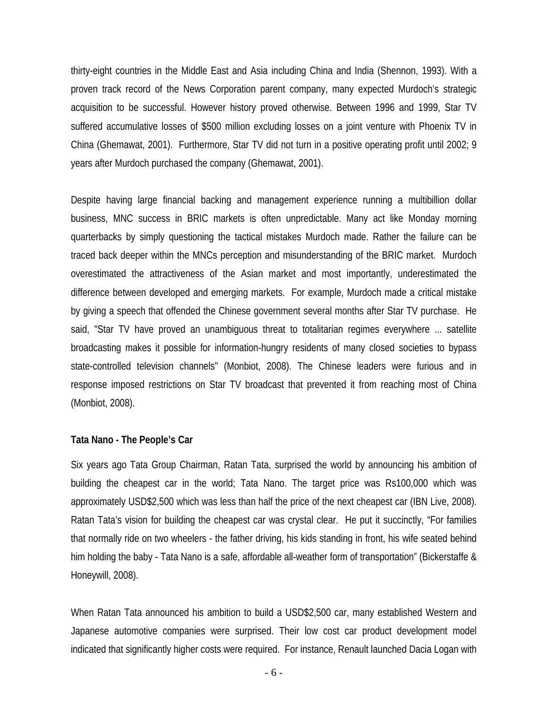thirty-eight countries in the Middle East and Asia including China and India (Shennon, 1993). With a proven track record of the News Corporation parent company, many expected Murdoch's strategic acquisition to be successful. However history proved otherwise. Between 1996 and 1999, Star TV suffered accumulative losses of \$500 million excluding losses on a joint venture with Phoenix TV in China (Ghemawat, 2001). Furthermore, Star TV did not turn in a positive operating profit until 2002; 9 years after Murdoch purchased the company (Ghemawat, 2001).

Despite having large financial backing and management experience running a multibillion dollar business, MNC success in BRIC markets is often unpredictable. Many act like Monday morning quarterbacks by simply questioning the tactical mistakes Murdoch made. Rather the failure can be traced back deeper within the MNCs perception and misunderstanding of the BRIC market. Murdoch overestimated the attractiveness of the Asian market and most importantly, underestimated the difference between developed and emerging markets. For example, Murdoch made a critical mistake by giving a speech that offended the Chinese government several months after Star TV purchase. He said, "Star TV have proved an unambiguous threat to totalitarian regimes everywhere ... satellite broadcasting makes it possible for information-hungry residents of many closed societies to bypass state-controlled television channels" (Monbiot, 2008). The Chinese leaders were furious and in response imposed restrictions on Star TV broadcast that prevented it from reaching most of China (Monbiot, 2008).

#### **Tata Nano - The People's Car**

Six years ago Tata Group Chairman, Ratan Tata, surprised the world by announcing his ambition of building the cheapest car in the world; Tata Nano. The target price was Rs100,000 which was approximately USD\$2,500 which was less than half the price of the next cheapest car (IBN Live, 2008). Ratan Tata's vision for building the cheapest car was crystal clear. He put it succinctly, "For families that normally ride on two wheelers - the father driving, his kids standing in front, his wife seated behind him holding the baby - Tata Nano is a safe, affordable all-weather form of transportation" (Bickerstaffe & Honeywill, 2008).

When Ratan Tata announced his ambition to build a USD\$2,500 car, many established Western and Japanese automotive companies were surprised. Their low cost car product development model indicated that significantly higher costs were required. For instance, Renault launched Dacia Logan with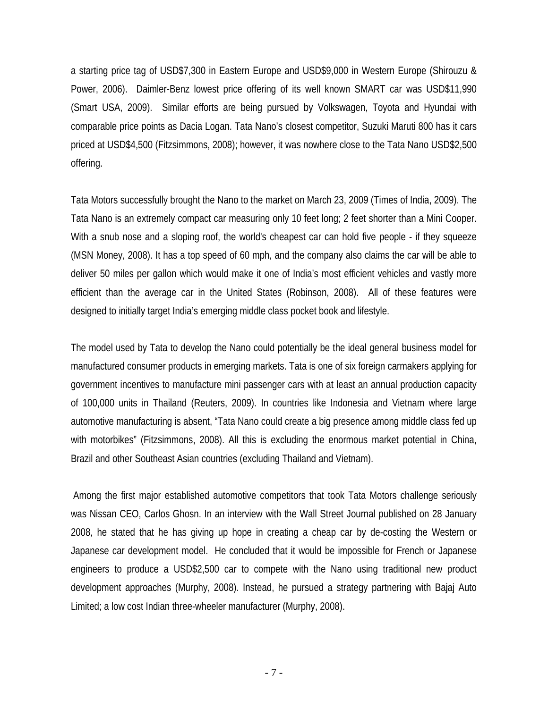a starting price tag of USD\$7,300 in Eastern Europe and USD\$9,000 in Western Europe (Shirouzu & Power, 2006). Daimler-Benz lowest price offering of its well known SMART car was USD\$11,990 (Smart USA, 2009). Similar efforts are being pursued by Volkswagen, Toyota and Hyundai with comparable price points as Dacia Logan. Tata Nano's closest competitor, Suzuki Maruti 800 has it cars priced at USD\$4,500 (Fitzsimmons, 2008); however, it was nowhere close to the Tata Nano USD\$2,500 offering.

Tata Motors successfully brought the Nano to the market on March 23, 2009 (Times of India, 2009). The Tata Nano is an extremely compact car measuring only 10 feet long; 2 feet shorter than a Mini Cooper. With a snub nose and a sloping roof, the world's cheapest car can hold five people - if they squeeze (MSN Money, 2008). It has a top speed of 60 mph, and the company also claims the car will be able to deliver 50 miles per gallon which would make it one of India's most efficient vehicles and vastly more efficient than the average car in the United States (Robinson, 2008). All of these features were designed to initially target India's emerging middle class pocket book and lifestyle.

The model used by Tata to develop the Nano could potentially be the ideal general business model for manufactured consumer products in emerging markets. Tata is one of six foreign carmakers applying for government incentives to manufacture mini passenger cars with at least an annual production capacity of 100,000 units in Thailand (Reuters, 2009). In countries like Indonesia and Vietnam where large automotive manufacturing is absent, "Tata Nano could create a big presence among middle class fed up with motorbikes" (Fitzsimmons, 2008). All this is excluding the enormous market potential in China, Brazil and other Southeast Asian countries (excluding Thailand and Vietnam).

 Among the first major established automotive competitors that took Tata Motors challenge seriously was Nissan CEO, Carlos Ghosn. In an interview with the Wall Street Journal published on 28 January 2008, he stated that he has giving up hope in creating a cheap car by de-costing the Western or Japanese car development model. He concluded that it would be impossible for French or Japanese engineers to produce a USD\$2,500 car to compete with the Nano using traditional new product development approaches (Murphy, 2008). Instead, he pursued a strategy partnering with Bajaj Auto Limited; a low cost Indian three-wheeler manufacturer (Murphy, 2008).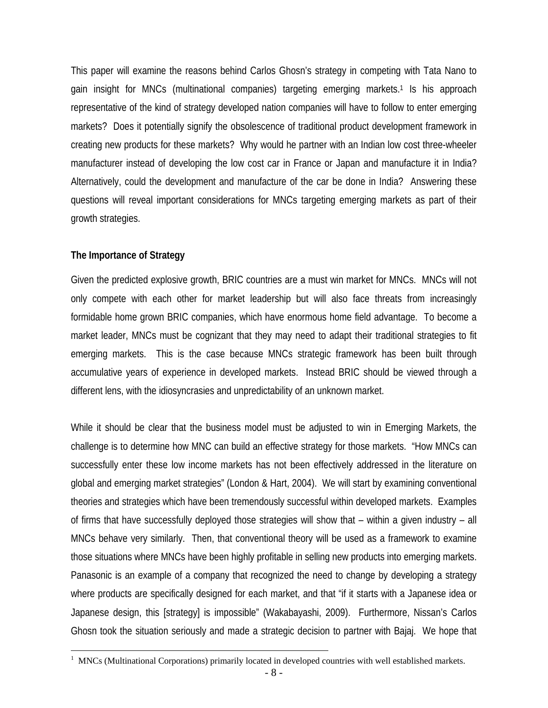This paper will examine the reasons behind Carlos Ghosn's strategy in competing with Tata Nano to gain insight for MNCs (multinational companies) targeting emerging markets.1 Is his approach representative of the kind of strategy developed nation companies will have to follow to enter emerging markets? Does it potentially signify the obsolescence of traditional product development framework in creating new products for these markets? Why would he partner with an Indian low cost three-wheeler manufacturer instead of developing the low cost car in France or Japan and manufacture it in India? Alternatively, could the development and manufacture of the car be done in India? Answering these questions will reveal important considerations for MNCs targeting emerging markets as part of their growth strategies.

#### **The Importance of Strategy**

Given the predicted explosive growth, BRIC countries are a must win market for MNCs. MNCs will not only compete with each other for market leadership but will also face threats from increasingly formidable home grown BRIC companies, which have enormous home field advantage. To become a market leader, MNCs must be cognizant that they may need to adapt their traditional strategies to fit emerging markets. This is the case because MNCs strategic framework has been built through accumulative years of experience in developed markets. Instead BRIC should be viewed through a different lens, with the idiosyncrasies and unpredictability of an unknown market.

While it should be clear that the business model must be adjusted to win in Emerging Markets, the challenge is to determine how MNC can build an effective strategy for those markets. "How MNCs can successfully enter these low income markets has not been effectively addressed in the literature on global and emerging market strategies" (London & Hart, 2004). We will start by examining conventional theories and strategies which have been tremendously successful within developed markets. Examples of firms that have successfully deployed those strategies will show that – within a given industry – all MNCs behave very similarly. Then, that conventional theory will be used as a framework to examine those situations where MNCs have been highly profitable in selling new products into emerging markets. Panasonic is an example of a company that recognized the need to change by developing a strategy where products are specifically designed for each market, and that "if it starts with a Japanese idea or Japanese design, this [strategy] is impossible" (Wakabayashi, 2009). Furthermore, Nissan's Carlos Ghosn took the situation seriously and made a strategic decision to partner with Bajaj. We hope that

 $\frac{1}{1}$  $1$  MNCs (Multinational Corporations) primarily located in developed countries with well established markets.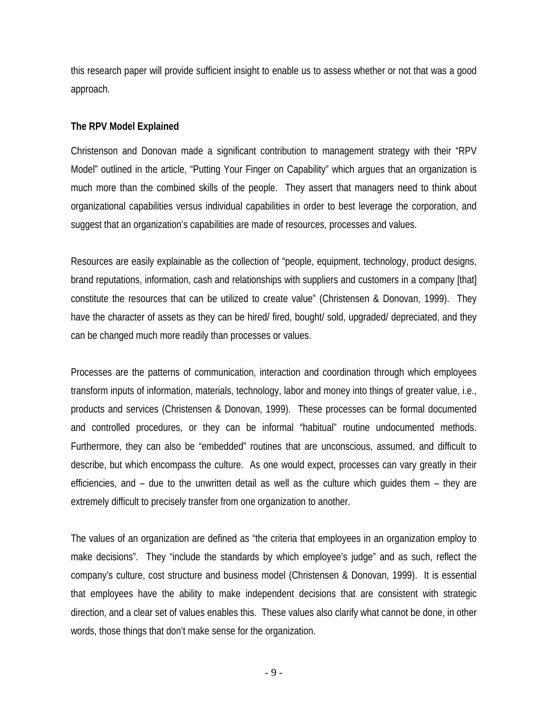this research paper will provide sufficient insight to enable us to assess whether or not that was a good approach.

#### **The RPV Model Explained**

Christenson and Donovan made a significant contribution to management strategy with their "RPV Model" outlined in the article, "Putting Your Finger on Capability" which argues that an organization is much more than the combined skills of the people. They assert that managers need to think about organizational capabilities versus individual capabilities in order to best leverage the corporation, and suggest that an organization's capabilities are made of resources, processes and values.

Resources are easily explainable as the collection of "people, equipment, technology, product designs, brand reputations, information, cash and relationships with suppliers and customers in a company [that] constitute the resources that can be utilized to create value" (Christensen & Donovan, 1999). They have the character of assets as they can be hired/ fired, bought/ sold, upgraded/ depreciated, and they can be changed much more readily than processes or values.

Processes are the patterns of communication, interaction and coordination through which employees transform inputs of information, materials, technology, labor and money into things of greater value, i.e., products and services (Christensen & Donovan, 1999). These processes can be formal documented and controlled procedures, or they can be informal "habitual" routine undocumented methods. Furthermore, they can also be "embedded" routines that are unconscious, assumed, and difficult to describe, but which encompass the culture. As one would expect, processes can vary greatly in their efficiencies, and – due to the unwritten detail as well as the culture which guides them – they are extremely difficult to precisely transfer from one organization to another.

The values of an organization are defined as "the criteria that employees in an organization employ to make decisions". They "include the standards by which employee's judge" and as such, reflect the company's culture, cost structure and business model (Christensen & Donovan, 1999). It is essential that employees have the ability to make independent decisions that are consistent with strategic direction, and a clear set of values enables this. These values also clarify what cannot be done, in other words, those things that don't make sense for the organization.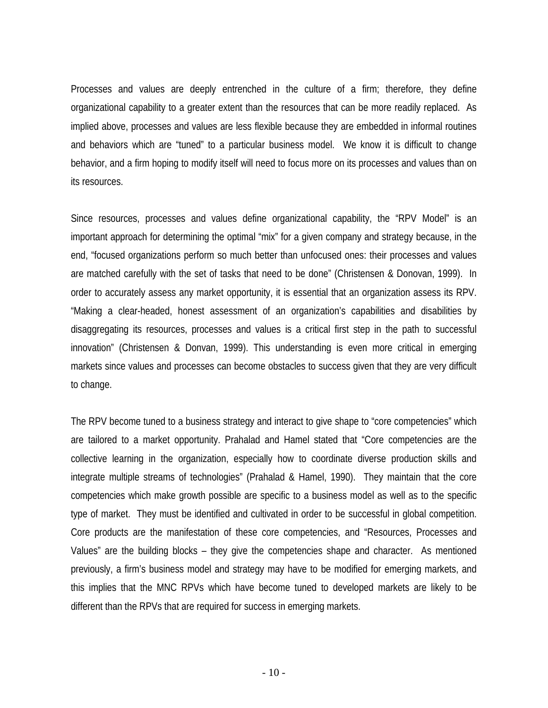Processes and values are deeply entrenched in the culture of a firm; therefore, they define organizational capability to a greater extent than the resources that can be more readily replaced. As implied above, processes and values are less flexible because they are embedded in informal routines and behaviors which are "tuned" to a particular business model. We know it is difficult to change behavior, and a firm hoping to modify itself will need to focus more on its processes and values than on its resources.

Since resources, processes and values define organizational capability, the "RPV Model" is an important approach for determining the optimal "mix" for a given company and strategy because, in the end, "focused organizations perform so much better than unfocused ones: their processes and values are matched carefully with the set of tasks that need to be done" (Christensen & Donovan, 1999). In order to accurately assess any market opportunity, it is essential that an organization assess its RPV. "Making a clear-headed, honest assessment of an organization's capabilities and disabilities by disaggregating its resources, processes and values is a critical first step in the path to successful innovation" (Christensen & Donvan, 1999). This understanding is even more critical in emerging markets since values and processes can become obstacles to success given that they are very difficult to change.

The RPV become tuned to a business strategy and interact to give shape to "core competencies" which are tailored to a market opportunity. Prahalad and Hamel stated that "Core competencies are the collective learning in the organization, especially how to coordinate diverse production skills and integrate multiple streams of technologies" (Prahalad & Hamel, 1990). They maintain that the core competencies which make growth possible are specific to a business model as well as to the specific type of market. They must be identified and cultivated in order to be successful in global competition. Core products are the manifestation of these core competencies, and "Resources, Processes and Values" are the building blocks – they give the competencies shape and character. As mentioned previously, a firm's business model and strategy may have to be modified for emerging markets, and this implies that the MNC RPVs which have become tuned to developed markets are likely to be different than the RPVs that are required for success in emerging markets.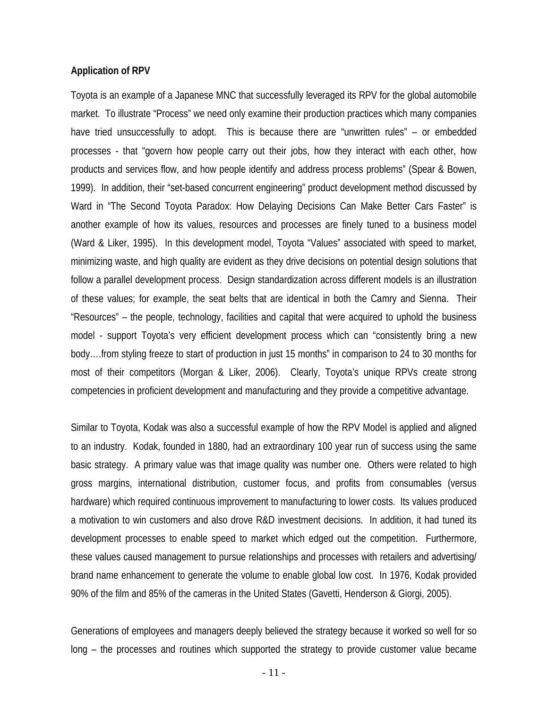#### **Application of RPV**

Toyota is an example of a Japanese MNC that successfully leveraged its RPV for the global automobile market. To illustrate "Process" we need only examine their production practices which many companies have tried unsuccessfully to adopt. This is because there are "unwritten rules" – or embedded processes - that "govern how people carry out their jobs, how they interact with each other, how products and services flow, and how people identify and address process problems" (Spear & Bowen, 1999). In addition, their "set-based concurrent engineering" product development method discussed by Ward in "The Second Toyota Paradox: How Delaying Decisions Can Make Better Cars Faster" is another example of how its values, resources and processes are finely tuned to a business model (Ward & Liker, 1995). In this development model, Toyota "Values" associated with speed to market, minimizing waste, and high quality are evident as they drive decisions on potential design solutions that follow a parallel development process. Design standardization across different models is an illustration of these values; for example, the seat belts that are identical in both the Camry and Sienna. Their "Resources" – the people, technology, facilities and capital that were acquired to uphold the business model - support Toyota's very efficient development process which can "consistently bring a new body….from styling freeze to start of production in just 15 months" in comparison to 24 to 30 months for most of their competitors (Morgan & Liker, 2006). Clearly, Toyota's unique RPVs create strong competencies in proficient development and manufacturing and they provide a competitive advantage.

Similar to Toyota, Kodak was also a successful example of how the RPV Model is applied and aligned to an industry. Kodak, founded in 1880, had an extraordinary 100 year run of success using the same basic strategy. A primary value was that image quality was number one. Others were related to high gross margins, international distribution, customer focus, and profits from consumables (versus hardware) which required continuous improvement to manufacturing to lower costs. Its values produced a motivation to win customers and also drove R&D investment decisions. In addition, it had tuned its development processes to enable speed to market which edged out the competition. Furthermore, these values caused management to pursue relationships and processes with retailers and advertising/ brand name enhancement to generate the volume to enable global low cost. In 1976, Kodak provided 90% of the film and 85% of the cameras in the United States (Gavetti, Henderson & Giorgi, 2005).

Generations of employees and managers deeply believed the strategy because it worked so well for so long – the processes and routines which supported the strategy to provide customer value became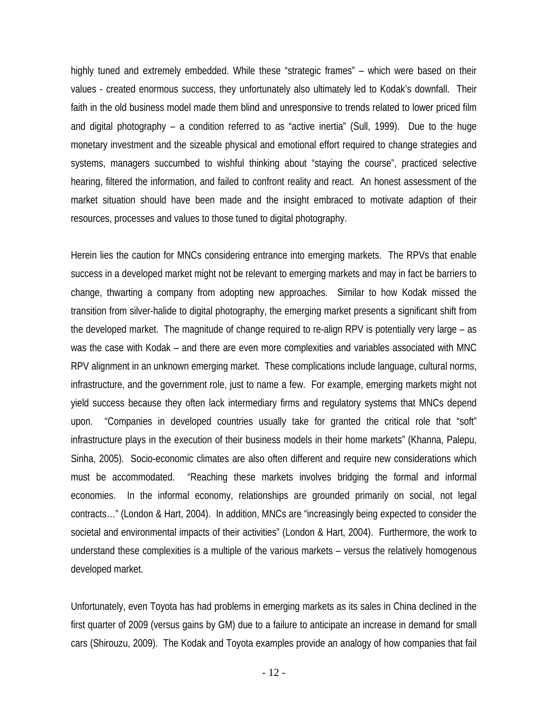highly tuned and extremely embedded. While these "strategic frames" – which were based on their values - created enormous success, they unfortunately also ultimately led to Kodak's downfall. Their faith in the old business model made them blind and unresponsive to trends related to lower priced film and digital photography – a condition referred to as "active inertia" (Sull, 1999). Due to the huge monetary investment and the sizeable physical and emotional effort required to change strategies and systems, managers succumbed to wishful thinking about "staying the course", practiced selective hearing, filtered the information, and failed to confront reality and react. An honest assessment of the market situation should have been made and the insight embraced to motivate adaption of their resources, processes and values to those tuned to digital photography.

Herein lies the caution for MNCs considering entrance into emerging markets. The RPVs that enable success in a developed market might not be relevant to emerging markets and may in fact be barriers to change, thwarting a company from adopting new approaches. Similar to how Kodak missed the transition from silver-halide to digital photography, the emerging market presents a significant shift from the developed market. The magnitude of change required to re-align RPV is potentially very large – as was the case with Kodak – and there are even more complexities and variables associated with MNC RPV alignment in an unknown emerging market. These complications include language, cultural norms, infrastructure, and the government role, just to name a few. For example, emerging markets might not yield success because they often lack intermediary firms and regulatory systems that MNCs depend upon. "Companies in developed countries usually take for granted the critical role that "soft" infrastructure plays in the execution of their business models in their home markets" (Khanna, Palepu, Sinha, 2005). Socio-economic climates are also often different and require new considerations which must be accommodated. "Reaching these markets involves bridging the formal and informal economies. In the informal economy, relationships are grounded primarily on social, not legal contracts…" (London & Hart, 2004). In addition, MNCs are "increasingly being expected to consider the societal and environmental impacts of their activities" (London & Hart, 2004). Furthermore, the work to understand these complexities is a multiple of the various markets – versus the relatively homogenous developed market.

Unfortunately, even Toyota has had problems in emerging markets as its sales in China declined in the first quarter of 2009 (versus gains by GM) due to a failure to anticipate an increase in demand for small cars (Shirouzu, 2009). The Kodak and Toyota examples provide an analogy of how companies that fail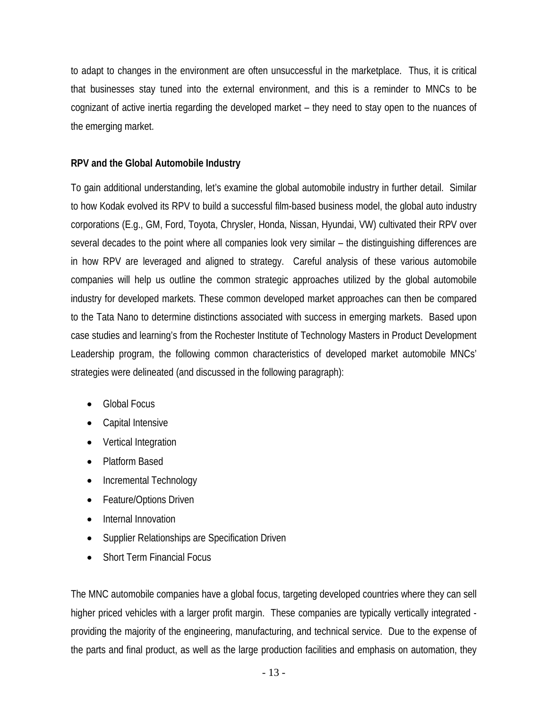to adapt to changes in the environment are often unsuccessful in the marketplace. Thus, it is critical that businesses stay tuned into the external environment, and this is a reminder to MNCs to be cognizant of active inertia regarding the developed market – they need to stay open to the nuances of the emerging market.

#### **RPV and the Global Automobile Industry**

To gain additional understanding, let's examine the global automobile industry in further detail. Similar to how Kodak evolved its RPV to build a successful film-based business model, the global auto industry corporations (E.g., GM, Ford, Toyota, Chrysler, Honda, Nissan, Hyundai, VW) cultivated their RPV over several decades to the point where all companies look very similar – the distinguishing differences are in how RPV are leveraged and aligned to strategy. Careful analysis of these various automobile companies will help us outline the common strategic approaches utilized by the global automobile industry for developed markets. These common developed market approaches can then be compared to the Tata Nano to determine distinctions associated with success in emerging markets. Based upon case studies and learning's from the Rochester Institute of Technology Masters in Product Development Leadership program, the following common characteristics of developed market automobile MNCs' strategies were delineated (and discussed in the following paragraph):

- Global Focus
- Capital Intensive
- Vertical Integration
- Platform Based
- Incremental Technology
- Feature/Options Driven
- Internal Innovation
- Supplier Relationships are Specification Driven
- Short Term Financial Focus

The MNC automobile companies have a global focus, targeting developed countries where they can sell higher priced vehicles with a larger profit margin. These companies are typically vertically integrated providing the majority of the engineering, manufacturing, and technical service. Due to the expense of the parts and final product, as well as the large production facilities and emphasis on automation, they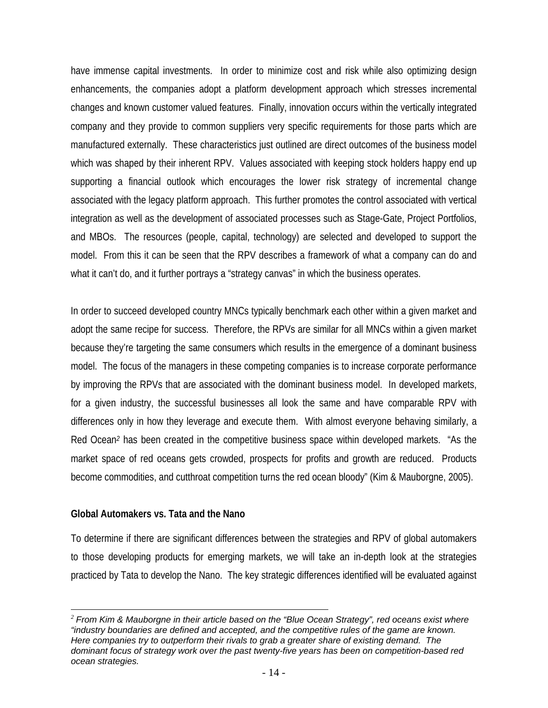have immense capital investments. In order to minimize cost and risk while also optimizing design enhancements, the companies adopt a platform development approach which stresses incremental changes and known customer valued features. Finally, innovation occurs within the vertically integrated company and they provide to common suppliers very specific requirements for those parts which are manufactured externally. These characteristics just outlined are direct outcomes of the business model which was shaped by their inherent RPV. Values associated with keeping stock holders happy end up supporting a financial outlook which encourages the lower risk strategy of incremental change associated with the legacy platform approach. This further promotes the control associated with vertical integration as well as the development of associated processes such as Stage-Gate, Project Portfolios, and MBOs. The resources (people, capital, technology) are selected and developed to support the model. From this it can be seen that the RPV describes a framework of what a company can do and what it can't do, and it further portrays a "strategy canvas" in which the business operates.

In order to succeed developed country MNCs typically benchmark each other within a given market and adopt the same recipe for success. Therefore, the RPVs are similar for all MNCs within a given market because they're targeting the same consumers which results in the emergence of a dominant business model. The focus of the managers in these competing companies is to increase corporate performance by improving the RPVs that are associated with the dominant business model. In developed markets, for a given industry, the successful businesses all look the same and have comparable RPV with differences only in how they leverage and execute them. With almost everyone behaving similarly, a Red Ocean*2* has been created in the competitive business space within developed markets. "As the market space of red oceans gets crowded, prospects for profits and growth are reduced. Products become commodities, and cutthroat competition turns the red ocean bloody" (Kim & Mauborgne, 2005).

#### **Global Automakers vs. Tata and the Nano**

To determine if there are significant differences between the strategies and RPV of global automakers to those developing products for emerging markets, we will take an in-depth look at the strategies practiced by Tata to develop the Nano. The key strategic differences identified will be evaluated against

*<sup>2</sup> From Kim & Mauborgne in their article based on the "Blue Ocean Strategy", red oceans exist where "industry boundaries are defined and accepted, and the competitive rules of the game are known. Here companies try to outperform their rivals to grab a greater share of existing demand. The dominant focus of strategy work over the past twenty-five years has been on competition-based red ocean strategies.*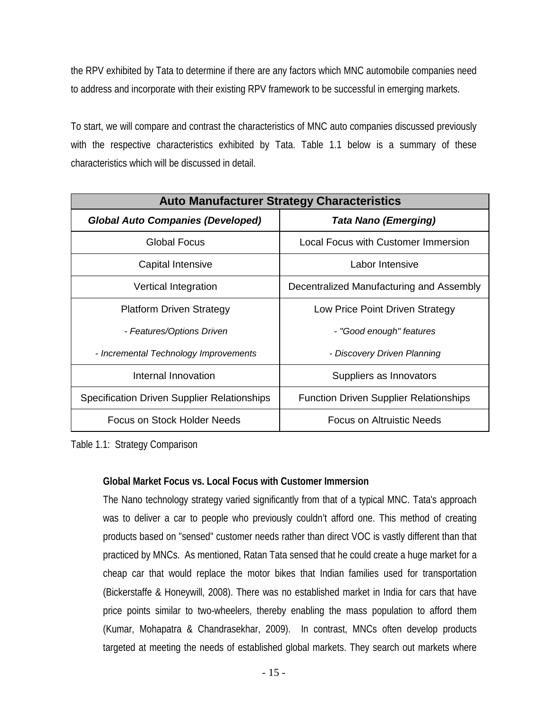the RPV exhibited by Tata to determine if there are any factors which MNC automobile companies need to address and incorporate with their existing RPV framework to be successful in emerging markets.

To start, we will compare and contrast the characteristics of MNC auto companies discussed previously with the respective characteristics exhibited by Tata. Table 1.1 below is a summary of these characteristics which will be discussed in detail.

| <b>Auto Manufacturer Strategy Characteristics</b>  |                                               |  |
|----------------------------------------------------|-----------------------------------------------|--|
| <b>Global Auto Companies (Developed)</b>           | Tata Nano (Emerging)                          |  |
| Global Focus                                       | Local Focus with Customer Immersion           |  |
| Capital Intensive                                  | Labor Intensive                               |  |
| Vertical Integration                               | Decentralized Manufacturing and Assembly      |  |
| <b>Platform Driven Strategy</b>                    | Low Price Point Driven Strategy               |  |
| - Features/Options Driven                          | - "Good enough" features                      |  |
| - Incremental Technology Improvements              | - Discovery Driven Planning                   |  |
| Internal Innovation                                | Suppliers as Innovators                       |  |
| <b>Specification Driven Supplier Relationships</b> | <b>Function Driven Supplier Relationships</b> |  |
| Focus on Stock Holder Needs                        | <b>Focus on Altruistic Needs</b>              |  |

Table 1.1: Strategy Comparison

#### **Global Market Focus vs. Local Focus with Customer Immersion**

The Nano technology strategy varied significantly from that of a typical MNC. Tata's approach was to deliver a car to people who previously couldn't afford one. This method of creating products based on "sensed" customer needs rather than direct VOC is vastly different than that practiced by MNCs. As mentioned, Ratan Tata sensed that he could create a huge market for a cheap car that would replace the motor bikes that Indian families used for transportation (Bickerstaffe & Honeywill, 2008). There was no established market in India for cars that have price points similar to two-wheelers, thereby enabling the mass population to afford them (Kumar, Mohapatra & Chandrasekhar, 2009). In contrast, MNCs often develop products targeted at meeting the needs of established global markets. They search out markets where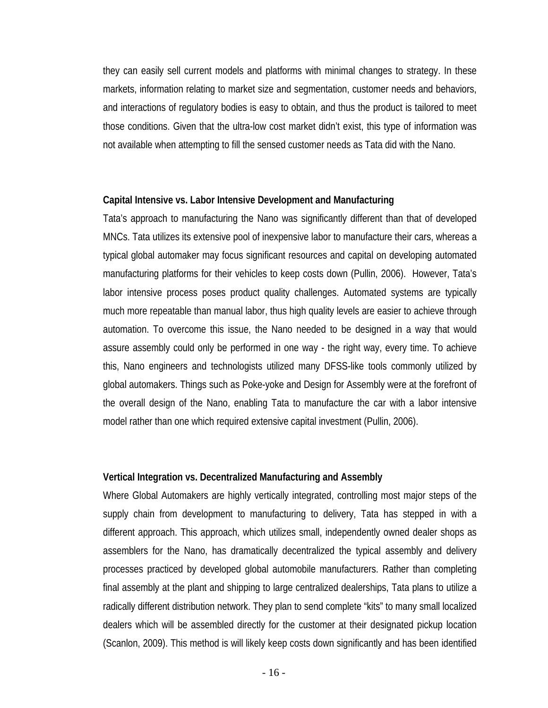they can easily sell current models and platforms with minimal changes to strategy. In these markets, information relating to market size and segmentation, customer needs and behaviors, and interactions of regulatory bodies is easy to obtain, and thus the product is tailored to meet those conditions. Given that the ultra-low cost market didn't exist, this type of information was not available when attempting to fill the sensed customer needs as Tata did with the Nano.

#### **Capital Intensive vs. Labor Intensive Development and Manufacturing**

Tata's approach to manufacturing the Nano was significantly different than that of developed MNCs. Tata utilizes its extensive pool of inexpensive labor to manufacture their cars, whereas a typical global automaker may focus significant resources and capital on developing automated manufacturing platforms for their vehicles to keep costs down (Pullin, 2006). However, Tata's labor intensive process poses product quality challenges. Automated systems are typically much more repeatable than manual labor, thus high quality levels are easier to achieve through automation. To overcome this issue, the Nano needed to be designed in a way that would assure assembly could only be performed in one way - the right way, every time. To achieve this, Nano engineers and technologists utilized many DFSS-like tools commonly utilized by global automakers. Things such as Poke-yoke and Design for Assembly were at the forefront of the overall design of the Nano, enabling Tata to manufacture the car with a labor intensive model rather than one which required extensive capital investment (Pullin, 2006).

#### **Vertical Integration vs. Decentralized Manufacturing and Assembly**

Where Global Automakers are highly vertically integrated, controlling most major steps of the supply chain from development to manufacturing to delivery, Tata has stepped in with a different approach. This approach, which utilizes small, independently owned dealer shops as assemblers for the Nano, has dramatically decentralized the typical assembly and delivery processes practiced by developed global automobile manufacturers. Rather than completing final assembly at the plant and shipping to large centralized dealerships, Tata plans to utilize a radically different distribution network. They plan to send complete "kits" to many small localized dealers which will be assembled directly for the customer at their designated pickup location (Scanlon, 2009). This method is will likely keep costs down significantly and has been identified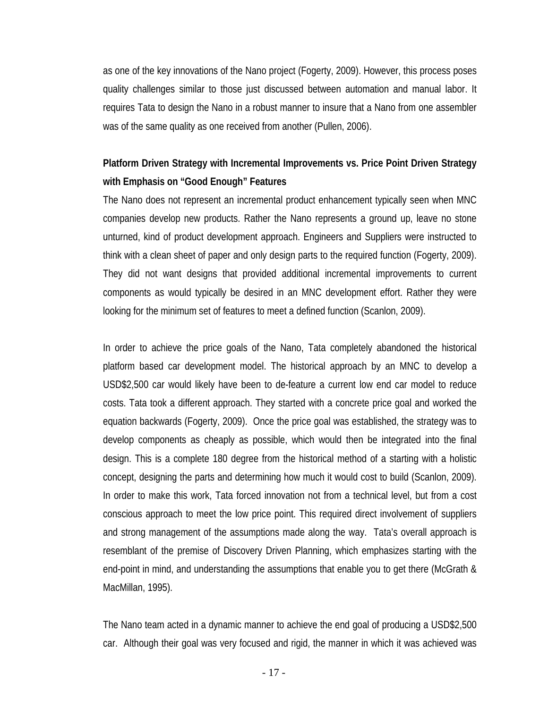as one of the key innovations of the Nano project (Fogerty, 2009). However, this process poses quality challenges similar to those just discussed between automation and manual labor. It requires Tata to design the Nano in a robust manner to insure that a Nano from one assembler was of the same quality as one received from another (Pullen, 2006).

### **Platform Driven Strategy with Incremental Improvements vs. Price Point Driven Strategy with Emphasis on "Good Enough" Features**

The Nano does not represent an incremental product enhancement typically seen when MNC companies develop new products. Rather the Nano represents a ground up, leave no stone unturned, kind of product development approach. Engineers and Suppliers were instructed to think with a clean sheet of paper and only design parts to the required function (Fogerty, 2009). They did not want designs that provided additional incremental improvements to current components as would typically be desired in an MNC development effort. Rather they were looking for the minimum set of features to meet a defined function (Scanlon, 2009).

In order to achieve the price goals of the Nano, Tata completely abandoned the historical platform based car development model. The historical approach by an MNC to develop a USD\$2,500 car would likely have been to de-feature a current low end car model to reduce costs. Tata took a different approach. They started with a concrete price goal and worked the equation backwards (Fogerty, 2009). Once the price goal was established, the strategy was to develop components as cheaply as possible, which would then be integrated into the final design. This is a complete 180 degree from the historical method of a starting with a holistic concept, designing the parts and determining how much it would cost to build (Scanlon, 2009). In order to make this work, Tata forced innovation not from a technical level, but from a cost conscious approach to meet the low price point. This required direct involvement of suppliers and strong management of the assumptions made along the way. Tata's overall approach is resemblant of the premise of Discovery Driven Planning, which emphasizes starting with the end-point in mind, and understanding the assumptions that enable you to get there (McGrath & MacMillan, 1995).

The Nano team acted in a dynamic manner to achieve the end goal of producing a USD\$2,500 car. Although their goal was very focused and rigid, the manner in which it was achieved was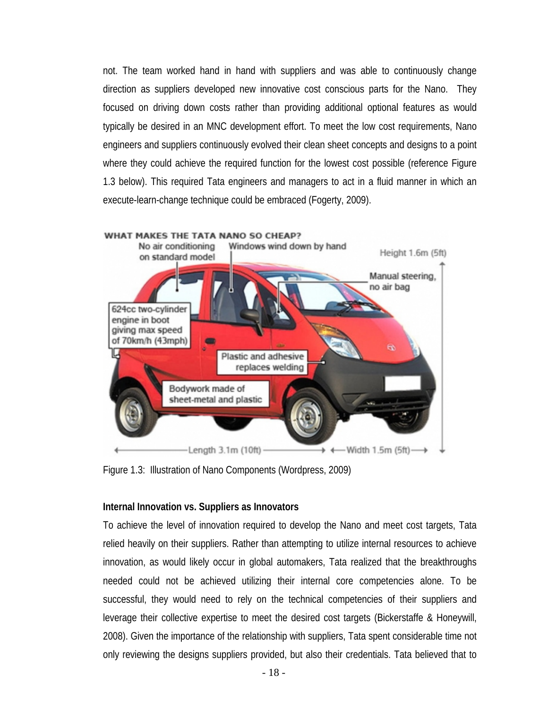not. The team worked hand in hand with suppliers and was able to continuously change direction as suppliers developed new innovative cost conscious parts for the Nano. They focused on driving down costs rather than providing additional optional features as would typically be desired in an MNC development effort. To meet the low cost requirements, Nano engineers and suppliers continuously evolved their clean sheet concepts and designs to a point where they could achieve the required function for the lowest cost possible (reference Figure 1.3 below). This required Tata engineers and managers to act in a fluid manner in which an execute-learn-change technique could be embraced (Fogerty, 2009).



Figure 1.3: Illustration of Nano Components (Wordpress, 2009)

#### **Internal Innovation vs. Suppliers as Innovators**

To achieve the level of innovation required to develop the Nano and meet cost targets, Tata relied heavily on their suppliers. Rather than attempting to utilize internal resources to achieve innovation, as would likely occur in global automakers, Tata realized that the breakthroughs needed could not be achieved utilizing their internal core competencies alone. To be successful, they would need to rely on the technical competencies of their suppliers and leverage their collective expertise to meet the desired cost targets (Bickerstaffe & Honeywill, 2008). Given the importance of the relationship with suppliers, Tata spent considerable time not only reviewing the designs suppliers provided, but also their credentials. Tata believed that to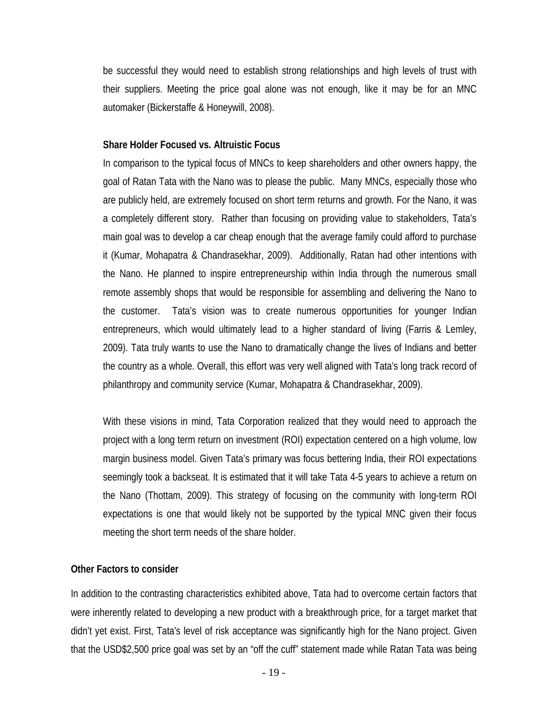be successful they would need to establish strong relationships and high levels of trust with their suppliers. Meeting the price goal alone was not enough, like it may be for an MNC automaker (Bickerstaffe & Honeywill, 2008).

#### **Share Holder Focused vs. Altruistic Focus**

In comparison to the typical focus of MNCs to keep shareholders and other owners happy, the goal of Ratan Tata with the Nano was to please the public. Many MNCs, especially those who are publicly held, are extremely focused on short term returns and growth. For the Nano, it was a completely different story. Rather than focusing on providing value to stakeholders, Tata's main goal was to develop a car cheap enough that the average family could afford to purchase it (Kumar, Mohapatra & Chandrasekhar, 2009). Additionally, Ratan had other intentions with the Nano. He planned to inspire entrepreneurship within India through the numerous small remote assembly shops that would be responsible for assembling and delivering the Nano to the customer. Tata's vision was to create numerous opportunities for younger Indian entrepreneurs, which would ultimately lead to a higher standard of living (Farris & Lemley, 2009). Tata truly wants to use the Nano to dramatically change the lives of Indians and better the country as a whole. Overall, this effort was very well aligned with Tata's long track record of philanthropy and community service (Kumar, Mohapatra & Chandrasekhar, 2009).

With these visions in mind, Tata Corporation realized that they would need to approach the project with a long term return on investment (ROI) expectation centered on a high volume, low margin business model. Given Tata's primary was focus bettering India, their ROI expectations seemingly took a backseat. It is estimated that it will take Tata 4-5 years to achieve a return on the Nano (Thottam, 2009). This strategy of focusing on the community with long-term ROI expectations is one that would likely not be supported by the typical MNC given their focus meeting the short term needs of the share holder.

#### **Other Factors to consider**

In addition to the contrasting characteristics exhibited above, Tata had to overcome certain factors that were inherently related to developing a new product with a breakthrough price, for a target market that didn't yet exist. First, Tata's level of risk acceptance was significantly high for the Nano project. Given that the USD\$2,500 price goal was set by an "off the cuff" statement made while Ratan Tata was being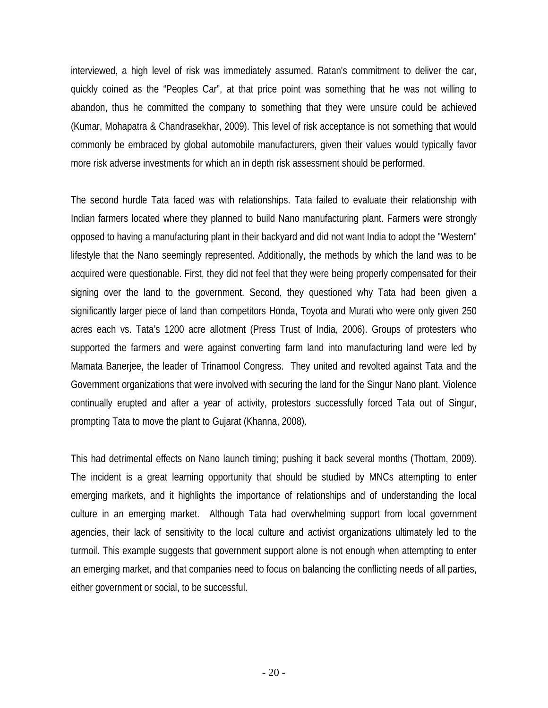interviewed, a high level of risk was immediately assumed. Ratan's commitment to deliver the car, quickly coined as the "Peoples Car", at that price point was something that he was not willing to abandon, thus he committed the company to something that they were unsure could be achieved (Kumar, Mohapatra & Chandrasekhar, 2009). This level of risk acceptance is not something that would commonly be embraced by global automobile manufacturers, given their values would typically favor more risk adverse investments for which an in depth risk assessment should be performed.

The second hurdle Tata faced was with relationships. Tata failed to evaluate their relationship with Indian farmers located where they planned to build Nano manufacturing plant. Farmers were strongly opposed to having a manufacturing plant in their backyard and did not want India to adopt the "Western" lifestyle that the Nano seemingly represented. Additionally, the methods by which the land was to be acquired were questionable. First, they did not feel that they were being properly compensated for their signing over the land to the government. Second, they questioned why Tata had been given a significantly larger piece of land than competitors Honda, Toyota and Murati who were only given 250 acres each vs. Tata's 1200 acre allotment (Press Trust of India, 2006). Groups of protesters who supported the farmers and were against converting farm land into manufacturing land were led by Mamata Banerjee, the leader of Trinamool Congress. They united and revolted against Tata and the Government organizations that were involved with securing the land for the Singur Nano plant. Violence continually erupted and after a year of activity, protestors successfully forced Tata out of Singur, prompting Tata to move the plant to Gujarat (Khanna, 2008).

This had detrimental effects on Nano launch timing; pushing it back several months (Thottam, 2009). The incident is a great learning opportunity that should be studied by MNCs attempting to enter emerging markets, and it highlights the importance of relationships and of understanding the local culture in an emerging market. Although Tata had overwhelming support from local government agencies, their lack of sensitivity to the local culture and activist organizations ultimately led to the turmoil. This example suggests that government support alone is not enough when attempting to enter an emerging market, and that companies need to focus on balancing the conflicting needs of all parties, either government or social, to be successful.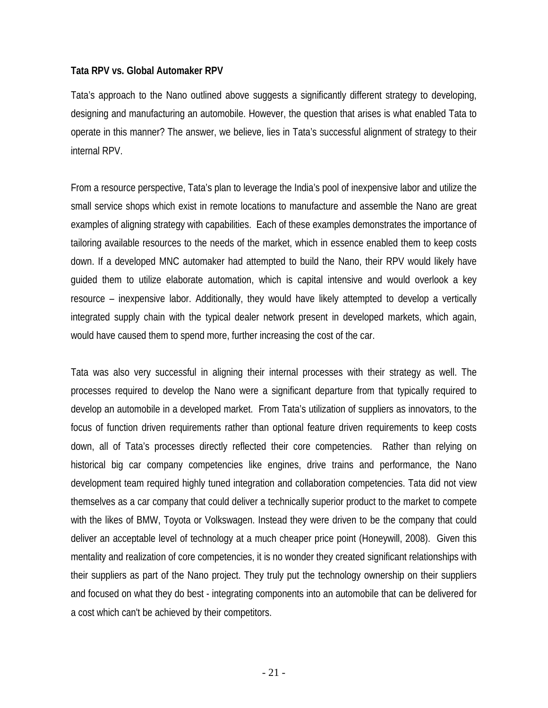#### **Tata RPV vs. Global Automaker RPV**

Tata's approach to the Nano outlined above suggests a significantly different strategy to developing, designing and manufacturing an automobile. However, the question that arises is what enabled Tata to operate in this manner? The answer, we believe, lies in Tata's successful alignment of strategy to their internal RPV.

From a resource perspective, Tata's plan to leverage the India's pool of inexpensive labor and utilize the small service shops which exist in remote locations to manufacture and assemble the Nano are great examples of aligning strategy with capabilities. Each of these examples demonstrates the importance of tailoring available resources to the needs of the market, which in essence enabled them to keep costs down. If a developed MNC automaker had attempted to build the Nano, their RPV would likely have guided them to utilize elaborate automation, which is capital intensive and would overlook a key resource – inexpensive labor. Additionally, they would have likely attempted to develop a vertically integrated supply chain with the typical dealer network present in developed markets, which again, would have caused them to spend more, further increasing the cost of the car.

Tata was also very successful in aligning their internal processes with their strategy as well. The processes required to develop the Nano were a significant departure from that typically required to develop an automobile in a developed market. From Tata's utilization of suppliers as innovators, to the focus of function driven requirements rather than optional feature driven requirements to keep costs down, all of Tata's processes directly reflected their core competencies. Rather than relying on historical big car company competencies like engines, drive trains and performance, the Nano development team required highly tuned integration and collaboration competencies. Tata did not view themselves as a car company that could deliver a technically superior product to the market to compete with the likes of BMW, Toyota or Volkswagen. Instead they were driven to be the company that could deliver an acceptable level of technology at a much cheaper price point (Honeywill, 2008). Given this mentality and realization of core competencies, it is no wonder they created significant relationships with their suppliers as part of the Nano project. They truly put the technology ownership on their suppliers and focused on what they do best - integrating components into an automobile that can be delivered for a cost which can't be achieved by their competitors.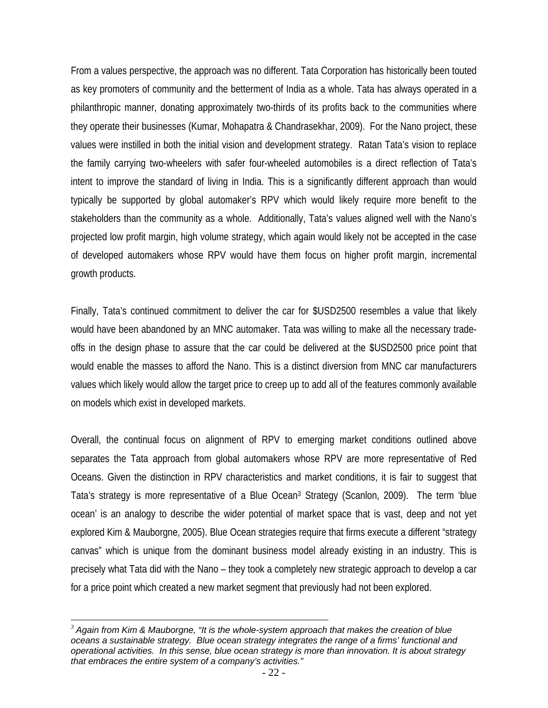From a values perspective, the approach was no different. Tata Corporation has historically been touted as key promoters of community and the betterment of India as a whole. Tata has always operated in a philanthropic manner, donating approximately two-thirds of its profits back to the communities where they operate their businesses (Kumar, Mohapatra & Chandrasekhar, 2009). For the Nano project, these values were instilled in both the initial vision and development strategy. Ratan Tata's vision to replace the family carrying two-wheelers with safer four-wheeled automobiles is a direct reflection of Tata's intent to improve the standard of living in India. This is a significantly different approach than would typically be supported by global automaker's RPV which would likely require more benefit to the stakeholders than the community as a whole. Additionally, Tata's values aligned well with the Nano's projected low profit margin, high volume strategy, which again would likely not be accepted in the case of developed automakers whose RPV would have them focus on higher profit margin, incremental growth products.

Finally, Tata's continued commitment to deliver the car for \$USD2500 resembles a value that likely would have been abandoned by an MNC automaker. Tata was willing to make all the necessary tradeoffs in the design phase to assure that the car could be delivered at the \$USD2500 price point that would enable the masses to afford the Nano. This is a distinct diversion from MNC car manufacturers values which likely would allow the target price to creep up to add all of the features commonly available on models which exist in developed markets.

Overall, the continual focus on alignment of RPV to emerging market conditions outlined above separates the Tata approach from global automakers whose RPV are more representative of Red Oceans. Given the distinction in RPV characteristics and market conditions, it is fair to suggest that Tata's strategy is more representative of a Blue Ocean3 Strategy (Scanlon, 2009). The term 'blue ocean' is an analogy to describe the wider potential of market space that is vast, deep and not yet explored Kim & Mauborgne, 2005). Blue Ocean strategies require that firms execute a different "strategy canvas" which is unique from the dominant business model already existing in an industry. This is precisely what Tata did with the Nano – they took a completely new strategic approach to develop a car for a price point which created a new market segment that previously had not been explored.

*<sup>3</sup> Again from Kim & Mauborgne, "It is the whole-system approach that makes the creation of blue oceans a sustainable strategy. Blue ocean strategy integrates the range of a firms' functional and operational activities. In this sense, blue ocean strategy is more than innovation. It is about strategy that embraces the entire system of a company's activities."*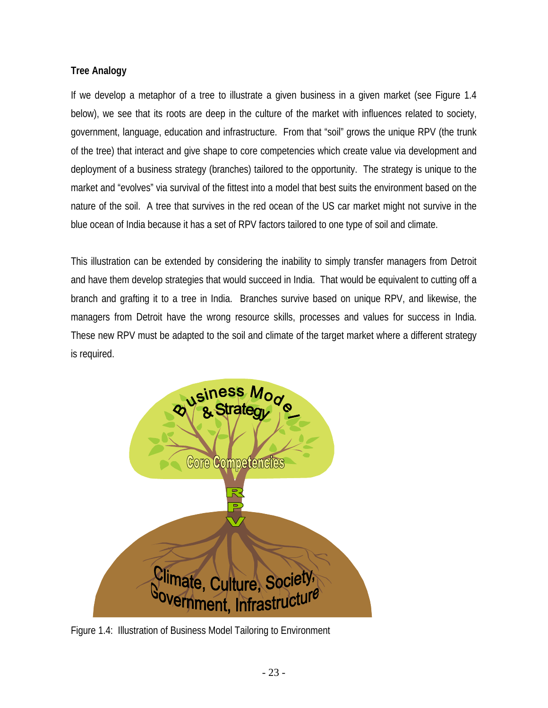#### **Tree Analogy**

If we develop a metaphor of a tree to illustrate a given business in a given market (see Figure 1.4 below), we see that its roots are deep in the culture of the market with influences related to society, government, language, education and infrastructure. From that "soil" grows the unique RPV (the trunk of the tree) that interact and give shape to core competencies which create value via development and deployment of a business strategy (branches) tailored to the opportunity. The strategy is unique to the market and "evolves" via survival of the fittest into a model that best suits the environment based on the nature of the soil. A tree that survives in the red ocean of the US car market might not survive in the blue ocean of India because it has a set of RPV factors tailored to one type of soil and climate.

This illustration can be extended by considering the inability to simply transfer managers from Detroit and have them develop strategies that would succeed in India. That would be equivalent to cutting off a branch and grafting it to a tree in India. Branches survive based on unique RPV, and likewise, the managers from Detroit have the wrong resource skills, processes and values for success in India. These new RPV must be adapted to the soil and climate of the target market where a different strategy is required.



Figure 1.4: Illustration of Business Model Tailoring to Environment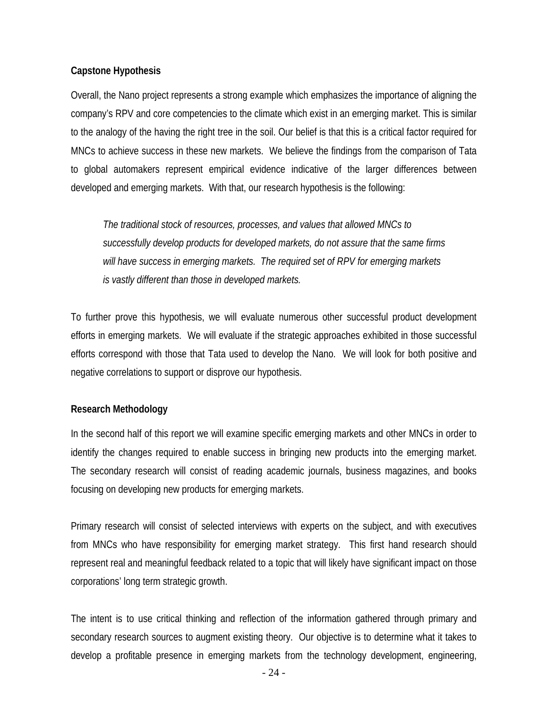#### **Capstone Hypothesis**

Overall, the Nano project represents a strong example which emphasizes the importance of aligning the company's RPV and core competencies to the climate which exist in an emerging market. This is similar to the analogy of the having the right tree in the soil. Our belief is that this is a critical factor required for MNCs to achieve success in these new markets. We believe the findings from the comparison of Tata to global automakers represent empirical evidence indicative of the larger differences between developed and emerging markets. With that, our research hypothesis is the following:

*The traditional stock of resources, processes, and values that allowed MNCs to successfully develop products for developed markets, do not assure that the same firms will have success in emerging markets. The required set of RPV for emerging markets is vastly different than those in developed markets.* 

To further prove this hypothesis, we will evaluate numerous other successful product development efforts in emerging markets. We will evaluate if the strategic approaches exhibited in those successful efforts correspond with those that Tata used to develop the Nano. We will look for both positive and negative correlations to support or disprove our hypothesis.

#### **Research Methodology**

In the second half of this report we will examine specific emerging markets and other MNCs in order to identify the changes required to enable success in bringing new products into the emerging market. The secondary research will consist of reading academic journals, business magazines, and books focusing on developing new products for emerging markets.

Primary research will consist of selected interviews with experts on the subject, and with executives from MNCs who have responsibility for emerging market strategy. This first hand research should represent real and meaningful feedback related to a topic that will likely have significant impact on those corporations' long term strategic growth.

The intent is to use critical thinking and reflection of the information gathered through primary and secondary research sources to augment existing theory. Our objective is to determine what it takes to develop a profitable presence in emerging markets from the technology development, engineering,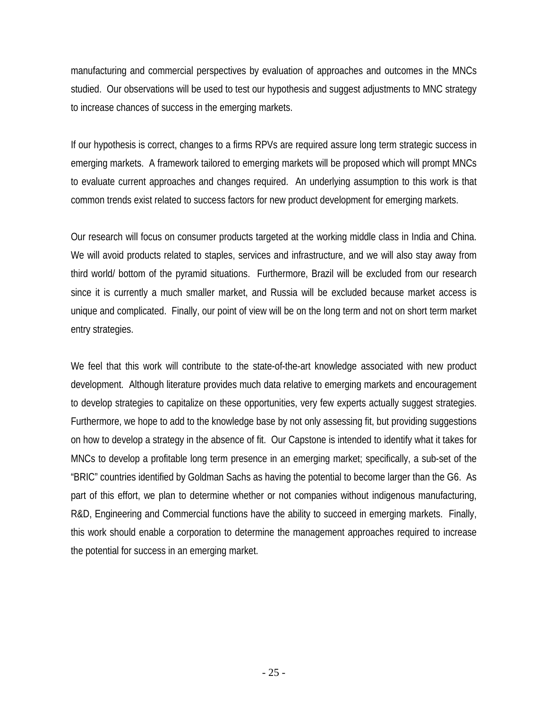manufacturing and commercial perspectives by evaluation of approaches and outcomes in the MNCs studied. Our observations will be used to test our hypothesis and suggest adjustments to MNC strategy to increase chances of success in the emerging markets.

If our hypothesis is correct, changes to a firms RPVs are required assure long term strategic success in emerging markets. A framework tailored to emerging markets will be proposed which will prompt MNCs to evaluate current approaches and changes required. An underlying assumption to this work is that common trends exist related to success factors for new product development for emerging markets.

Our research will focus on consumer products targeted at the working middle class in India and China. We will avoid products related to staples, services and infrastructure, and we will also stay away from third world/ bottom of the pyramid situations. Furthermore, Brazil will be excluded from our research since it is currently a much smaller market, and Russia will be excluded because market access is unique and complicated. Finally, our point of view will be on the long term and not on short term market entry strategies.

We feel that this work will contribute to the state-of-the-art knowledge associated with new product development. Although literature provides much data relative to emerging markets and encouragement to develop strategies to capitalize on these opportunities, very few experts actually suggest strategies. Furthermore, we hope to add to the knowledge base by not only assessing fit, but providing suggestions on how to develop a strategy in the absence of fit. Our Capstone is intended to identify what it takes for MNCs to develop a profitable long term presence in an emerging market; specifically, a sub-set of the "BRIC" countries identified by Goldman Sachs as having the potential to become larger than the G6. As part of this effort, we plan to determine whether or not companies without indigenous manufacturing, R&D, Engineering and Commercial functions have the ability to succeed in emerging markets. Finally, this work should enable a corporation to determine the management approaches required to increase the potential for success in an emerging market.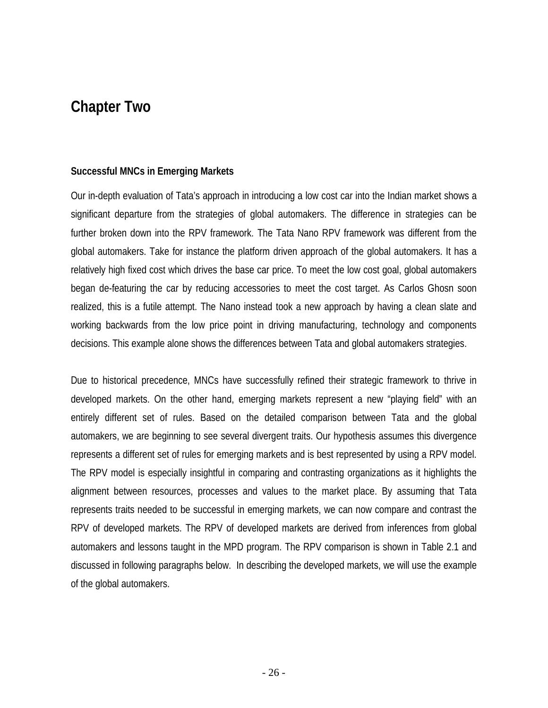# **Chapter Two**

#### **Successful MNCs in Emerging Markets**

Our in-depth evaluation of Tata's approach in introducing a low cost car into the Indian market shows a significant departure from the strategies of global automakers. The difference in strategies can be further broken down into the RPV framework. The Tata Nano RPV framework was different from the global automakers. Take for instance the platform driven approach of the global automakers. It has a relatively high fixed cost which drives the base car price. To meet the low cost goal, global automakers began de-featuring the car by reducing accessories to meet the cost target. As Carlos Ghosn soon realized, this is a futile attempt. The Nano instead took a new approach by having a clean slate and working backwards from the low price point in driving manufacturing, technology and components decisions. This example alone shows the differences between Tata and global automakers strategies.

Due to historical precedence, MNCs have successfully refined their strategic framework to thrive in developed markets. On the other hand, emerging markets represent a new "playing field" with an entirely different set of rules. Based on the detailed comparison between Tata and the global automakers, we are beginning to see several divergent traits. Our hypothesis assumes this divergence represents a different set of rules for emerging markets and is best represented by using a RPV model. The RPV model is especially insightful in comparing and contrasting organizations as it highlights the alignment between resources, processes and values to the market place. By assuming that Tata represents traits needed to be successful in emerging markets, we can now compare and contrast the RPV of developed markets. The RPV of developed markets are derived from inferences from global automakers and lessons taught in the MPD program. The RPV comparison is shown in Table 2.1 and discussed in following paragraphs below. In describing the developed markets, we will use the example of the global automakers.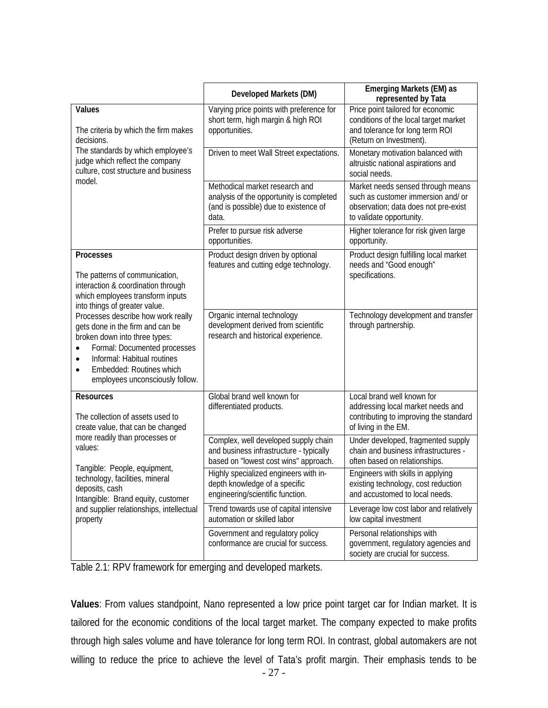|                                                                                                                                                                                                                                                                              | Developed Markets (DM)                                                                                                       | Emerging Markets (EM) as<br>represented by Tata                                                                                             |
|------------------------------------------------------------------------------------------------------------------------------------------------------------------------------------------------------------------------------------------------------------------------------|------------------------------------------------------------------------------------------------------------------------------|---------------------------------------------------------------------------------------------------------------------------------------------|
| Values<br>The criteria by which the firm makes<br>decisions.                                                                                                                                                                                                                 | Varying price points with preference for<br>short term, high margin & high ROI<br>opportunities.                             | Price point tailored for economic<br>conditions of the local target market<br>and tolerance for long term ROI<br>(Return on Investment).    |
| The standards by which employee's<br>judge which reflect the company<br>culture, cost structure and business                                                                                                                                                                 | Driven to meet Wall Street expectations.                                                                                     | Monetary motivation balanced with<br>altruistic national aspirations and<br>social needs.                                                   |
| model.                                                                                                                                                                                                                                                                       | Methodical market research and<br>analysis of the opportunity is completed<br>(and is possible) due to existence of<br>data. | Market needs sensed through means<br>such as customer immersion and/ or<br>observation; data does not pre-exist<br>to validate opportunity. |
|                                                                                                                                                                                                                                                                              | Prefer to pursue risk adverse<br>opportunities.                                                                              | Higher tolerance for risk given large<br>opportunity.                                                                                       |
| <b>Processes</b><br>The patterns of communication,<br>interaction & coordination through<br>which employees transform inputs<br>into things of greater value.                                                                                                                | Product design driven by optional<br>features and cutting edge technology.                                                   | Product design fulfilling local market<br>needs and "Good enough"<br>specifications.                                                        |
| Processes describe how work really<br>gets done in the firm and can be<br>broken down into three types:<br>Formal: Documented processes<br>$\bullet$<br>Informal: Habitual routines<br>$\bullet$<br>Embedded: Routines which<br>$\bullet$<br>employees unconsciously follow. | Organic internal technology<br>development derived from scientific<br>research and historical experience.                    | Technology development and transfer<br>through partnership.                                                                                 |
| <b>Resources</b><br>The collection of assets used to<br>create value, that can be changed                                                                                                                                                                                    | Global brand well known for<br>differentiated products.                                                                      | Local brand well known for<br>addressing local market needs and<br>contributing to improving the standard<br>of living in the EM.           |
| more readily than processes or<br>values:                                                                                                                                                                                                                                    | Complex, well developed supply chain<br>and business infrastructure - typically<br>based on "lowest cost wins" approach.     | Under developed, fragmented supply<br>chain and business infrastructures -<br>often based on relationships.                                 |
| Tangible: People, equipment,<br>technology, facilities, mineral<br>deposits, cash<br>Intangible: Brand equity, customer                                                                                                                                                      | Highly specialized engineers with in-<br>depth knowledge of a specific<br>engineering/scientific function.                   | Engineers with skills in applying<br>existing technology, cost reduction<br>and accustomed to local needs.                                  |
| and supplier relationships, intellectual<br>property                                                                                                                                                                                                                         | Trend towards use of capital intensive<br>automation or skilled labor                                                        | Leverage low cost labor and relatively<br>low capital investment                                                                            |
|                                                                                                                                                                                                                                                                              | Government and regulatory policy<br>conformance are crucial for success.                                                     | Personal relationships with<br>government, regulatory agencies and<br>society are crucial for success.                                      |

Table 2.1: RPV framework for emerging and developed markets.

**Values**: From values standpoint, Nano represented a low price point target car for Indian market. It is tailored for the economic conditions of the local target market. The company expected to make profits through high sales volume and have tolerance for long term ROI. In contrast, global automakers are not willing to reduce the price to achieve the level of Tata's profit margin. Their emphasis tends to be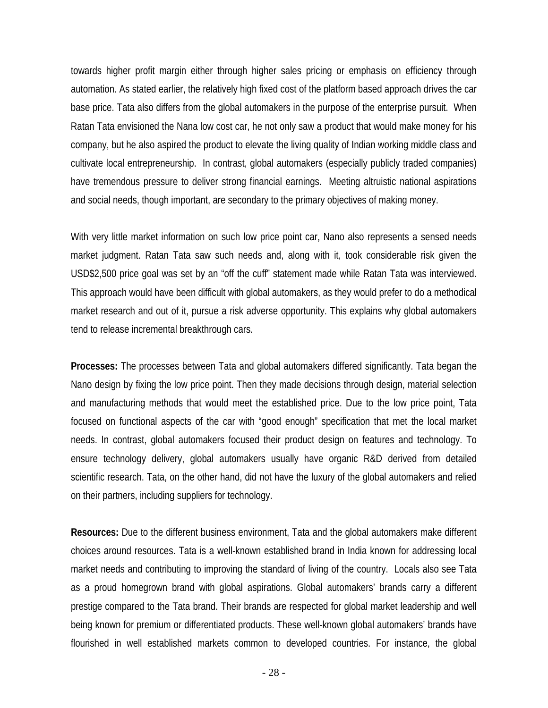towards higher profit margin either through higher sales pricing or emphasis on efficiency through automation. As stated earlier, the relatively high fixed cost of the platform based approach drives the car base price. Tata also differs from the global automakers in the purpose of the enterprise pursuit. When Ratan Tata envisioned the Nana low cost car, he not only saw a product that would make money for his company, but he also aspired the product to elevate the living quality of Indian working middle class and cultivate local entrepreneurship. In contrast, global automakers (especially publicly traded companies) have tremendous pressure to deliver strong financial earnings. Meeting altruistic national aspirations and social needs, though important, are secondary to the primary objectives of making money.

With very little market information on such low price point car, Nano also represents a sensed needs market judgment. Ratan Tata saw such needs and, along with it, took considerable risk given the USD\$2,500 price goal was set by an "off the cuff" statement made while Ratan Tata was interviewed. This approach would have been difficult with global automakers, as they would prefer to do a methodical market research and out of it, pursue a risk adverse opportunity. This explains why global automakers tend to release incremental breakthrough cars.

**Processes:** The processes between Tata and global automakers differed significantly. Tata began the Nano design by fixing the low price point. Then they made decisions through design, material selection and manufacturing methods that would meet the established price. Due to the low price point, Tata focused on functional aspects of the car with "good enough" specification that met the local market needs. In contrast, global automakers focused their product design on features and technology. To ensure technology delivery, global automakers usually have organic R&D derived from detailed scientific research. Tata, on the other hand, did not have the luxury of the global automakers and relied on their partners, including suppliers for technology.

**Resources:** Due to the different business environment, Tata and the global automakers make different choices around resources. Tata is a well-known established brand in India known for addressing local market needs and contributing to improving the standard of living of the country. Locals also see Tata as a proud homegrown brand with global aspirations. Global automakers' brands carry a different prestige compared to the Tata brand. Their brands are respected for global market leadership and well being known for premium or differentiated products. These well-known global automakers' brands have flourished in well established markets common to developed countries. For instance, the global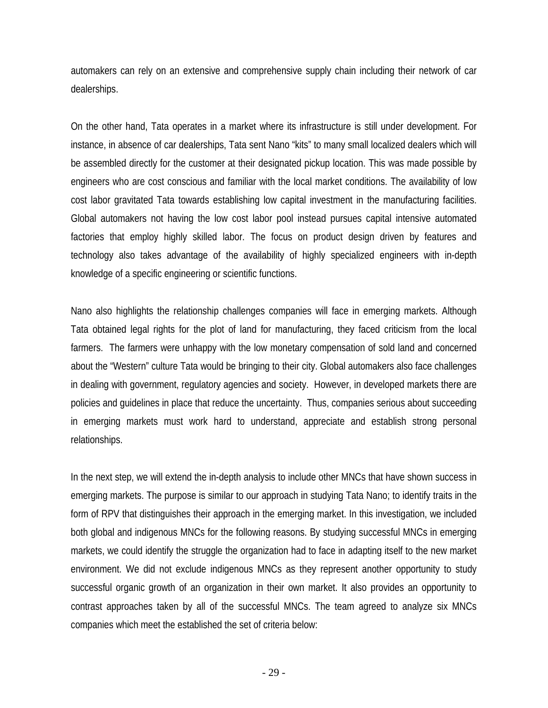automakers can rely on an extensive and comprehensive supply chain including their network of car dealerships.

On the other hand, Tata operates in a market where its infrastructure is still under development. For instance, in absence of car dealerships, Tata sent Nano "kits" to many small localized dealers which will be assembled directly for the customer at their designated pickup location. This was made possible by engineers who are cost conscious and familiar with the local market conditions. The availability of low cost labor gravitated Tata towards establishing low capital investment in the manufacturing facilities. Global automakers not having the low cost labor pool instead pursues capital intensive automated factories that employ highly skilled labor. The focus on product design driven by features and technology also takes advantage of the availability of highly specialized engineers with in-depth knowledge of a specific engineering or scientific functions.

Nano also highlights the relationship challenges companies will face in emerging markets. Although Tata obtained legal rights for the plot of land for manufacturing, they faced criticism from the local farmers. The farmers were unhappy with the low monetary compensation of sold land and concerned about the "Western" culture Tata would be bringing to their city. Global automakers also face challenges in dealing with government, regulatory agencies and society. However, in developed markets there are policies and guidelines in place that reduce the uncertainty. Thus, companies serious about succeeding in emerging markets must work hard to understand, appreciate and establish strong personal relationships.

In the next step, we will extend the in-depth analysis to include other MNCs that have shown success in emerging markets. The purpose is similar to our approach in studying Tata Nano; to identify traits in the form of RPV that distinguishes their approach in the emerging market. In this investigation, we included both global and indigenous MNCs for the following reasons. By studying successful MNCs in emerging markets, we could identify the struggle the organization had to face in adapting itself to the new market environment. We did not exclude indigenous MNCs as they represent another opportunity to study successful organic growth of an organization in their own market. It also provides an opportunity to contrast approaches taken by all of the successful MNCs. The team agreed to analyze six MNCs companies which meet the established the set of criteria below: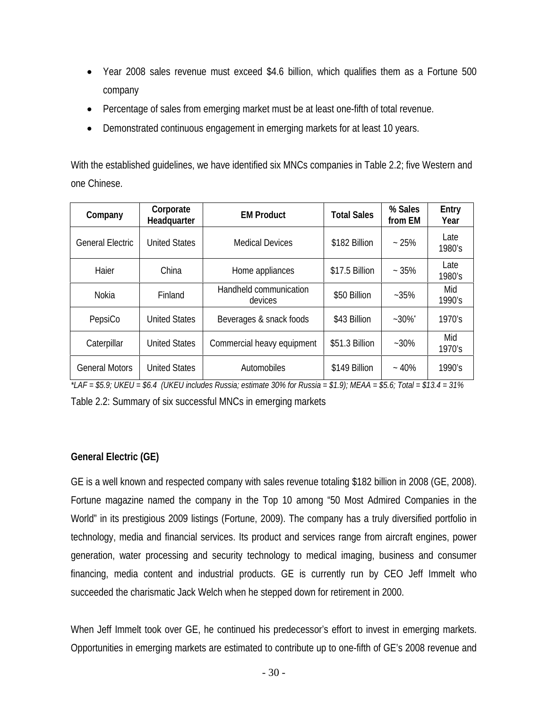- Year 2008 sales revenue must exceed \$4.6 billion, which qualifies them as a Fortune 500 company
- Percentage of sales from emerging market must be at least one-fifth of total revenue.
- Demonstrated continuous engagement in emerging markets for at least 10 years.

With the established guidelines, we have identified six MNCs companies in Table 2.2; five Western and one Chinese.

| Company                 | Corporate<br>Headquarter | <b>EM Product</b>                 | <b>Total Sales</b> | % Sales<br>from EM   | Entry<br>Year  |
|-------------------------|--------------------------|-----------------------------------|--------------------|----------------------|----------------|
| <b>General Electric</b> | <b>United States</b>     | <b>Medical Devices</b>            | \$182 Billion      | ~25%                 | Late<br>1980's |
| Haier                   | China                    | Home appliances                   | \$17.5 Billion     | $~15\%$              | Late<br>1980's |
| Nokia                   | Finland                  | Handheld communication<br>devices | \$50 Billion       | $-35%$               | Mid<br>1990's  |
| PepsiCo                 | <b>United States</b>     | Beverages & snack foods           | \$43 Billion       | $-30\%$ <sup>*</sup> | 1970's         |
| Caterpillar             | <b>United States</b>     | Commercial heavy equipment        | \$51.3 Billion     | $-30\%$              | Mid<br>1970's  |
| <b>General Motors</b>   | <b>United States</b>     | Automobiles                       | \$149 Billion      | $~10\%$              | 1990's         |

*\*LAF = \$5.9; UKEU = \$6.4 (UKEU includes Russia; estimate 30% for Russia = \$1.9); MEAA = \$5.6; Total = \$13.4 = 31%*  Table 2.2: Summary of six successful MNCs in emerging markets

## **General Electric (GE)**

GE is a well known and respected company with sales revenue totaling \$182 billion in 2008 (GE, 2008). Fortune magazine named the company in the Top 10 among "50 Most Admired Companies in the World" in its prestigious 2009 listings (Fortune, 2009). The company has a truly diversified portfolio in technology, media and financial services. Its product and services range from aircraft engines, power generation, water processing and security technology to medical imaging, business and consumer financing, media content and industrial products. GE is currently run by CEO Jeff Immelt who succeeded the charismatic Jack Welch when he stepped down for retirement in 2000.

When Jeff Immelt took over GE, he continued his predecessor's effort to invest in emerging markets. Opportunities in emerging markets are estimated to contribute up to one-fifth of GE's 2008 revenue and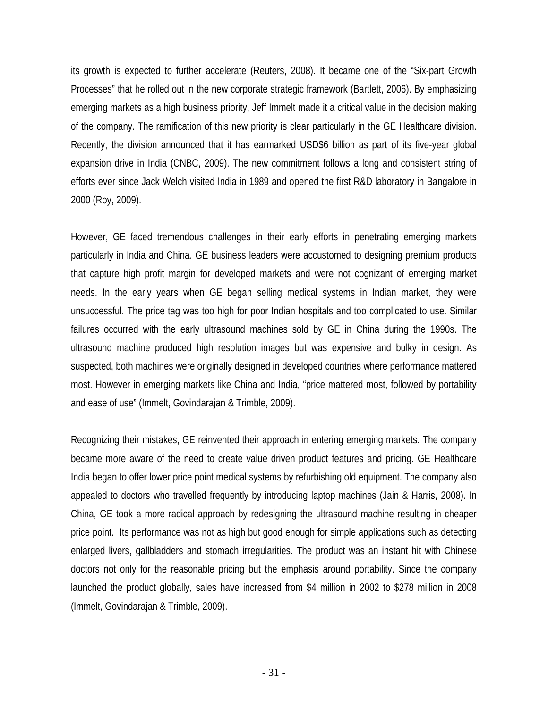its growth is expected to further accelerate (Reuters, 2008). It became one of the "Six-part Growth Processes" that he rolled out in the new corporate strategic framework (Bartlett, 2006). By emphasizing emerging markets as a high business priority, Jeff Immelt made it a critical value in the decision making of the company. The ramification of this new priority is clear particularly in the GE Healthcare division. Recently, the division announced that it has earmarked USD\$6 billion as part of its five-year global expansion drive in India (CNBC, 2009). The new commitment follows a long and consistent string of efforts ever since Jack Welch visited India in 1989 and opened the first R&D laboratory in Bangalore in 2000 (Roy, 2009).

However, GE faced tremendous challenges in their early efforts in penetrating emerging markets particularly in India and China. GE business leaders were accustomed to designing premium products that capture high profit margin for developed markets and were not cognizant of emerging market needs. In the early years when GE began selling medical systems in Indian market, they were unsuccessful. The price tag was too high for poor Indian hospitals and too complicated to use. Similar failures occurred with the early ultrasound machines sold by GE in China during the 1990s. The ultrasound machine produced high resolution images but was expensive and bulky in design. As suspected, both machines were originally designed in developed countries where performance mattered most. However in emerging markets like China and India, "price mattered most, followed by portability and ease of use" (Immelt, Govindarajan & Trimble, 2009).

Recognizing their mistakes, GE reinvented their approach in entering emerging markets. The company became more aware of the need to create value driven product features and pricing. GE Healthcare India began to offer lower price point medical systems by refurbishing old equipment. The company also appealed to doctors who travelled frequently by introducing laptop machines (Jain & Harris, 2008). In China, GE took a more radical approach by redesigning the ultrasound machine resulting in cheaper price point. Its performance was not as high but good enough for simple applications such as detecting enlarged livers, gallbladders and stomach irregularities. The product was an instant hit with Chinese doctors not only for the reasonable pricing but the emphasis around portability. Since the company launched the product globally, sales have increased from \$4 million in 2002 to \$278 million in 2008 (Immelt, Govindarajan & Trimble, 2009).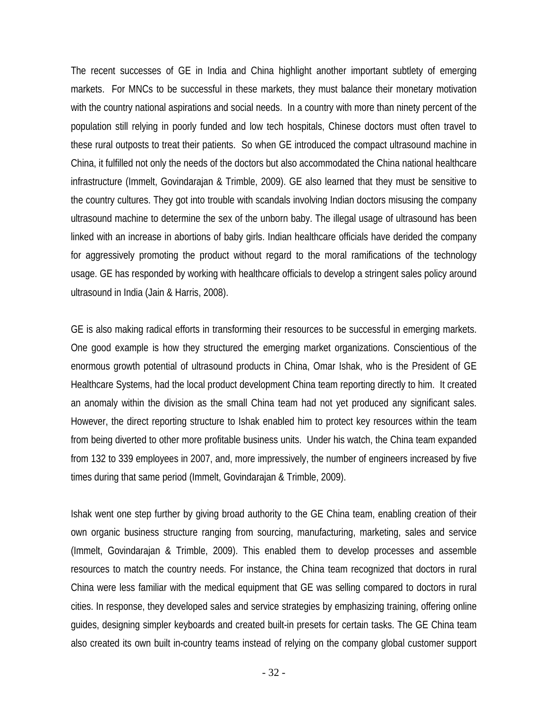The recent successes of GE in India and China highlight another important subtlety of emerging markets. For MNCs to be successful in these markets, they must balance their monetary motivation with the country national aspirations and social needs. In a country with more than ninety percent of the population still relying in poorly funded and low tech hospitals, Chinese doctors must often travel to these rural outposts to treat their patients. So when GE introduced the compact ultrasound machine in China, it fulfilled not only the needs of the doctors but also accommodated the China national healthcare infrastructure (Immelt, Govindarajan & Trimble, 2009). GE also learned that they must be sensitive to the country cultures. They got into trouble with scandals involving Indian doctors misusing the company ultrasound machine to determine the sex of the unborn baby. The illegal usage of ultrasound has been linked with an increase in abortions of baby girls. Indian healthcare officials have derided the company for aggressively promoting the product without regard to the moral ramifications of the technology usage. GE has responded by working with healthcare officials to develop a stringent sales policy around ultrasound in India (Jain & Harris, 2008).

GE is also making radical efforts in transforming their resources to be successful in emerging markets. One good example is how they structured the emerging market organizations. Conscientious of the enormous growth potential of ultrasound products in China, Omar Ishak, who is the President of GE Healthcare Systems, had the local product development China team reporting directly to him. It created an anomaly within the division as the small China team had not yet produced any significant sales. However, the direct reporting structure to Ishak enabled him to protect key resources within the team from being diverted to other more profitable business units. Under his watch, the China team expanded from 132 to 339 employees in 2007, and, more impressively, the number of engineers increased by five times during that same period (Immelt, Govindarajan & Trimble, 2009).

Ishak went one step further by giving broad authority to the GE China team, enabling creation of their own organic business structure ranging from sourcing, manufacturing, marketing, sales and service (Immelt, Govindarajan & Trimble, 2009). This enabled them to develop processes and assemble resources to match the country needs. For instance, the China team recognized that doctors in rural China were less familiar with the medical equipment that GE was selling compared to doctors in rural cities. In response, they developed sales and service strategies by emphasizing training, offering online guides, designing simpler keyboards and created built-in presets for certain tasks. The GE China team also created its own built in-country teams instead of relying on the company global customer support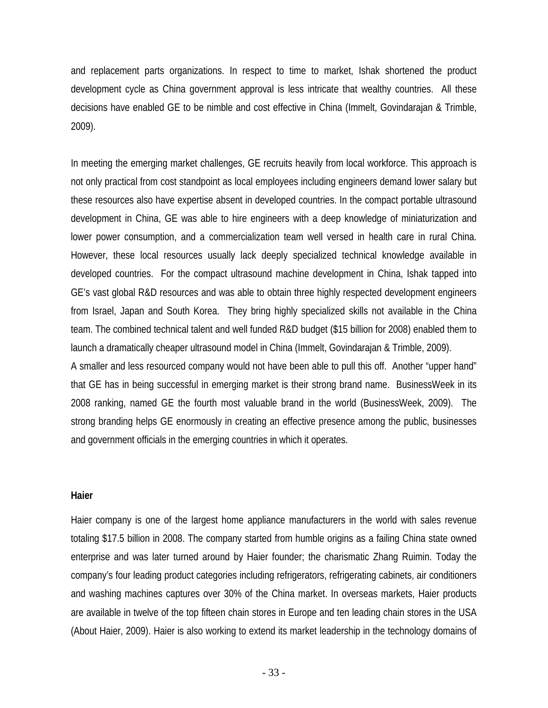and replacement parts organizations. In respect to time to market, Ishak shortened the product development cycle as China government approval is less intricate that wealthy countries. All these decisions have enabled GE to be nimble and cost effective in China (Immelt, Govindarajan & Trimble, 2009).

In meeting the emerging market challenges, GE recruits heavily from local workforce. This approach is not only practical from cost standpoint as local employees including engineers demand lower salary but these resources also have expertise absent in developed countries. In the compact portable ultrasound development in China, GE was able to hire engineers with a deep knowledge of miniaturization and lower power consumption, and a commercialization team well versed in health care in rural China. However, these local resources usually lack deeply specialized technical knowledge available in developed countries. For the compact ultrasound machine development in China, Ishak tapped into GE's vast global R&D resources and was able to obtain three highly respected development engineers from Israel, Japan and South Korea. They bring highly specialized skills not available in the China team. The combined technical talent and well funded R&D budget (\$15 billion for 2008) enabled them to launch a dramatically cheaper ultrasound model in China (Immelt, Govindarajan & Trimble, 2009).

A smaller and less resourced company would not have been able to pull this off. Another "upper hand" that GE has in being successful in emerging market is their strong brand name. BusinessWeek in its 2008 ranking, named GE the fourth most valuable brand in the world (BusinessWeek, 2009). The strong branding helps GE enormously in creating an effective presence among the public, businesses and government officials in the emerging countries in which it operates.

#### **Haier**

Haier company is one of the largest home appliance manufacturers in the world with sales revenue totaling \$17.5 billion in 2008. The company started from humble origins as a failing China state owned enterprise and was later turned around by Haier founder; the charismatic Zhang Ruimin. Today the company's four leading product categories including refrigerators, refrigerating cabinets, air conditioners and washing machines captures over 30% of the China market. In overseas markets, Haier products are available in twelve of the top fifteen chain stores in Europe and ten leading chain stores in the USA (About Haier, 2009). Haier is also working to extend its market leadership in the technology domains of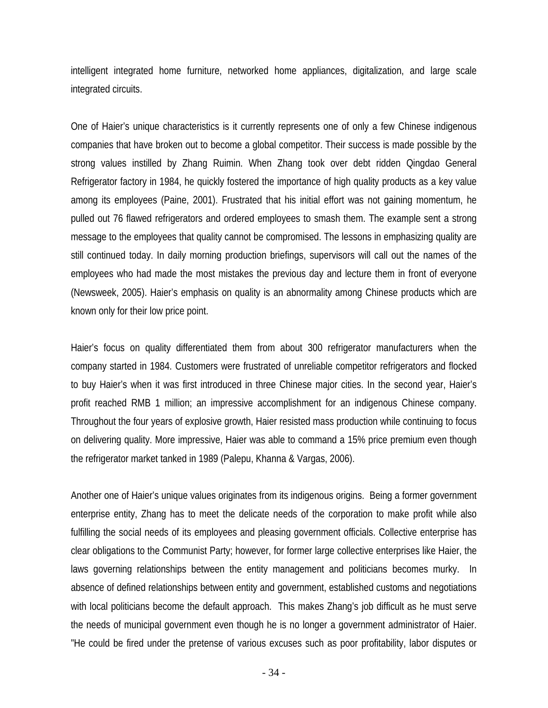intelligent integrated home furniture, networked home appliances, digitalization, and large scale integrated circuits.

One of Haier's unique characteristics is it currently represents one of only a few Chinese indigenous companies that have broken out to become a global competitor. Their success is made possible by the strong values instilled by Zhang Ruimin. When Zhang took over debt ridden Qingdao General Refrigerator factory in 1984, he quickly fostered the importance of high quality products as a key value among its employees (Paine, 2001). Frustrated that his initial effort was not gaining momentum, he pulled out 76 flawed refrigerators and ordered employees to smash them. The example sent a strong message to the employees that quality cannot be compromised. The lessons in emphasizing quality are still continued today. In daily morning production briefings, supervisors will call out the names of the employees who had made the most mistakes the previous day and lecture them in front of everyone (Newsweek, 2005). Haier's emphasis on quality is an abnormality among Chinese products which are known only for their low price point.

Haier's focus on quality differentiated them from about 300 refrigerator manufacturers when the company started in 1984. Customers were frustrated of unreliable competitor refrigerators and flocked to buy Haier's when it was first introduced in three Chinese major cities. In the second year, Haier's profit reached RMB 1 million; an impressive accomplishment for an indigenous Chinese company. Throughout the four years of explosive growth, Haier resisted mass production while continuing to focus on delivering quality. More impressive, Haier was able to command a 15% price premium even though the refrigerator market tanked in 1989 (Palepu, Khanna & Vargas, 2006).

Another one of Haier's unique values originates from its indigenous origins. Being a former government enterprise entity, Zhang has to meet the delicate needs of the corporation to make profit while also fulfilling the social needs of its employees and pleasing government officials. Collective enterprise has clear obligations to the Communist Party; however, for former large collective enterprises like Haier, the laws governing relationships between the entity management and politicians becomes murky. In absence of defined relationships between entity and government, established customs and negotiations with local politicians become the default approach. This makes Zhang's job difficult as he must serve the needs of municipal government even though he is no longer a government administrator of Haier. "He could be fired under the pretense of various excuses such as poor profitability, labor disputes or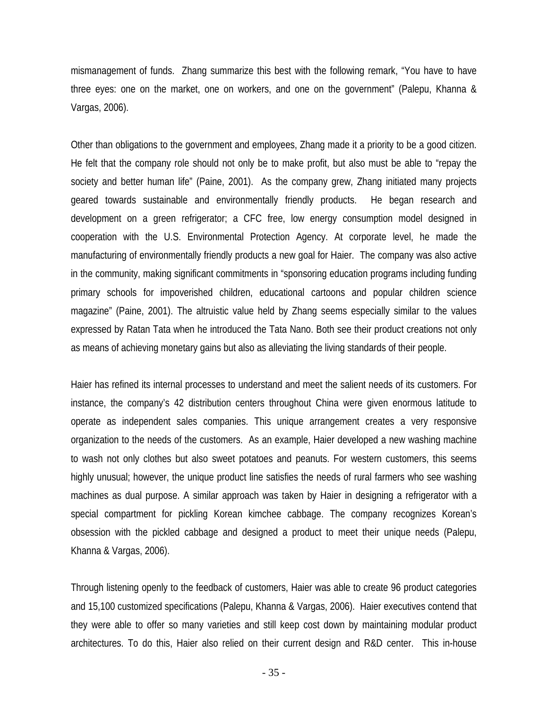mismanagement of funds. Zhang summarize this best with the following remark, "You have to have three eyes: one on the market, one on workers, and one on the government" (Palepu, Khanna & Vargas, 2006).

Other than obligations to the government and employees, Zhang made it a priority to be a good citizen. He felt that the company role should not only be to make profit, but also must be able to "repay the society and better human life" (Paine, 2001). As the company grew, Zhang initiated many projects geared towards sustainable and environmentally friendly products. He began research and development on a green refrigerator; a CFC free, low energy consumption model designed in cooperation with the U.S. Environmental Protection Agency. At corporate level, he made the manufacturing of environmentally friendly products a new goal for Haier. The company was also active in the community, making significant commitments in "sponsoring education programs including funding primary schools for impoverished children, educational cartoons and popular children science magazine" (Paine, 2001). The altruistic value held by Zhang seems especially similar to the values expressed by Ratan Tata when he introduced the Tata Nano. Both see their product creations not only as means of achieving monetary gains but also as alleviating the living standards of their people.

Haier has refined its internal processes to understand and meet the salient needs of its customers. For instance, the company's 42 distribution centers throughout China were given enormous latitude to operate as independent sales companies. This unique arrangement creates a very responsive organization to the needs of the customers. As an example, Haier developed a new washing machine to wash not only clothes but also sweet potatoes and peanuts. For western customers, this seems highly unusual; however, the unique product line satisfies the needs of rural farmers who see washing machines as dual purpose. A similar approach was taken by Haier in designing a refrigerator with a special compartment for pickling Korean kimchee cabbage. The company recognizes Korean's obsession with the pickled cabbage and designed a product to meet their unique needs (Palepu, Khanna & Vargas, 2006).

Through listening openly to the feedback of customers, Haier was able to create 96 product categories and 15,100 customized specifications (Palepu, Khanna & Vargas, 2006). Haier executives contend that they were able to offer so many varieties and still keep cost down by maintaining modular product architectures. To do this, Haier also relied on their current design and R&D center. This in-house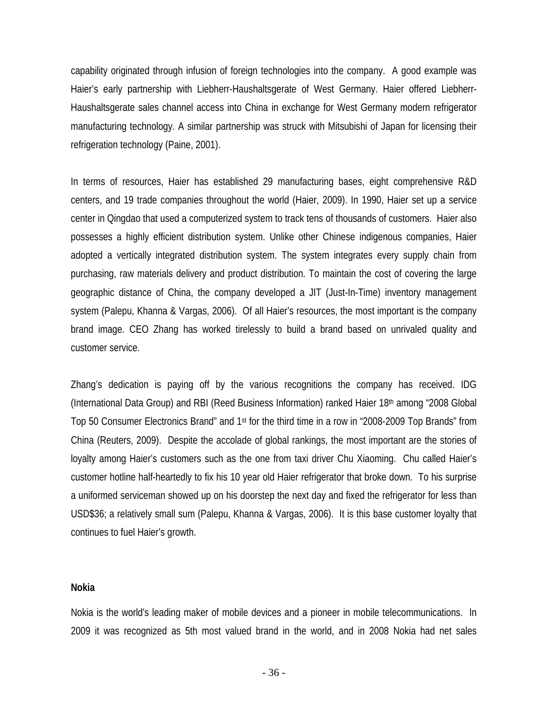capability originated through infusion of foreign technologies into the company. A good example was Haier's early partnership with Liebherr-Haushaltsgerate of West Germany. Haier offered Liebherr-Haushaltsgerate sales channel access into China in exchange for West Germany modern refrigerator manufacturing technology. A similar partnership was struck with Mitsubishi of Japan for licensing their refrigeration technology (Paine, 2001).

In terms of resources, Haier has established 29 manufacturing bases, eight comprehensive R&D centers, and 19 trade companies throughout the world (Haier, 2009). In 1990, Haier set up a service center in Qingdao that used a computerized system to track tens of thousands of customers. Haier also possesses a highly efficient distribution system. Unlike other Chinese indigenous companies, Haier adopted a vertically integrated distribution system. The system integrates every supply chain from purchasing, raw materials delivery and product distribution. To maintain the cost of covering the large geographic distance of China, the company developed a JIT (Just-In-Time) inventory management system (Palepu, Khanna & Vargas, 2006). Of all Haier's resources, the most important is the company brand image. CEO Zhang has worked tirelessly to build a brand based on unrivaled quality and customer service.

Zhang's dedication is paying off by the various recognitions the company has received. IDG (International Data Group) and RBI (Reed Business Information) ranked Haier 18th among "2008 Global Top 50 Consumer Electronics Brand" and 1st for the third time in a row in "2008-2009 Top Brands" from China (Reuters, 2009). Despite the accolade of global rankings, the most important are the stories of loyalty among Haier's customers such as the one from taxi driver Chu Xiaoming. Chu called Haier's customer hotline half-heartedly to fix his 10 year old Haier refrigerator that broke down. To his surprise a uniformed serviceman showed up on his doorstep the next day and fixed the refrigerator for less than USD\$36; a relatively small sum (Palepu, Khanna & Vargas, 2006). It is this base customer loyalty that continues to fuel Haier's growth.

#### **Nokia**

Nokia is the world's leading maker of mobile devices and a pioneer in mobile telecommunications. In 2009 it was recognized as 5th most valued brand in the world, and in 2008 Nokia had net sales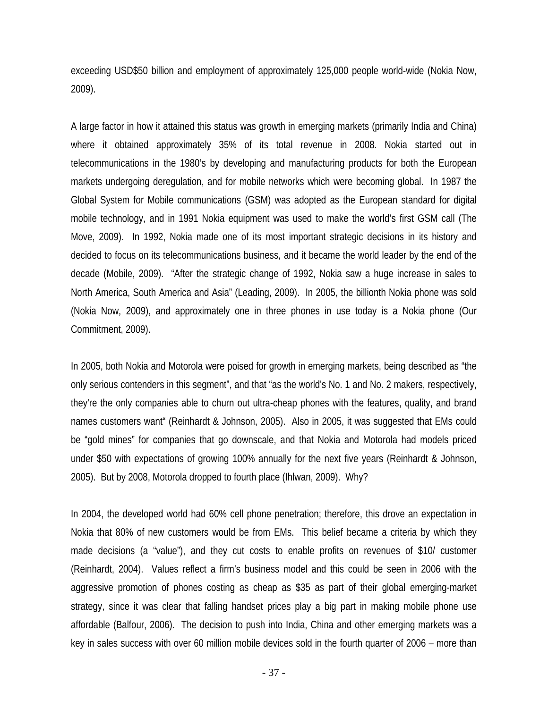exceeding USD\$50 billion and employment of approximately 125,000 people world-wide (Nokia Now, 2009).

A large factor in how it attained this status was growth in emerging markets (primarily India and China) where it obtained approximately 35% of its total revenue in 2008. Nokia started out in telecommunications in the 1980's by developing and manufacturing products for both the European markets undergoing deregulation, and for mobile networks which were becoming global. In 1987 the Global System for Mobile communications (GSM) was adopted as the European standard for digital mobile technology, and in 1991 Nokia equipment was used to make the world's first GSM call (The Move, 2009). In 1992, Nokia made one of its most important strategic decisions in its history and decided to focus on its telecommunications business, and it became the world leader by the end of the decade (Mobile, 2009). "After the strategic change of 1992, Nokia saw a huge increase in sales to North America, South America and Asia" (Leading, 2009). In 2005, the billionth Nokia phone was sold (Nokia Now, 2009), and approximately one in three phones in use today is a Nokia phone (Our Commitment, 2009).

In 2005, both Nokia and Motorola were poised for growth in emerging markets, being described as "the only serious contenders in this segment", and that "as the world's No. 1 and No. 2 makers, respectively, they're the only companies able to churn out ultra-cheap phones with the features, quality, and brand names customers want" (Reinhardt & Johnson, 2005). Also in 2005, it was suggested that EMs could be "gold mines" for companies that go downscale, and that Nokia and Motorola had models priced under \$50 with expectations of growing 100% annually for the next five years (Reinhardt & Johnson, 2005). But by 2008, Motorola dropped to fourth place (Ihlwan, 2009). Why?

In 2004, the developed world had 60% cell phone penetration; therefore, this drove an expectation in Nokia that 80% of new customers would be from EMs. This belief became a criteria by which they made decisions (a "value"), and they cut costs to enable profits on revenues of \$10/ customer (Reinhardt, 2004). Values reflect a firm's business model and this could be seen in 2006 with the aggressive promotion of phones costing as cheap as \$35 as part of their global emerging-market strategy, since it was clear that falling handset prices play a big part in making mobile phone use affordable (Balfour, 2006). The decision to push into India, China and other emerging markets was a key in sales success with over 60 million mobile devices sold in the fourth quarter of 2006 – more than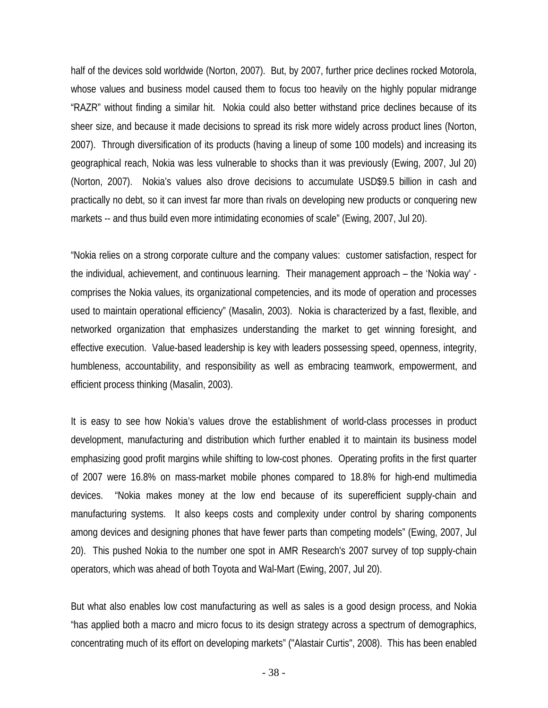half of the devices sold worldwide (Norton, 2007). But, by 2007, further price declines rocked Motorola, whose values and business model caused them to focus too heavily on the highly popular midrange "RAZR" without finding a similar hit. Nokia could also better withstand price declines because of its sheer size, and because it made decisions to spread its risk more widely across product lines (Norton, 2007). Through diversification of its products (having a lineup of some 100 models) and increasing its geographical reach, Nokia was less vulnerable to shocks than it was previously (Ewing, 2007, Jul 20) (Norton, 2007). Nokia's values also drove decisions to accumulate USD\$9.5 billion in cash and practically no debt, so it can invest far more than rivals on developing new products or conquering new markets -- and thus build even more intimidating economies of scale" (Ewing, 2007, Jul 20).

"Nokia relies on a strong corporate culture and the company values: customer satisfaction, respect for the individual, achievement, and continuous learning. Their management approach – the 'Nokia way' comprises the Nokia values, its organizational competencies, and its mode of operation and processes used to maintain operational efficiency" (Masalin, 2003). Nokia is characterized by a fast, flexible, and networked organization that emphasizes understanding the market to get winning foresight, and effective execution. Value-based leadership is key with leaders possessing speed, openness, integrity, humbleness, accountability, and responsibility as well as embracing teamwork, empowerment, and efficient process thinking (Masalin, 2003).

It is easy to see how Nokia's values drove the establishment of world-class processes in product development, manufacturing and distribution which further enabled it to maintain its business model emphasizing good profit margins while shifting to low-cost phones. Operating profits in the first quarter of 2007 were 16.8% on mass-market mobile phones compared to 18.8% for high-end multimedia devices. "Nokia makes money at the low end because of its superefficient supply-chain and manufacturing systems. It also keeps costs and complexity under control by sharing components among devices and designing phones that have fewer parts than competing models" (Ewing, 2007, Jul 20). This pushed Nokia to the number one spot in AMR Research's 2007 survey of top supply-chain operators, which was ahead of both Toyota and Wal-Mart (Ewing, 2007, Jul 20).

But what also enables low cost manufacturing as well as sales is a good design process, and Nokia "has applied both a macro and micro focus to its design strategy across a spectrum of demographics, concentrating much of its effort on developing markets" ("Alastair Curtis", 2008). This has been enabled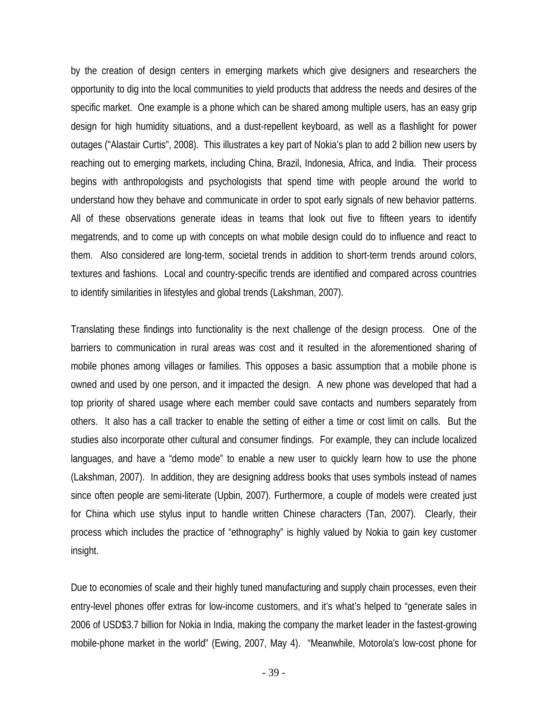by the creation of design centers in emerging markets which give designers and researchers the opportunity to dig into the local communities to yield products that address the needs and desires of the specific market. One example is a phone which can be shared among multiple users, has an easy grip design for high humidity situations, and a dust-repellent keyboard, as well as a flashlight for power outages ("Alastair Curtis", 2008). This illustrates a key part of Nokia's plan to add 2 billion new users by reaching out to emerging markets, including China, Brazil, Indonesia, Africa, and India. Their process begins with anthropologists and psychologists that spend time with people around the world to understand how they behave and communicate in order to spot early signals of new behavior patterns. All of these observations generate ideas in teams that look out five to fifteen years to identify megatrends, and to come up with concepts on what mobile design could do to influence and react to them. Also considered are long-term, societal trends in addition to short-term trends around colors, textures and fashions. Local and country-specific trends are identified and compared across countries to identify similarities in lifestyles and global trends (Lakshman, 2007).

Translating these findings into functionality is the next challenge of the design process. One of the barriers to communication in rural areas was cost and it resulted in the aforementioned sharing of mobile phones among villages or families. This opposes a basic assumption that a mobile phone is owned and used by one person, and it impacted the design. A new phone was developed that had a top priority of shared usage where each member could save contacts and numbers separately from others. It also has a call tracker to enable the setting of either a time or cost limit on calls. But the studies also incorporate other cultural and consumer findings. For example, they can include localized languages, and have a "demo mode" to enable a new user to quickly learn how to use the phone (Lakshman, 2007). In addition, they are designing address books that uses symbols instead of names since often people are semi-literate (Upbin, 2007). Furthermore, a couple of models were created just for China which use stylus input to handle written Chinese characters (Tan, 2007). Clearly, their process which includes the practice of "ethnography" is highly valued by Nokia to gain key customer insight.

Due to economies of scale and their highly tuned manufacturing and supply chain processes, even their entry-level phones offer extras for low-income customers, and it's what's helped to "generate sales in 2006 of USD\$3.7 billion for Nokia in India, making the company the market leader in the fastest-growing mobile-phone market in the world" (Ewing, 2007, May 4). "Meanwhile, Motorola's low-cost phone for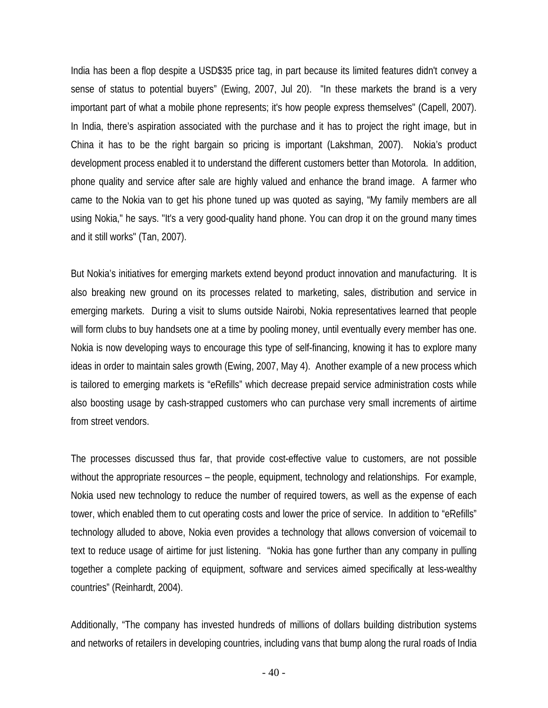India has been a flop despite a USD\$35 price tag, in part because its limited features didn't convey a sense of status to potential buyers" (Ewing, 2007, Jul 20). "In these markets the brand is a very important part of what a mobile phone represents; it's how people express themselves" (Capell, 2007). In India, there's aspiration associated with the purchase and it has to project the right image, but in China it has to be the right bargain so pricing is important (Lakshman, 2007). Nokia's product development process enabled it to understand the different customers better than Motorola. In addition, phone quality and service after sale are highly valued and enhance the brand image. A farmer who came to the Nokia van to get his phone tuned up was quoted as saying, "My family members are all using Nokia," he says. "It's a very good-quality hand phone. You can drop it on the ground many times and it still works" (Tan, 2007).

But Nokia's initiatives for emerging markets extend beyond product innovation and manufacturing. It is also breaking new ground on its processes related to marketing, sales, distribution and service in emerging markets. During a visit to slums outside Nairobi, Nokia representatives learned that people will form clubs to buy handsets one at a time by pooling money, until eventually every member has one. Nokia is now developing ways to encourage this type of self-financing, knowing it has to explore many ideas in order to maintain sales growth (Ewing, 2007, May 4). Another example of a new process which is tailored to emerging markets is "eRefills" which decrease prepaid service administration costs while also boosting usage by cash-strapped customers who can purchase very small increments of airtime from street vendors.

The processes discussed thus far, that provide cost-effective value to customers, are not possible without the appropriate resources – the people, equipment, technology and relationships. For example, Nokia used new technology to reduce the number of required towers, as well as the expense of each tower, which enabled them to cut operating costs and lower the price of service. In addition to "eRefills" technology alluded to above, Nokia even provides a technology that allows conversion of voicemail to text to reduce usage of airtime for just listening. "Nokia has gone further than any company in pulling together a complete packing of equipment, software and services aimed specifically at less-wealthy countries" (Reinhardt, 2004).

Additionally, "The company has invested hundreds of millions of dollars building distribution systems and networks of retailers in developing countries, including vans that bump along the rural roads of India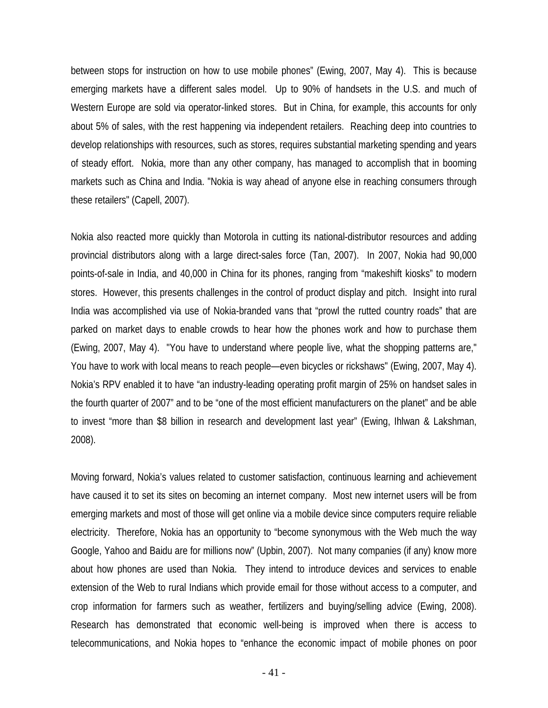between stops for instruction on how to use mobile phones" (Ewing, 2007, May 4). This is because emerging markets have a different sales model. Up to 90% of handsets in the U.S. and much of Western Europe are sold via operator-linked stores. But in China, for example, this accounts for only about 5% of sales, with the rest happening via independent retailers. Reaching deep into countries to develop relationships with resources, such as stores, requires substantial marketing spending and years of steady effort. Nokia, more than any other company, has managed to accomplish that in booming markets such as China and India. "Nokia is way ahead of anyone else in reaching consumers through these retailers" (Capell, 2007).

Nokia also reacted more quickly than Motorola in cutting its national-distributor resources and adding provincial distributors along with a large direct-sales force (Tan, 2007). In 2007, Nokia had 90,000 points-of-sale in India, and 40,000 in China for its phones, ranging from "makeshift kiosks" to modern stores. However, this presents challenges in the control of product display and pitch. Insight into rural India was accomplished via use of Nokia-branded vans that "prowl the rutted country roads" that are parked on market days to enable crowds to hear how the phones work and how to purchase them (Ewing, 2007, May 4). "You have to understand where people live, what the shopping patterns are," You have to work with local means to reach people—even bicycles or rickshaws" (Ewing, 2007, May 4). Nokia's RPV enabled it to have "an industry-leading operating profit margin of 25% on handset sales in the fourth quarter of 2007" and to be "one of the most efficient manufacturers on the planet" and be able to invest "more than \$8 billion in research and development last year" (Ewing, Ihlwan & Lakshman, 2008).

Moving forward, Nokia's values related to customer satisfaction, continuous learning and achievement have caused it to set its sites on becoming an internet company. Most new internet users will be from emerging markets and most of those will get online via a mobile device since computers require reliable electricity. Therefore, Nokia has an opportunity to "become synonymous with the Web much the way Google, Yahoo and Baidu are for millions now" (Upbin, 2007). Not many companies (if any) know more about how phones are used than Nokia. They intend to introduce devices and services to enable extension of the Web to rural Indians which provide email for those without access to a computer, and crop information for farmers such as weather, fertilizers and buying/selling advice (Ewing, 2008). Research has demonstrated that economic well-being is improved when there is access to telecommunications, and Nokia hopes to "enhance the economic impact of mobile phones on poor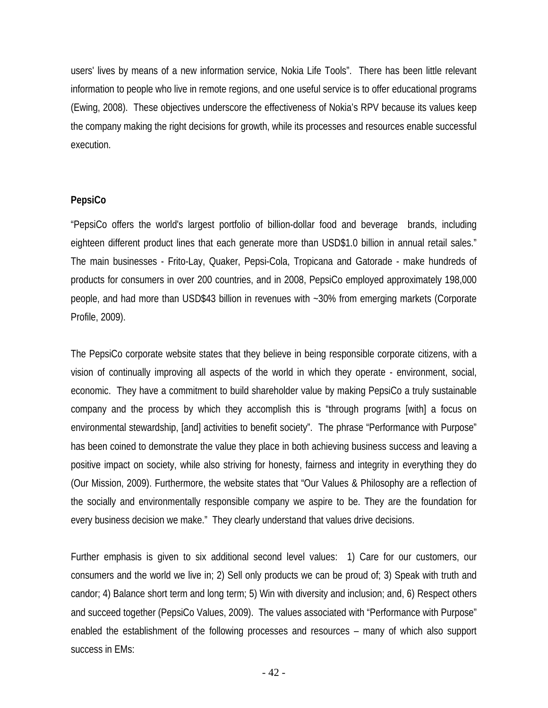users' lives by means of a new information service, Nokia Life Tools". There has been little relevant information to people who live in remote regions, and one useful service is to offer educational programs (Ewing, 2008). These objectives underscore the effectiveness of Nokia's RPV because its values keep the company making the right decisions for growth, while its processes and resources enable successful execution.

### **PepsiCo**

"PepsiCo offers the world's largest portfolio of billion-dollar food and beverage brands, including eighteen different product lines that each generate more than USD\$1.0 billion in annual retail sales." The main businesses - Frito-Lay, Quaker, Pepsi-Cola, Tropicana and Gatorade - make hundreds of products for consumers in over 200 countries, and in 2008, PepsiCo employed approximately 198,000 people, and had more than USD\$43 billion in revenues with ~30% from emerging markets (Corporate Profile, 2009).

The PepsiCo corporate website states that they believe in being responsible corporate citizens, with a vision of continually improving all aspects of the world in which they operate - environment, social, economic. They have a commitment to build shareholder value by making PepsiCo a truly sustainable company and the process by which they accomplish this is "through programs [with] a focus on environmental stewardship, [and] activities to benefit society". The phrase "Performance with Purpose" has been coined to demonstrate the value they place in both achieving business success and leaving a positive impact on society, while also striving for honesty, fairness and integrity in everything they do (Our Mission, 2009). Furthermore, the website states that "Our Values & Philosophy are a reflection of the socially and environmentally responsible company we aspire to be. They are the foundation for every business decision we make." They clearly understand that values drive decisions.

Further emphasis is given to six additional second level values: 1) Care for our customers, our consumers and the world we live in; 2) Sell only products we can be proud of; 3) Speak with truth and candor; 4) Balance short term and long term; 5) Win with diversity and inclusion; and, 6) Respect others and succeed together (PepsiCo Values, 2009). The values associated with "Performance with Purpose" enabled the establishment of the following processes and resources – many of which also support success in EMs: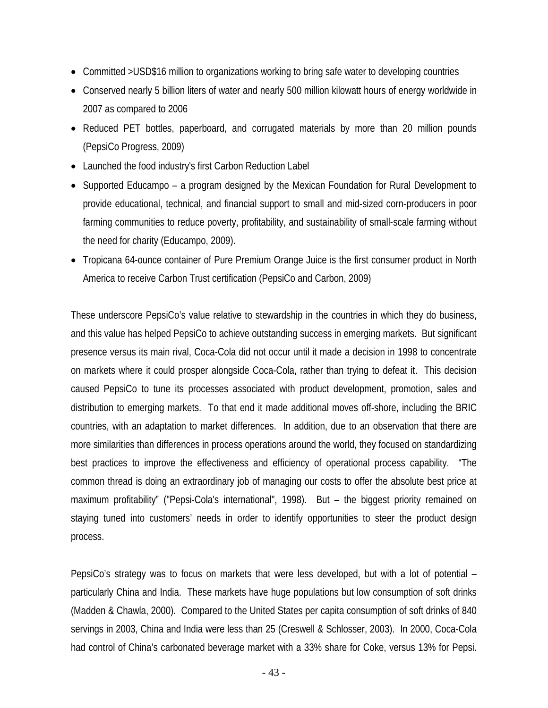- Committed >USD\$16 million to organizations working to bring safe water to developing countries
- Conserved nearly 5 billion liters of water and nearly 500 million kilowatt hours of energy worldwide in 2007 as compared to 2006
- Reduced PET bottles, paperboard, and corrugated materials by more than 20 million pounds (PepsiCo Progress, 2009)
- Launched the food industry's first Carbon Reduction Label
- Supported Educampo a program designed by the Mexican Foundation for Rural Development to provide educational, technical, and financial support to small and mid-sized corn-producers in poor farming communities to reduce poverty, profitability, and sustainability of small-scale farming without the need for charity (Educampo, 2009).
- Tropicana 64-ounce container of Pure Premium Orange Juice is the first consumer product in North America to receive Carbon Trust certification (PepsiCo and Carbon, 2009)

These underscore PepsiCo's value relative to stewardship in the countries in which they do business, and this value has helped PepsiCo to achieve outstanding success in emerging markets. But significant presence versus its main rival, Coca-Cola did not occur until it made a decision in 1998 to concentrate on markets where it could prosper alongside Coca-Cola, rather than trying to defeat it. This decision caused PepsiCo to tune its processes associated with product development, promotion, sales and distribution to emerging markets. To that end it made additional moves off-shore, including the BRIC countries, with an adaptation to market differences. In addition, due to an observation that there are more similarities than differences in process operations around the world, they focused on standardizing best practices to improve the effectiveness and efficiency of operational process capability. "The common thread is doing an extraordinary job of managing our costs to offer the absolute best price at maximum profitability" ("Pepsi-Cola's international", 1998). But – the biggest priority remained on staying tuned into customers' needs in order to identify opportunities to steer the product design process.

PepsiCo's strategy was to focus on markets that were less developed, but with a lot of potential – particularly China and India. These markets have huge populations but low consumption of soft drinks (Madden & Chawla, 2000). Compared to the United States per capita consumption of soft drinks of 840 servings in 2003, China and India were less than 25 (Creswell & Schlosser, 2003). In 2000, Coca-Cola had control of China's carbonated beverage market with a 33% share for Coke, versus 13% for Pepsi.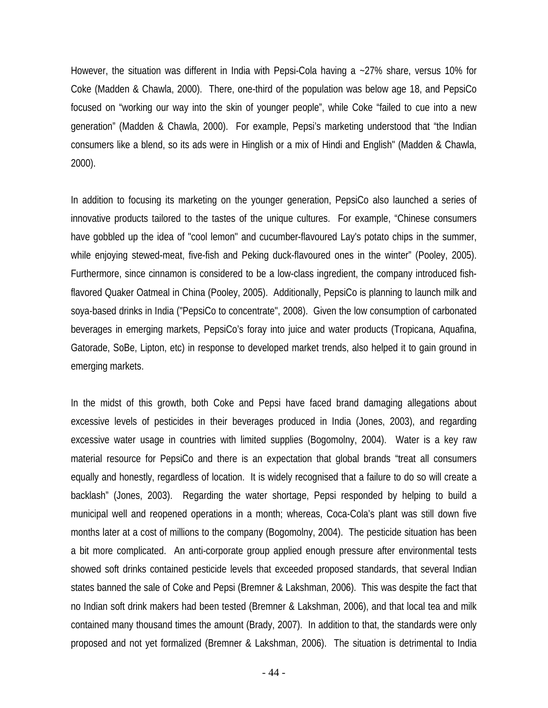However, the situation was different in India with Pepsi-Cola having a ~27% share, versus 10% for Coke (Madden & Chawla, 2000). There, one-third of the population was below age 18, and PepsiCo focused on "working our way into the skin of younger people", while Coke "failed to cue into a new generation" (Madden & Chawla, 2000). For example, Pepsi's marketing understood that "the Indian consumers like a blend, so its ads were in Hinglish or a mix of Hindi and English" (Madden & Chawla, 2000).

In addition to focusing its marketing on the younger generation, PepsiCo also launched a series of innovative products tailored to the tastes of the unique cultures. For example, "Chinese consumers have gobbled up the idea of "cool lemon" and cucumber-flavoured Lay's potato chips in the summer, while enjoying stewed-meat, five-fish and Peking duck-flavoured ones in the winter" (Pooley, 2005). Furthermore, since cinnamon is considered to be a low-class ingredient, the company introduced fishflavored Quaker Oatmeal in China (Pooley, 2005). Additionally, PepsiCo is planning to launch milk and soya-based drinks in India ("PepsiCo to concentrate", 2008). Given the low consumption of carbonated beverages in emerging markets, PepsiCo's foray into juice and water products (Tropicana, Aquafina, Gatorade, SoBe, Lipton, etc) in response to developed market trends, also helped it to gain ground in emerging markets.

In the midst of this growth, both Coke and Pepsi have faced brand damaging allegations about excessive levels of pesticides in their beverages produced in India (Jones, 2003), and regarding excessive water usage in countries with limited supplies (Bogomolny, 2004). Water is a key raw material resource for PepsiCo and there is an expectation that global brands "treat all consumers equally and honestly, regardless of location. It is widely recognised that a failure to do so will create a backlash" (Jones, 2003). Regarding the water shortage, Pepsi responded by helping to build a municipal well and reopened operations in a month; whereas, Coca-Cola's plant was still down five months later at a cost of millions to the company (Bogomolny, 2004). The pesticide situation has been a bit more complicated. An anti-corporate group applied enough pressure after environmental tests showed soft drinks contained pesticide levels that exceeded proposed standards, that several Indian states banned the sale of Coke and Pepsi (Bremner & Lakshman, 2006). This was despite the fact that no Indian soft drink makers had been tested (Bremner & Lakshman, 2006), and that local tea and milk contained many thousand times the amount (Brady, 2007). In addition to that, the standards were only proposed and not yet formalized (Bremner & Lakshman, 2006). The situation is detrimental to India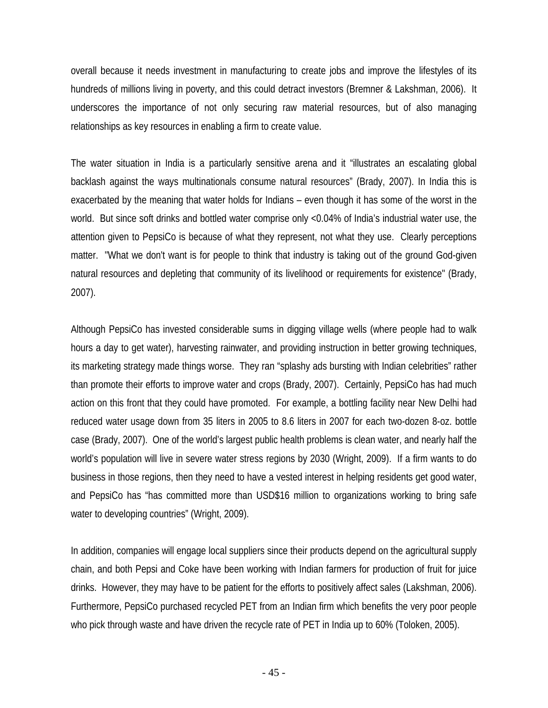overall because it needs investment in manufacturing to create jobs and improve the lifestyles of its hundreds of millions living in poverty, and this could detract investors (Bremner & Lakshman, 2006). It underscores the importance of not only securing raw material resources, but of also managing relationships as key resources in enabling a firm to create value.

The water situation in India is a particularly sensitive arena and it "illustrates an escalating global backlash against the ways multinationals consume natural resources" (Brady, 2007). In India this is exacerbated by the meaning that water holds for Indians – even though it has some of the worst in the world. But since soft drinks and bottled water comprise only <0.04% of India's industrial water use, the attention given to PepsiCo is because of what they represent, not what they use. Clearly perceptions matter. "What we don't want is for people to think that industry is taking out of the ground God-given natural resources and depleting that community of its livelihood or requirements for existence" (Brady, 2007).

Although PepsiCo has invested considerable sums in digging village wells (where people had to walk hours a day to get water), harvesting rainwater, and providing instruction in better growing techniques, its marketing strategy made things worse. They ran "splashy ads bursting with Indian celebrities" rather than promote their efforts to improve water and crops (Brady, 2007). Certainly, PepsiCo has had much action on this front that they could have promoted. For example, a bottling facility near New Delhi had reduced water usage down from 35 liters in 2005 to 8.6 liters in 2007 for each two-dozen 8-oz. bottle case (Brady, 2007). One of the world's largest public health problems is clean water, and nearly half the world's population will live in severe water stress regions by 2030 (Wright, 2009). If a firm wants to do business in those regions, then they need to have a vested interest in helping residents get good water, and PepsiCo has "has committed more than USD\$16 million to organizations working to bring safe water to developing countries" (Wright, 2009).

In addition, companies will engage local suppliers since their products depend on the agricultural supply chain, and both Pepsi and Coke have been working with Indian farmers for production of fruit for juice drinks. However, they may have to be patient for the efforts to positively affect sales (Lakshman, 2006). Furthermore, PepsiCo purchased recycled PET from an Indian firm which benefits the very poor people who pick through waste and have driven the recycle rate of PET in India up to 60% (Toloken, 2005).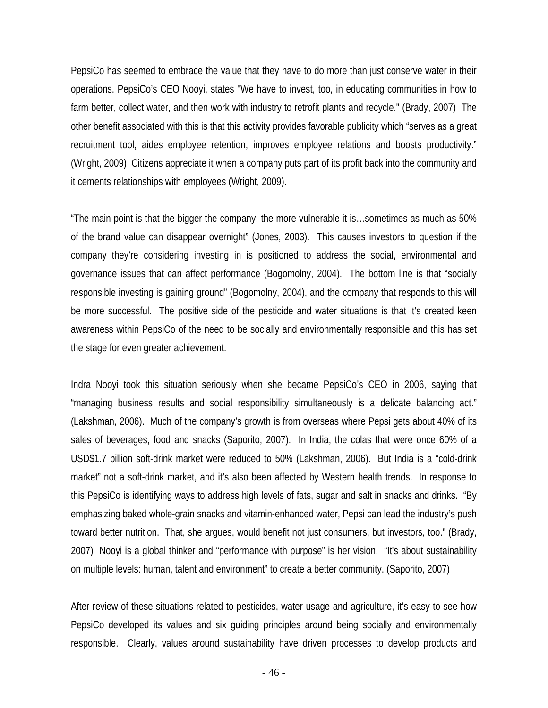PepsiCo has seemed to embrace the value that they have to do more than just conserve water in their operations. PepsiCo's CEO Nooyi, states "We have to invest, too, in educating communities in how to farm better, collect water, and then work with industry to retrofit plants and recycle." (Brady, 2007) The other benefit associated with this is that this activity provides favorable publicity which "serves as a great recruitment tool, aides employee retention, improves employee relations and boosts productivity." (Wright, 2009) Citizens appreciate it when a company puts part of its profit back into the community and it cements relationships with employees (Wright, 2009).

"The main point is that the bigger the company, the more vulnerable it is…sometimes as much as 50% of the brand value can disappear overnight" (Jones, 2003). This causes investors to question if the company they're considering investing in is positioned to address the social, environmental and governance issues that can affect performance (Bogomolny, 2004). The bottom line is that "socially responsible investing is gaining ground" (Bogomolny, 2004), and the company that responds to this will be more successful. The positive side of the pesticide and water situations is that it's created keen awareness within PepsiCo of the need to be socially and environmentally responsible and this has set the stage for even greater achievement.

Indra Nooyi took this situation seriously when she became PepsiCo's CEO in 2006, saying that "managing business results and social responsibility simultaneously is a delicate balancing act." (Lakshman, 2006). Much of the company's growth is from overseas where Pepsi gets about 40% of its sales of beverages, food and snacks (Saporito, 2007). In India, the colas that were once 60% of a USD\$1.7 billion soft-drink market were reduced to 50% (Lakshman, 2006). But India is a "cold-drink market" not a soft-drink market, and it's also been affected by Western health trends. In response to this PepsiCo is identifying ways to address high levels of fats, sugar and salt in snacks and drinks. "By emphasizing baked whole-grain snacks and vitamin-enhanced water, Pepsi can lead the industry's push toward better nutrition. That, she argues, would benefit not just consumers, but investors, too." (Brady, 2007) Nooyi is a global thinker and "performance with purpose" is her vision. "It's about sustainability on multiple levels: human, talent and environment" to create a better community. (Saporito, 2007)

After review of these situations related to pesticides, water usage and agriculture, it's easy to see how PepsiCo developed its values and six guiding principles around being socially and environmentally responsible. Clearly, values around sustainability have driven processes to develop products and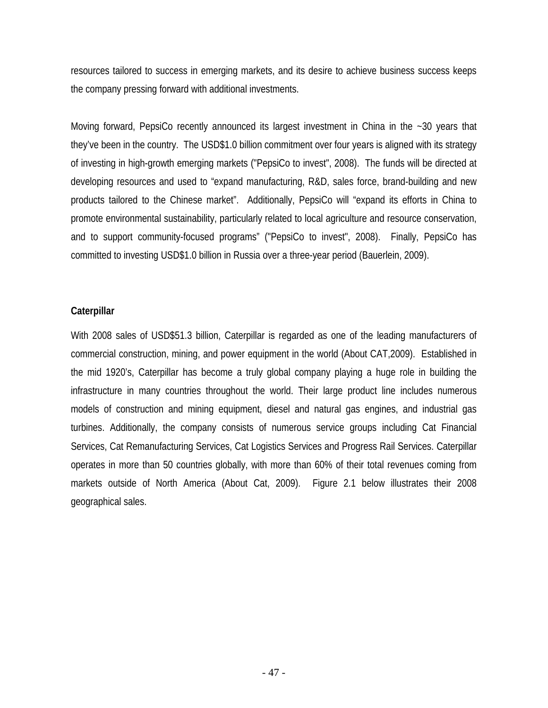resources tailored to success in emerging markets, and its desire to achieve business success keeps the company pressing forward with additional investments.

Moving forward, PepsiCo recently announced its largest investment in China in the ~30 years that they've been in the country. The USD\$1.0 billion commitment over four years is aligned with its strategy of investing in high-growth emerging markets ("PepsiCo to invest", 2008). The funds will be directed at developing resources and used to "expand manufacturing, R&D, sales force, brand-building and new products tailored to the Chinese market". Additionally, PepsiCo will "expand its efforts in China to promote environmental sustainability, particularly related to local agriculture and resource conservation, and to support community-focused programs" ("PepsiCo to invest", 2008). Finally, PepsiCo has committed to investing USD\$1.0 billion in Russia over a three-year period (Bauerlein, 2009).

### **Caterpillar**

With 2008 sales of USD\$51.3 billion, Caterpillar is regarded as one of the leading manufacturers of commercial construction, mining, and power equipment in the world (About CAT,2009). Established in the mid 1920's, Caterpillar has become a truly global company playing a huge role in building the infrastructure in many countries throughout the world. Their large product line includes numerous models of construction and mining equipment, diesel and natural gas engines, and industrial gas turbines. Additionally, the company consists of numerous service groups including Cat Financial Services, Cat Remanufacturing Services, Cat Logistics Services and Progress Rail Services. Caterpillar operates in more than 50 countries globally, with more than 60% of their total revenues coming from markets outside of North America (About Cat, 2009). Figure 2.1 below illustrates their 2008 geographical sales.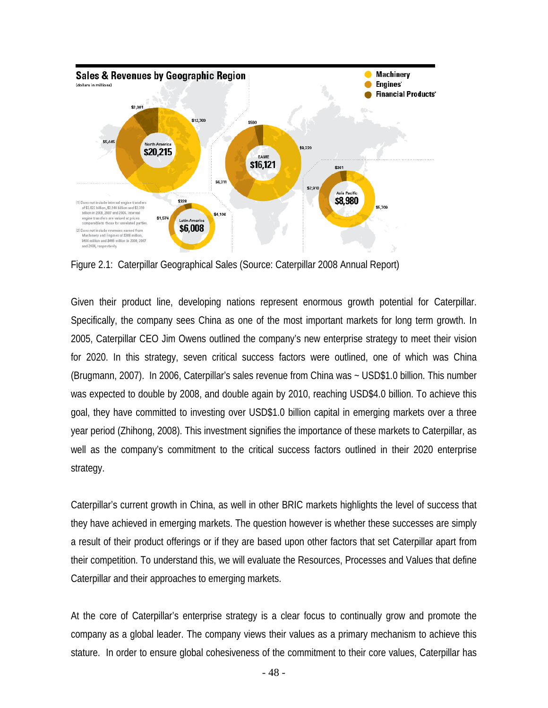

Figure 2.1: Caterpillar Geographical Sales (Source: Caterpillar 2008 Annual Report)

Given their product line, developing nations represent enormous growth potential for Caterpillar. Specifically, the company sees China as one of the most important markets for long term growth. In 2005, Caterpillar CEO Jim Owens outlined the company's new enterprise strategy to meet their vision for 2020. In this strategy, seven critical success factors were outlined, one of which was China (Brugmann, 2007). In 2006, Caterpillar's sales revenue from China was ~ USD\$1.0 billion. This number was expected to double by 2008, and double again by 2010, reaching USD\$4.0 billion. To achieve this goal, they have committed to investing over USD\$1.0 billion capital in emerging markets over a three year period (Zhihong, 2008). This investment signifies the importance of these markets to Caterpillar, as well as the company's commitment to the critical success factors outlined in their 2020 enterprise strategy.

Caterpillar's current growth in China, as well in other BRIC markets highlights the level of success that they have achieved in emerging markets. The question however is whether these successes are simply a result of their product offerings or if they are based upon other factors that set Caterpillar apart from their competition. To understand this, we will evaluate the Resources, Processes and Values that define Caterpillar and their approaches to emerging markets.

At the core of Caterpillar's enterprise strategy is a clear focus to continually grow and promote the company as a global leader. The company views their values as a primary mechanism to achieve this stature. In order to ensure global cohesiveness of the commitment to their core values, Caterpillar has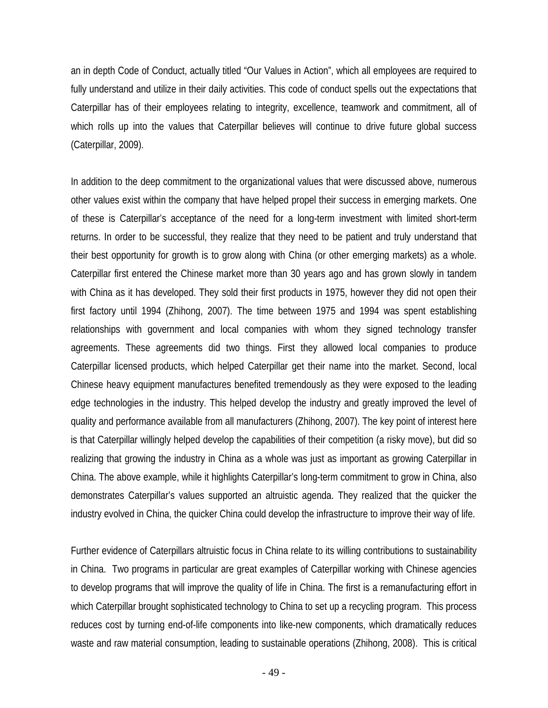an in depth Code of Conduct, actually titled "Our Values in Action", which all employees are required to fully understand and utilize in their daily activities. This code of conduct spells out the expectations that Caterpillar has of their employees relating to integrity, excellence, teamwork and commitment, all of which rolls up into the values that Caterpillar believes will continue to drive future global success (Caterpillar, 2009).

In addition to the deep commitment to the organizational values that were discussed above, numerous other values exist within the company that have helped propel their success in emerging markets. One of these is Caterpillar's acceptance of the need for a long-term investment with limited short-term returns. In order to be successful, they realize that they need to be patient and truly understand that their best opportunity for growth is to grow along with China (or other emerging markets) as a whole. Caterpillar first entered the Chinese market more than 30 years ago and has grown slowly in tandem with China as it has developed. They sold their first products in 1975, however they did not open their first factory until 1994 (Zhihong, 2007). The time between 1975 and 1994 was spent establishing relationships with government and local companies with whom they signed technology transfer agreements. These agreements did two things. First they allowed local companies to produce Caterpillar licensed products, which helped Caterpillar get their name into the market. Second, local Chinese heavy equipment manufactures benefited tremendously as they were exposed to the leading edge technologies in the industry. This helped develop the industry and greatly improved the level of quality and performance available from all manufacturers (Zhihong, 2007). The key point of interest here is that Caterpillar willingly helped develop the capabilities of their competition (a risky move), but did so realizing that growing the industry in China as a whole was just as important as growing Caterpillar in China. The above example, while it highlights Caterpillar's long-term commitment to grow in China, also demonstrates Caterpillar's values supported an altruistic agenda. They realized that the quicker the industry evolved in China, the quicker China could develop the infrastructure to improve their way of life.

Further evidence of Caterpillars altruistic focus in China relate to its willing contributions to sustainability in China. Two programs in particular are great examples of Caterpillar working with Chinese agencies to develop programs that will improve the quality of life in China. The first is a remanufacturing effort in which Caterpillar brought sophisticated technology to China to set up a recycling program. This process reduces cost by turning end-of-life components into like-new components, which dramatically reduces waste and raw material consumption, leading to sustainable operations (Zhihong, 2008). This is critical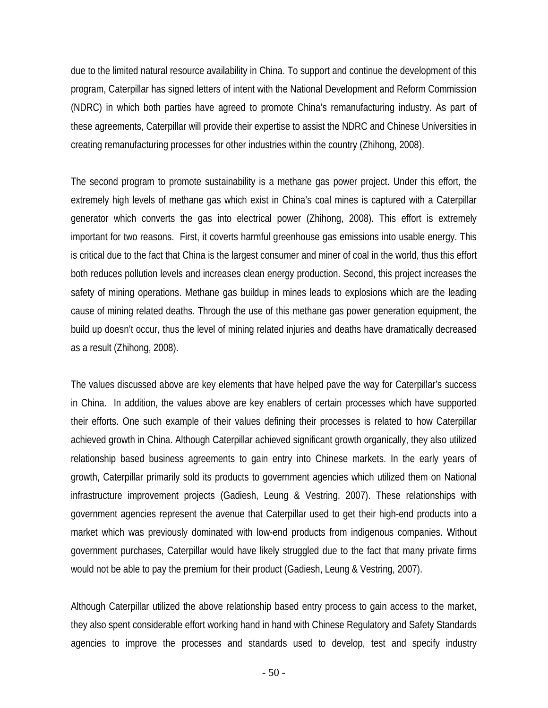due to the limited natural resource availability in China. To support and continue the development of this program, Caterpillar has signed letters of intent with the National Development and Reform Commission (NDRC) in which both parties have agreed to promote China's remanufacturing industry. As part of these agreements, Caterpillar will provide their expertise to assist the NDRC and Chinese Universities in creating remanufacturing processes for other industries within the country (Zhihong, 2008).

The second program to promote sustainability is a methane gas power project. Under this effort, the extremely high levels of methane gas which exist in China's coal mines is captured with a Caterpillar generator which converts the gas into electrical power (Zhihong, 2008). This effort is extremely important for two reasons. First, it coverts harmful greenhouse gas emissions into usable energy. This is critical due to the fact that China is the largest consumer and miner of coal in the world, thus this effort both reduces pollution levels and increases clean energy production. Second, this project increases the safety of mining operations. Methane gas buildup in mines leads to explosions which are the leading cause of mining related deaths. Through the use of this methane gas power generation equipment, the build up doesn't occur, thus the level of mining related injuries and deaths have dramatically decreased as a result (Zhihong, 2008).

The values discussed above are key elements that have helped pave the way for Caterpillar's success in China. In addition, the values above are key enablers of certain processes which have supported their efforts. One such example of their values defining their processes is related to how Caterpillar achieved growth in China. Although Caterpillar achieved significant growth organically, they also utilized relationship based business agreements to gain entry into Chinese markets. In the early years of growth, Caterpillar primarily sold its products to government agencies which utilized them on National infrastructure improvement projects (Gadiesh, Leung & Vestring, 2007). These relationships with government agencies represent the avenue that Caterpillar used to get their high-end products into a market which was previously dominated with low-end products from indigenous companies. Without government purchases, Caterpillar would have likely struggled due to the fact that many private firms would not be able to pay the premium for their product (Gadiesh, Leung & Vestring, 2007).

Although Caterpillar utilized the above relationship based entry process to gain access to the market, they also spent considerable effort working hand in hand with Chinese Regulatory and Safety Standards agencies to improve the processes and standards used to develop, test and specify industry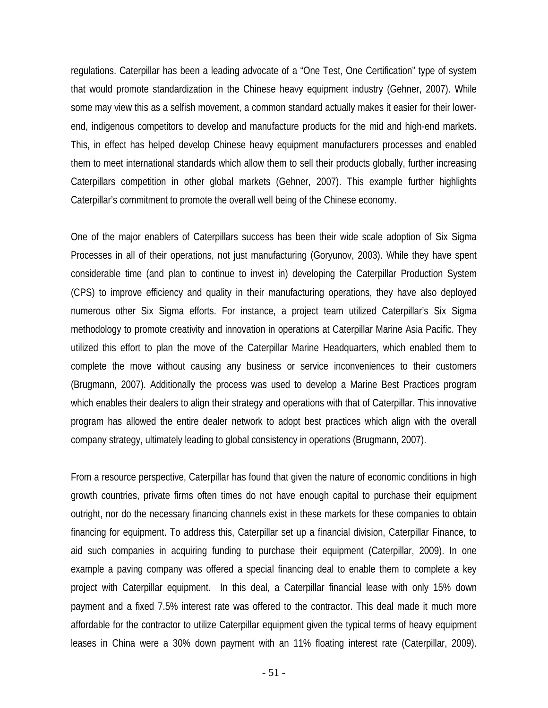regulations. Caterpillar has been a leading advocate of a "One Test, One Certification" type of system that would promote standardization in the Chinese heavy equipment industry (Gehner, 2007). While some may view this as a selfish movement, a common standard actually makes it easier for their lowerend, indigenous competitors to develop and manufacture products for the mid and high-end markets. This, in effect has helped develop Chinese heavy equipment manufacturers processes and enabled them to meet international standards which allow them to sell their products globally, further increasing Caterpillars competition in other global markets (Gehner, 2007). This example further highlights Caterpillar's commitment to promote the overall well being of the Chinese economy.

One of the major enablers of Caterpillars success has been their wide scale adoption of Six Sigma Processes in all of their operations, not just manufacturing (Goryunov, 2003). While they have spent considerable time (and plan to continue to invest in) developing the Caterpillar Production System (CPS) to improve efficiency and quality in their manufacturing operations, they have also deployed numerous other Six Sigma efforts. For instance, a project team utilized Caterpillar's Six Sigma methodology to promote creativity and innovation in operations at Caterpillar Marine Asia Pacific. They utilized this effort to plan the move of the Caterpillar Marine Headquarters, which enabled them to complete the move without causing any business or service inconveniences to their customers (Brugmann, 2007). Additionally the process was used to develop a Marine Best Practices program which enables their dealers to align their strategy and operations with that of Caterpillar. This innovative program has allowed the entire dealer network to adopt best practices which align with the overall company strategy, ultimately leading to global consistency in operations (Brugmann, 2007).

From a resource perspective, Caterpillar has found that given the nature of economic conditions in high growth countries, private firms often times do not have enough capital to purchase their equipment outright, nor do the necessary financing channels exist in these markets for these companies to obtain financing for equipment. To address this, Caterpillar set up a financial division, Caterpillar Finance, to aid such companies in acquiring funding to purchase their equipment (Caterpillar, 2009). In one example a paving company was offered a special financing deal to enable them to complete a key project with Caterpillar equipment. In this deal, a Caterpillar financial lease with only 15% down payment and a fixed 7.5% interest rate was offered to the contractor. This deal made it much more affordable for the contractor to utilize Caterpillar equipment given the typical terms of heavy equipment leases in China were a 30% down payment with an 11% floating interest rate (Caterpillar, 2009).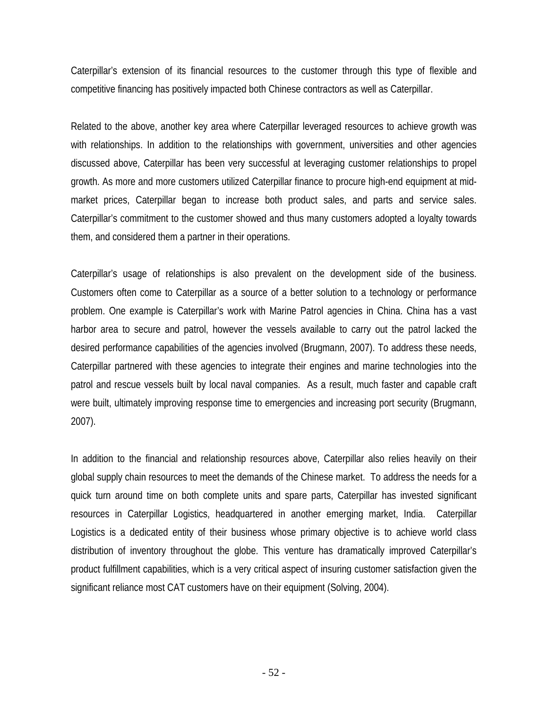Caterpillar's extension of its financial resources to the customer through this type of flexible and competitive financing has positively impacted both Chinese contractors as well as Caterpillar.

Related to the above, another key area where Caterpillar leveraged resources to achieve growth was with relationships. In addition to the relationships with government, universities and other agencies discussed above, Caterpillar has been very successful at leveraging customer relationships to propel growth. As more and more customers utilized Caterpillar finance to procure high-end equipment at midmarket prices, Caterpillar began to increase both product sales, and parts and service sales. Caterpillar's commitment to the customer showed and thus many customers adopted a loyalty towards them, and considered them a partner in their operations.

Caterpillar's usage of relationships is also prevalent on the development side of the business. Customers often come to Caterpillar as a source of a better solution to a technology or performance problem. One example is Caterpillar's work with Marine Patrol agencies in China. China has a vast harbor area to secure and patrol, however the vessels available to carry out the patrol lacked the desired performance capabilities of the agencies involved (Brugmann, 2007). To address these needs, Caterpillar partnered with these agencies to integrate their engines and marine technologies into the patrol and rescue vessels built by local naval companies. As a result, much faster and capable craft were built, ultimately improving response time to emergencies and increasing port security (Brugmann, 2007).

In addition to the financial and relationship resources above, Caterpillar also relies heavily on their global supply chain resources to meet the demands of the Chinese market. To address the needs for a quick turn around time on both complete units and spare parts, Caterpillar has invested significant resources in Caterpillar Logistics, headquartered in another emerging market, India. Caterpillar Logistics is a dedicated entity of their business whose primary objective is to achieve world class distribution of inventory throughout the globe. This venture has dramatically improved Caterpillar's product fulfillment capabilities, which is a very critical aspect of insuring customer satisfaction given the significant reliance most CAT customers have on their equipment (Solving, 2004).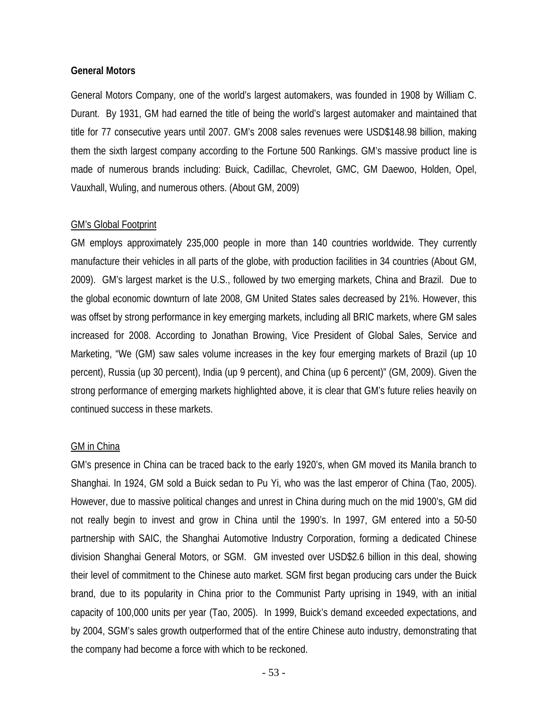#### **General Motors**

General Motors Company, one of the world's largest automakers, was founded in 1908 by William C. Durant. By 1931, GM had earned the title of being the world's largest automaker and maintained that title for 77 consecutive years until 2007. GM's 2008 sales revenues were USD\$148.98 billion, making them the sixth largest company according to the Fortune 500 Rankings. GM's massive product line is made of numerous brands including: Buick, Cadillac, Chevrolet, GMC, GM Daewoo, Holden, Opel, Vauxhall, Wuling, and numerous others. (About GM, 2009)

### GM's Global Footprint

GM employs approximately 235,000 people in more than 140 countries worldwide. They currently manufacture their vehicles in all parts of the globe, with production facilities in 34 countries (About GM, 2009). GM's largest market is the U.S., followed by two emerging markets, China and Brazil. Due to the global economic downturn of late 2008, GM United States sales decreased by 21%. However, this was offset by strong performance in key emerging markets, including all BRIC markets, where GM sales increased for 2008. According to Jonathan Browing, Vice President of Global Sales, Service and Marketing, "We (GM) saw sales volume increases in the key four emerging markets of Brazil (up 10 percent), Russia (up 30 percent), India (up 9 percent), and China (up 6 percent)" (GM, 2009). Given the strong performance of emerging markets highlighted above, it is clear that GM's future relies heavily on continued success in these markets.

#### GM in China

GM's presence in China can be traced back to the early 1920's, when GM moved its Manila branch to Shanghai. In 1924, GM sold a Buick sedan to Pu Yi, who was the last emperor of China (Tao, 2005). However, due to massive political changes and unrest in China during much on the mid 1900's, GM did not really begin to invest and grow in China until the 1990's. In 1997, GM entered into a 50-50 partnership with SAIC, the Shanghai Automotive Industry Corporation, forming a dedicated Chinese division Shanghai General Motors, or SGM. GM invested over USD\$2.6 billion in this deal, showing their level of commitment to the Chinese auto market. SGM first began producing cars under the Buick brand, due to its popularity in China prior to the Communist Party uprising in 1949, with an initial capacity of 100,000 units per year (Tao, 2005). In 1999, Buick's demand exceeded expectations, and by 2004, SGM's sales growth outperformed that of the entire Chinese auto industry, demonstrating that the company had become a force with which to be reckoned.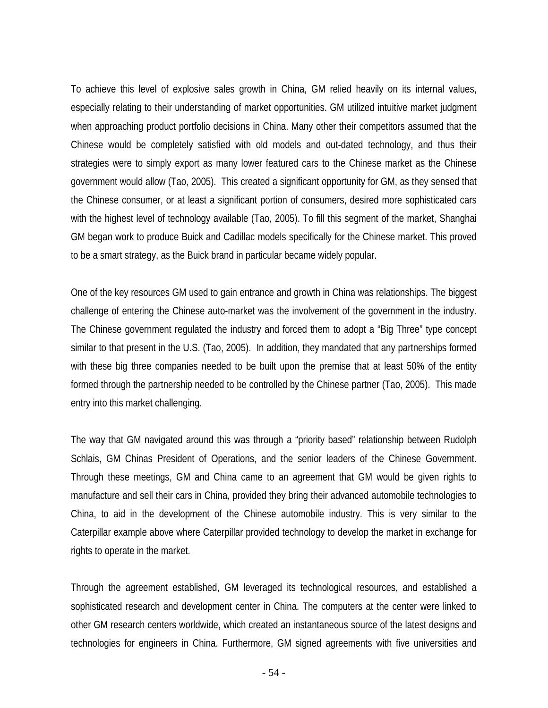To achieve this level of explosive sales growth in China, GM relied heavily on its internal values, especially relating to their understanding of market opportunities. GM utilized intuitive market judgment when approaching product portfolio decisions in China. Many other their competitors assumed that the Chinese would be completely satisfied with old models and out-dated technology, and thus their strategies were to simply export as many lower featured cars to the Chinese market as the Chinese government would allow (Tao, 2005). This created a significant opportunity for GM, as they sensed that the Chinese consumer, or at least a significant portion of consumers, desired more sophisticated cars with the highest level of technology available (Tao, 2005). To fill this segment of the market, Shanghai GM began work to produce Buick and Cadillac models specifically for the Chinese market. This proved to be a smart strategy, as the Buick brand in particular became widely popular.

One of the key resources GM used to gain entrance and growth in China was relationships. The biggest challenge of entering the Chinese auto-market was the involvement of the government in the industry. The Chinese government regulated the industry and forced them to adopt a "Big Three" type concept similar to that present in the U.S. (Tao, 2005). In addition, they mandated that any partnerships formed with these big three companies needed to be built upon the premise that at least 50% of the entity formed through the partnership needed to be controlled by the Chinese partner (Tao, 2005). This made entry into this market challenging.

The way that GM navigated around this was through a "priority based" relationship between Rudolph Schlais, GM Chinas President of Operations, and the senior leaders of the Chinese Government. Through these meetings, GM and China came to an agreement that GM would be given rights to manufacture and sell their cars in China, provided they bring their advanced automobile technologies to China, to aid in the development of the Chinese automobile industry. This is very similar to the Caterpillar example above where Caterpillar provided technology to develop the market in exchange for rights to operate in the market.

Through the agreement established, GM leveraged its technological resources, and established a sophisticated research and development center in China. The computers at the center were linked to other GM research centers worldwide, which created an instantaneous source of the latest designs and technologies for engineers in China. Furthermore, GM signed agreements with five universities and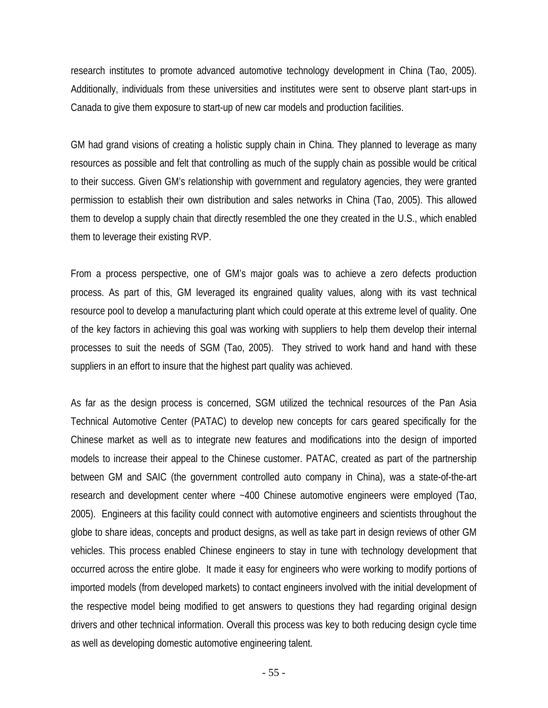research institutes to promote advanced automotive technology development in China (Tao, 2005). Additionally, individuals from these universities and institutes were sent to observe plant start-ups in Canada to give them exposure to start-up of new car models and production facilities.

GM had grand visions of creating a holistic supply chain in China. They planned to leverage as many resources as possible and felt that controlling as much of the supply chain as possible would be critical to their success. Given GM's relationship with government and regulatory agencies, they were granted permission to establish their own distribution and sales networks in China (Tao, 2005). This allowed them to develop a supply chain that directly resembled the one they created in the U.S., which enabled them to leverage their existing RVP.

From a process perspective, one of GM's major goals was to achieve a zero defects production process. As part of this, GM leveraged its engrained quality values, along with its vast technical resource pool to develop a manufacturing plant which could operate at this extreme level of quality. One of the key factors in achieving this goal was working with suppliers to help them develop their internal processes to suit the needs of SGM (Tao, 2005). They strived to work hand and hand with these suppliers in an effort to insure that the highest part quality was achieved.

As far as the design process is concerned, SGM utilized the technical resources of the Pan Asia Technical Automotive Center (PATAC) to develop new concepts for cars geared specifically for the Chinese market as well as to integrate new features and modifications into the design of imported models to increase their appeal to the Chinese customer. PATAC, created as part of the partnership between GM and SAIC (the government controlled auto company in China), was a state-of-the-art research and development center where ~400 Chinese automotive engineers were employed (Tao, 2005). Engineers at this facility could connect with automotive engineers and scientists throughout the globe to share ideas, concepts and product designs, as well as take part in design reviews of other GM vehicles. This process enabled Chinese engineers to stay in tune with technology development that occurred across the entire globe. It made it easy for engineers who were working to modify portions of imported models (from developed markets) to contact engineers involved with the initial development of the respective model being modified to get answers to questions they had regarding original design drivers and other technical information. Overall this process was key to both reducing design cycle time as well as developing domestic automotive engineering talent.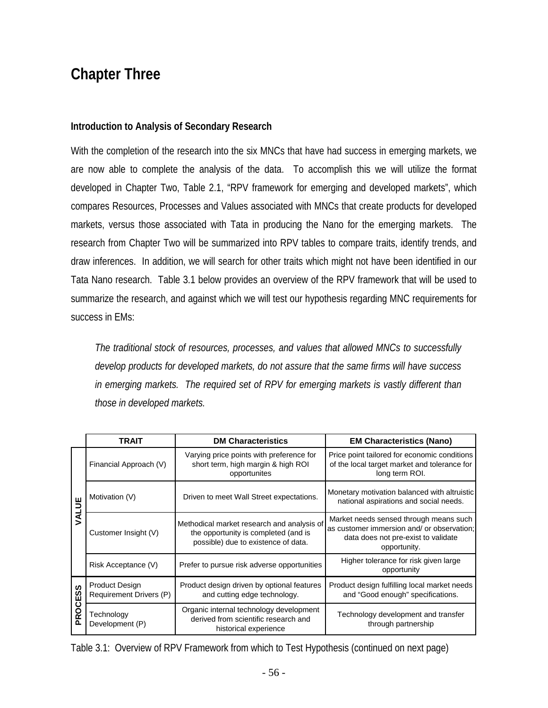# **Chapter Three**

## **Introduction to Analysis of Secondary Research**

With the completion of the research into the six MNCs that have had success in emerging markets, we are now able to complete the analysis of the data. To accomplish this we will utilize the format developed in Chapter Two, Table 2.1, "RPV framework for emerging and developed markets", which compares Resources, Processes and Values associated with MNCs that create products for developed markets, versus those associated with Tata in producing the Nano for the emerging markets. The research from Chapter Two will be summarized into RPV tables to compare traits, identify trends, and draw inferences. In addition, we will search for other traits which might not have been identified in our Tata Nano research. Table 3.1 below provides an overview of the RPV framework that will be used to summarize the research, and against which we will test our hypothesis regarding MNC requirements for success in EMs:

*The traditional stock of resources, processes, and values that allowed MNCs to successfully develop products for developed markets, do not assure that the same firms will have success in emerging markets. The required set of RPV for emerging markets is vastly different than those in developed markets.* 

|                  | <b>TRAIT</b>                                     | <b>DM Characteristics</b>                                                                                                 | <b>EM Characteristics (Nano)</b>                                                                                                            |
|------------------|--------------------------------------------------|---------------------------------------------------------------------------------------------------------------------------|---------------------------------------------------------------------------------------------------------------------------------------------|
|                  | Financial Approach (V)                           | Varying price points with preference for<br>short term, high margin & high ROI<br>opportunites                            | Price point tailored for economic conditions<br>of the local target market and tolerance for<br>long term ROI.                              |
| у                | Motivation (V)                                   | Driven to meet Wall Street expectations.                                                                                  | Monetary motivation balanced with altruistic<br>national aspirations and social needs.                                                      |
| ⊥<br>≷           | Customer Insight (V)                             | Methodical market research and analysis of<br>the opportunity is completed (and is<br>possible) due to existence of data. | Market needs sensed through means such<br>as customer immersion and/ or observation;<br>data does not pre-exist to validate<br>opportunity. |
|                  | Risk Acceptance (V)                              | Prefer to pursue risk adverse opportunities                                                                               | Higher tolerance for risk given large<br>opportunity                                                                                        |
| <b>S</b><br>ÖES. | <b>Product Design</b><br>Requirement Drivers (P) | Product design driven by optional features<br>and cutting edge technology.                                                | Product design fulfilling local market needs<br>and "Good enough" specifications.                                                           |
| <b>PRO</b>       | Technology<br>Development (P)                    | Organic internal technology development<br>derived from scientific research and<br>historical experience                  | Technology development and transfer<br>through partnership                                                                                  |

| Table 3.1: Overview of RPV Framework from which to Test Hypothesis (continued on next page) |  |  |
|---------------------------------------------------------------------------------------------|--|--|
|---------------------------------------------------------------------------------------------|--|--|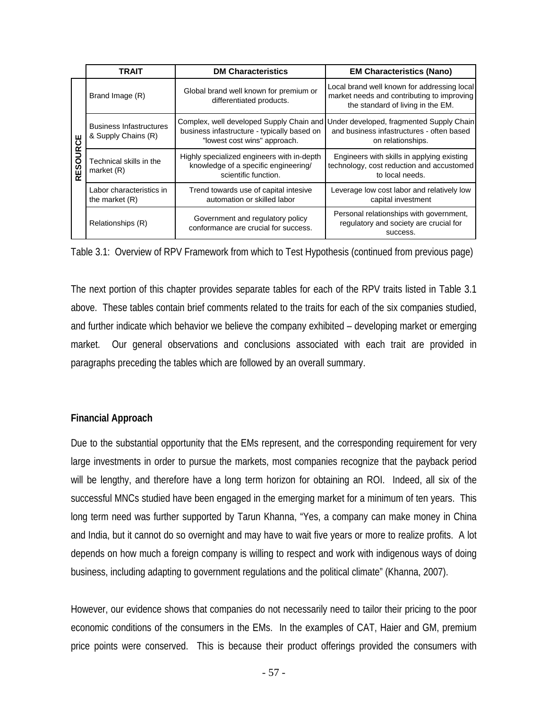|                                              | TRAIT                                                 | <b>DM Characteristics</b>                                                                                  | <b>EM Characteristics (Nano)</b>                                                                                                                    |
|----------------------------------------------|-------------------------------------------------------|------------------------------------------------------------------------------------------------------------|-----------------------------------------------------------------------------------------------------------------------------------------------------|
|                                              | Brand Image (R)                                       | Global brand well known for premium or<br>differentiated products.                                         | Local brand well known for addressing local<br>market needs and contributing to improving<br>the standard of living in the EM.                      |
| ပ္ပ                                          | <b>Business Infastructures</b><br>& Supply Chains (R) | business infastructure - typically based on<br>"lowest cost wins" approach.                                | Complex, well developed Supply Chain and Under developed, fragmented Supply Chain<br>and business infastructures - often based<br>on relationships. |
| œ<br>o<br>Ŵ,<br>ш<br>$\overline{\mathbf{r}}$ | Technical skills in the<br>market (R)                 | Highly specialized engineers with in-depth<br>knowledge of a specific engineering/<br>scientific function. | Engineers with skills in applying existing<br>technology, cost reduction and accustomed<br>to local needs.                                          |
|                                              | Labor characteristics in<br>the market $(R)$          | Trend towards use of capital intesive<br>automation or skilled labor                                       | Leverage low cost labor and relatively low<br>capital investment                                                                                    |
|                                              | Relationships (R)                                     | Government and regulatory policy<br>conformance are crucial for success.                                   | Personal relationships with government,<br>regulatory and society are crucial for<br>success.                                                       |

Table 3.1: Overview of RPV Framework from which to Test Hypothesis (continued from previous page)

The next portion of this chapter provides separate tables for each of the RPV traits listed in Table 3.1 above. These tables contain brief comments related to the traits for each of the six companies studied, and further indicate which behavior we believe the company exhibited – developing market or emerging market. Our general observations and conclusions associated with each trait are provided in paragraphs preceding the tables which are followed by an overall summary.

## **Financial Approach**

Due to the substantial opportunity that the EMs represent, and the corresponding requirement for very large investments in order to pursue the markets, most companies recognize that the payback period will be lengthy, and therefore have a long term horizon for obtaining an ROI. Indeed, all six of the successful MNCs studied have been engaged in the emerging market for a minimum of ten years. This long term need was further supported by Tarun Khanna, "Yes, a company can make money in China and India, but it cannot do so overnight and may have to wait five years or more to realize profits. A lot depends on how much a foreign company is willing to respect and work with indigenous ways of doing business, including adapting to government regulations and the political climate" (Khanna, 2007).

However, our evidence shows that companies do not necessarily need to tailor their pricing to the poor economic conditions of the consumers in the EMs. In the examples of CAT, Haier and GM, premium price points were conserved. This is because their product offerings provided the consumers with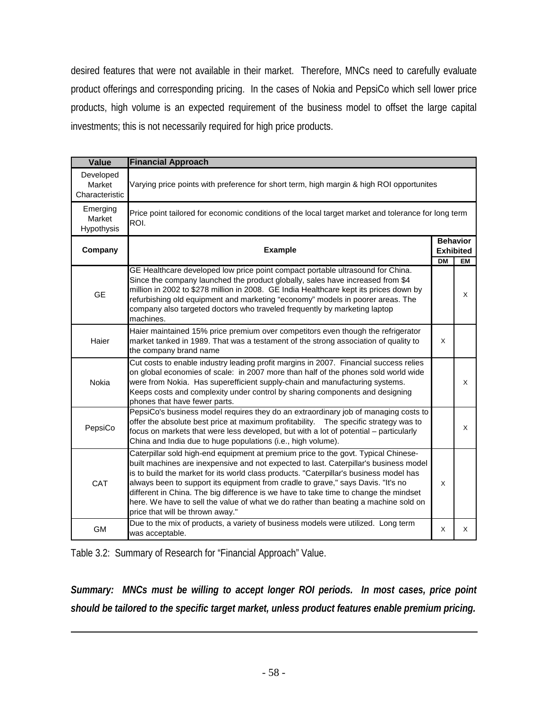desired features that were not available in their market. Therefore, MNCs need to carefully evaluate product offerings and corresponding pricing. In the cases of Nokia and PepsiCo which sell lower price products, high volume is an expected requirement of the business model to offset the large capital investments; this is not necessarily required for high price products.

| <b>Value</b>                          | <b>Financial Approach</b>                                                                                                                                                                                                                                                                                                                                                                                                                                                                                                                                                    |              |                                                  |
|---------------------------------------|------------------------------------------------------------------------------------------------------------------------------------------------------------------------------------------------------------------------------------------------------------------------------------------------------------------------------------------------------------------------------------------------------------------------------------------------------------------------------------------------------------------------------------------------------------------------------|--------------|--------------------------------------------------|
| Developed<br>Market<br>Characteristic | Varying price points with preference for short term, high margin & high ROI opportunites                                                                                                                                                                                                                                                                                                                                                                                                                                                                                     |              |                                                  |
| Emerging<br>Market<br>Hypothysis      | Price point tailored for economic conditions of the local target market and tolerance for long term<br>ROI.                                                                                                                                                                                                                                                                                                                                                                                                                                                                  |              |                                                  |
| Company                               | <b>Example</b><br><b>DM</b>                                                                                                                                                                                                                                                                                                                                                                                                                                                                                                                                                  |              | <b>Behavior</b><br><b>Exhibited</b><br><b>EM</b> |
| <b>GE</b>                             | GE Healthcare developed low price point compact portable ultrasound for China.<br>Since the company launched the product globally, sales have increased from \$4<br>million in 2002 to \$278 million in 2008. GE India Healthcare kept its prices down by<br>refurbishing old equipment and marketing "economy" models in poorer areas. The<br>company also targeted doctors who traveled frequently by marketing laptop<br>machines.                                                                                                                                        |              | X                                                |
| Haier                                 | Haier maintained 15% price premium over competitors even though the refrigerator<br>market tanked in 1989. That was a testament of the strong association of quality to<br>the company brand name                                                                                                                                                                                                                                                                                                                                                                            | X            |                                                  |
| Nokia                                 | Cut costs to enable industry leading profit margins in 2007. Financial success relies<br>on global economies of scale: in 2007 more than half of the phones sold world wide<br>were from Nokia. Has superefficient supply-chain and manufacturing systems.<br>Keeps costs and complexity under control by sharing components and designing<br>phones that have fewer parts.                                                                                                                                                                                                  |              | X                                                |
| PepsiCo                               | PepsiCo's business model requires they do an extraordinary job of managing costs to<br>offer the absolute best price at maximum profitability.  The specific strategy was to<br>focus on markets that were less developed, but with a lot of potential - particularly<br>China and India due to huge populations (i.e., high volume).                                                                                                                                                                                                                                        |              | X                                                |
| CAT                                   | Caterpillar sold high-end equipment at premium price to the govt. Typical Chinese-<br>built machines are inexpensive and not expected to last. Caterpillar's business model<br>is to build the market for its world class products. "Caterpillar's business model has<br>always been to support its equipment from cradle to grave," says Davis. "It's no<br>different in China. The big difference is we have to take time to change the mindset<br>here. We have to sell the value of what we do rather than beating a machine sold on<br>price that will be thrown away." | $\mathsf{X}$ |                                                  |
| <b>GM</b>                             | Due to the mix of products, a variety of business models were utilized. Long term<br>was acceptable.                                                                                                                                                                                                                                                                                                                                                                                                                                                                         | X            | X                                                |

Table 3.2: Summary of Research for "Financial Approach" Value.

*Summary: MNCs must be willing to accept longer ROI periods. In most cases, price point should be tailored to the specific target market, unless product features enable premium pricing.*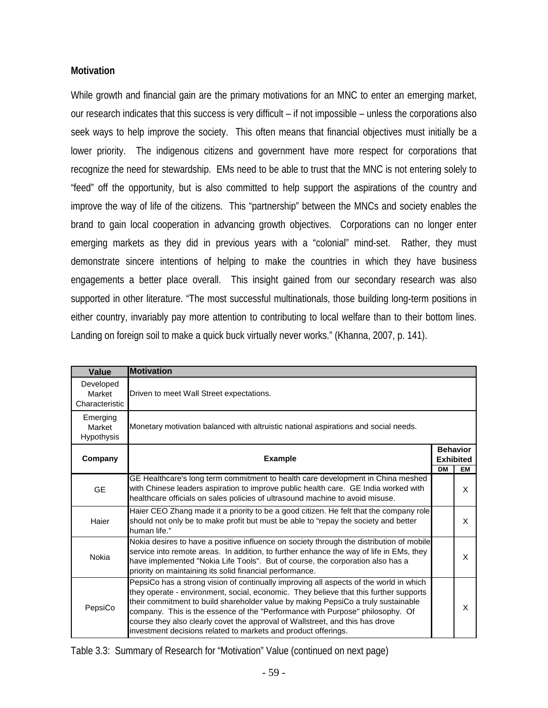## **Motivation**

While growth and financial gain are the primary motivations for an MNC to enter an emerging market, our research indicates that this success is very difficult – if not impossible – unless the corporations also seek ways to help improve the society. This often means that financial objectives must initially be a lower priority. The indigenous citizens and government have more respect for corporations that recognize the need for stewardship. EMs need to be able to trust that the MNC is not entering solely to "feed" off the opportunity, but is also committed to help support the aspirations of the country and improve the way of life of the citizens. This "partnership" between the MNCs and society enables the brand to gain local cooperation in advancing growth objectives. Corporations can no longer enter emerging markets as they did in previous years with a "colonial" mind-set. Rather, they must demonstrate sincere intentions of helping to make the countries in which they have business engagements a better place overall. This insight gained from our secondary research was also supported in other literature. "The most successful multinationals, those building long-term positions in either country, invariably pay more attention to contributing to local welfare than to their bottom lines. Landing on foreign soil to make a quick buck virtually never works." (Khanna, 2007, p. 141).

| Value                                 | <b>Motivation</b>                                                                                                                                                                                                                                                                                                                                                                                                                                                                                        |           |                                           |
|---------------------------------------|----------------------------------------------------------------------------------------------------------------------------------------------------------------------------------------------------------------------------------------------------------------------------------------------------------------------------------------------------------------------------------------------------------------------------------------------------------------------------------------------------------|-----------|-------------------------------------------|
| Developed<br>Market<br>Characteristic | Driven to meet Wall Street expectations.                                                                                                                                                                                                                                                                                                                                                                                                                                                                 |           |                                           |
| Emerging<br>Market<br>Hypothysis      | Monetary motivation balanced with altruistic national aspirations and social needs.                                                                                                                                                                                                                                                                                                                                                                                                                      |           |                                           |
| Company                               | <b>Example</b>                                                                                                                                                                                                                                                                                                                                                                                                                                                                                           | <b>DM</b> | <b>Behavior</b><br><b>Exhibited</b><br>EM |
| <b>GE</b>                             | GE Healthcare's long term commitment to health care development in China meshed<br>with Chinese leaders aspiration to improve public health care. GE India worked with<br>healthcare officials on sales policies of ultrasound machine to avoid misuse.                                                                                                                                                                                                                                                  |           | X                                         |
| Haier                                 | Haier CEO Zhang made it a priority to be a good citizen. He felt that the company role<br>should not only be to make profit but must be able to "repay the society and better<br>human life."                                                                                                                                                                                                                                                                                                            |           | X                                         |
| Nokia                                 | Nokia desires to have a positive influence on society through the distribution of mobile<br>service into remote areas. In addition, to further enhance the way of life in EMs, they<br>have implemented "Nokia Life Tools". But of course, the corporation also has a<br>priority on maintaining its solid financial performance.                                                                                                                                                                        |           | X                                         |
| PepsiCo                               | PepsiCo has a strong vision of continually improving all aspects of the world in which<br>they operate - environment, social, economic. They believe that this further supports<br>their commitment to build shareholder value by making PepsiCo a truly sustainable<br>company. This is the essence of the "Performance with Purpose" philosophy. Of<br>course they also clearly covet the approval of Wallstreet, and this has drove<br>investment decisions related to markets and product offerings. |           | X                                         |

Table 3.3: Summary of Research for "Motivation" Value (continued on next page)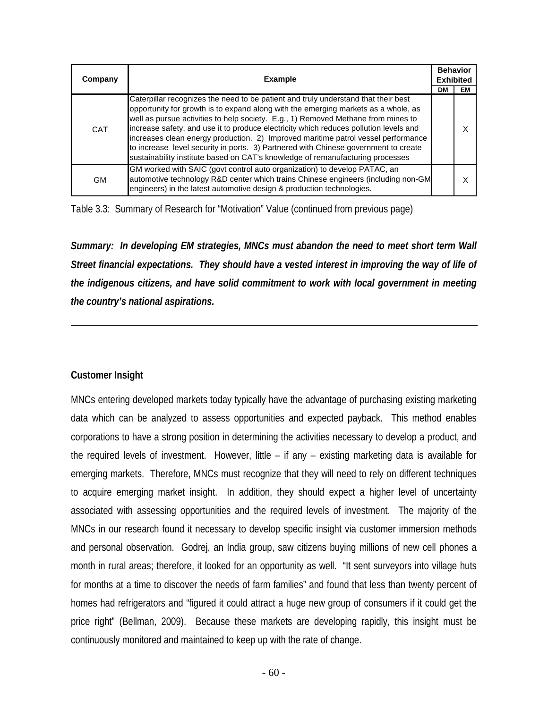| Company   | <b>Example</b>                                                                                                                                                                                                                                                                                                                                                                                                                                                                                                                                                                                                       |    | <b>Behavior</b><br><b>Exhibited</b> |  |
|-----------|----------------------------------------------------------------------------------------------------------------------------------------------------------------------------------------------------------------------------------------------------------------------------------------------------------------------------------------------------------------------------------------------------------------------------------------------------------------------------------------------------------------------------------------------------------------------------------------------------------------------|----|-------------------------------------|--|
|           |                                                                                                                                                                                                                                                                                                                                                                                                                                                                                                                                                                                                                      | DМ | EМ                                  |  |
| CAT       | Caterpillar recognizes the need to be patient and truly understand that their best<br>opportunity for growth is to expand along with the emerging markets as a whole, as<br>well as pursue activities to help society. E.g., 1) Removed Methane from mines to<br>increase safety, and use it to produce electricity which reduces pollution levels and<br>increases clean energy production. 2) Improved maritime patrol vessel performance<br>to increase level security in ports. 3) Partnered with Chinese government to create<br>sustainability institute based on CAT's knowledge of remanufacturing processes |    |                                     |  |
| <b>GM</b> | GM worked with SAIC (govt control auto organization) to develop PATAC, an<br>automotive technology R&D center which trains Chinese engineers (including non-GM<br>engineers) in the latest automotive design & production technologies.                                                                                                                                                                                                                                                                                                                                                                              |    |                                     |  |

Table 3.3: Summary of Research for "Motivation" Value (continued from previous page)

*Summary: In developing EM strategies, MNCs must abandon the need to meet short term Wall Street financial expectations. They should have a vested interest in improving the way of life of the indigenous citizens, and have solid commitment to work with local government in meeting the country's national aspirations.* 

### **Customer Insight**

MNCs entering developed markets today typically have the advantage of purchasing existing marketing data which can be analyzed to assess opportunities and expected payback. This method enables corporations to have a strong position in determining the activities necessary to develop a product, and the required levels of investment. However, little – if any – existing marketing data is available for emerging markets. Therefore, MNCs must recognize that they will need to rely on different techniques to acquire emerging market insight. In addition, they should expect a higher level of uncertainty associated with assessing opportunities and the required levels of investment. The majority of the MNCs in our research found it necessary to develop specific insight via customer immersion methods and personal observation. Godrej, an India group, saw citizens buying millions of new cell phones a month in rural areas; therefore, it looked for an opportunity as well. "It sent surveyors into village huts for months at a time to discover the needs of farm families" and found that less than twenty percent of homes had refrigerators and "figured it could attract a huge new group of consumers if it could get the price right" (Bellman, 2009). Because these markets are developing rapidly, this insight must be continuously monitored and maintained to keep up with the rate of change.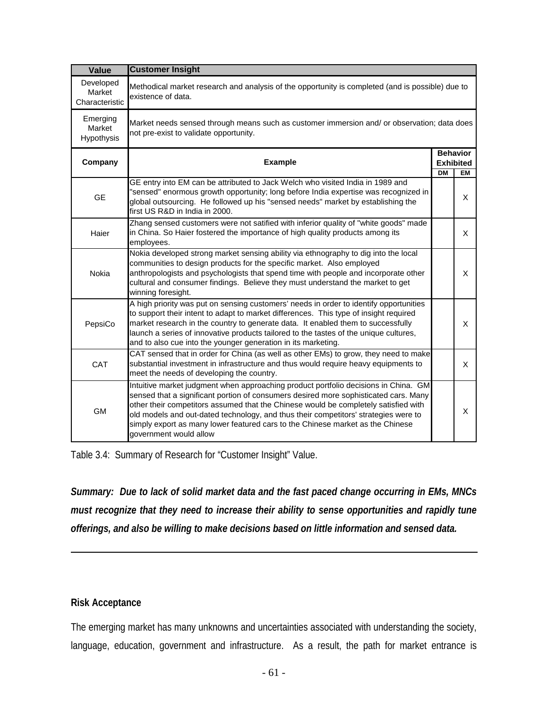| <b>Value</b>                          | <b>Customer Insight</b>                                                                                                                                                                                                                                                                                                                                                                                                                                               |    |                                     |  |
|---------------------------------------|-----------------------------------------------------------------------------------------------------------------------------------------------------------------------------------------------------------------------------------------------------------------------------------------------------------------------------------------------------------------------------------------------------------------------------------------------------------------------|----|-------------------------------------|--|
| Developed<br>Market<br>Characteristic | Methodical market research and analysis of the opportunity is completed (and is possible) due to<br>existence of data.                                                                                                                                                                                                                                                                                                                                                |    |                                     |  |
| Emerging<br>Market<br>Hypothysis      | Market needs sensed through means such as customer immersion and/ or observation; data does<br>not pre-exist to validate opportunity.                                                                                                                                                                                                                                                                                                                                 |    |                                     |  |
| Company                               | <b>Example</b>                                                                                                                                                                                                                                                                                                                                                                                                                                                        |    | <b>Behavior</b><br><b>Exhibited</b> |  |
|                                       |                                                                                                                                                                                                                                                                                                                                                                                                                                                                       | DM | <b>EM</b>                           |  |
| <b>GE</b>                             | GE entry into EM can be attributed to Jack Welch who visited India in 1989 and<br>"sensed" enormous growth opportunity; long before India expertise was recognized in<br>global outsourcing. He followed up his "sensed needs" market by establishing the<br>first US R&D in India in 2000.                                                                                                                                                                           |    | X                                   |  |
| Haier                                 | Zhang sensed customers were not satified with inferior quality of "white goods" made<br>in China. So Haier fostered the importance of high quality products among its<br>employees.                                                                                                                                                                                                                                                                                   |    | X                                   |  |
| Nokia                                 | Nokia developed strong market sensing ability via ethnography to dig into the local<br>communities to design products for the specific market. Also employed<br>anthropologists and psychologists that spend time with people and incorporate other<br>cultural and consumer findings. Believe they must understand the market to get<br>winning foresight.                                                                                                           |    | X                                   |  |
| PepsiCo                               | A high priority was put on sensing customers' needs in order to identify opportunities<br>to support their intent to adapt to market differences. This type of insight required<br>market research in the country to generate data. It enabled them to successfully<br>launch a series of innovative products tailored to the tastes of the unique cultures,<br>and to also cue into the younger generation in its marketing.                                         |    | X                                   |  |
| CAT                                   | CAT sensed that in order for China (as well as other EMs) to grow, they need to make<br>substantial investment in infrastructure and thus would require heavy equipments to<br>meet the needs of developing the country.                                                                                                                                                                                                                                              |    | X                                   |  |
| GМ                                    | Intuitive market judgment when approaching product portfolio decisions in China. GM<br>sensed that a significant portion of consumers desired more sophisticated cars. Many<br>other their competitors assumed that the Chinese would be completely satisfied with<br>old models and out-dated technology, and thus their competitors' strategies were to<br>simply export as many lower featured cars to the Chinese market as the Chinese<br>government would allow |    | X                                   |  |

Table 3.4: Summary of Research for "Customer Insight" Value.

*Summary: Due to lack of solid market data and the fast paced change occurring in EMs, MNCs must recognize that they need to increase their ability to sense opportunities and rapidly tune offerings, and also be willing to make decisions based on little information and sensed data.* 

### **Risk Acceptance**

The emerging market has many unknowns and uncertainties associated with understanding the society, language, education, government and infrastructure. As a result, the path for market entrance is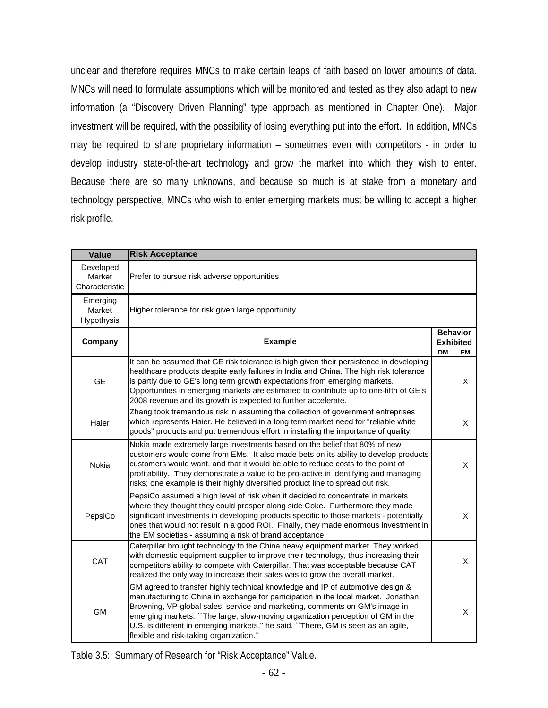unclear and therefore requires MNCs to make certain leaps of faith based on lower amounts of data. MNCs will need to formulate assumptions which will be monitored and tested as they also adapt to new information (a "Discovery Driven Planning" type approach as mentioned in Chapter One). Major investment will be required, with the possibility of losing everything put into the effort. In addition, MNCs may be required to share proprietary information – sometimes even with competitors - in order to develop industry state-of-the-art technology and grow the market into which they wish to enter. Because there are so many unknowns, and because so much is at stake from a monetary and technology perspective, MNCs who wish to enter emerging markets must be willing to accept a higher risk profile.

| <b>Value</b>                          | <b>Risk Acceptance</b>                                                                                                                                                                                                                                                                                                                                                                                                                                               |           |                                     |
|---------------------------------------|----------------------------------------------------------------------------------------------------------------------------------------------------------------------------------------------------------------------------------------------------------------------------------------------------------------------------------------------------------------------------------------------------------------------------------------------------------------------|-----------|-------------------------------------|
| Developed<br>Market<br>Characteristic | Prefer to pursue risk adverse opportunities                                                                                                                                                                                                                                                                                                                                                                                                                          |           |                                     |
| Emerging<br>Market<br>Hypothysis      | Higher tolerance for risk given large opportunity                                                                                                                                                                                                                                                                                                                                                                                                                    |           |                                     |
| Company                               | <b>Example</b>                                                                                                                                                                                                                                                                                                                                                                                                                                                       |           | <b>Behavior</b><br><b>Exhibited</b> |
| <b>GE</b>                             | It can be assumed that GE risk tolerance is high given their persistence in developing<br>healthcare products despite early failures in India and China. The high risk tolerance<br>is partly due to GE's long term growth expectations from emerging markets.<br>Opportunities in emerging markets are estimated to contribute up to one-fifth of GE's<br>2008 revenue and its growth is expected to further accelerate.                                            | <b>DM</b> | EM<br>X                             |
| Haier                                 | Zhang took tremendous risk in assuming the collection of government entreprises<br>which represents Haier. He believed in a long term market need for "reliable white<br>goods" products and put tremendous effort in installing the importance of quality.                                                                                                                                                                                                          |           | X                                   |
| Nokia                                 | Nokia made extremely large investments based on the belief that 80% of new<br>customers would come from EMs. It also made bets on its ability to develop products<br>customers would want, and that it would be able to reduce costs to the point of<br>profitability. They demonstrate a value to be pro-active in identifying and managing<br>risks; one example is their highly diversified product line to spread out risk.                                      |           | X                                   |
| PepsiCo                               | PepsiCo assumed a high level of risk when it decided to concentrate in markets<br>where they thought they could prosper along side Coke. Furthermore they made<br>significant investments in developing products specific to those markets - potentially<br>ones that would not result in a good ROI. Finally, they made enormous investment in<br>the EM societies - assuming a risk of brand acceptance.                                                           |           | X                                   |
| CAT                                   | Caterpillar brought technology to the China heavy equipment market. They worked<br>with domestic equipment supplier to improve their technology, thus increasing their<br>competitors ability to compete with Caterpillar. That was acceptable because CAT<br>realized the only way to increase their sales was to grow the overall market.                                                                                                                          |           | X                                   |
| <b>GM</b>                             | GM agreed to transfer highly technical knowledge and IP of automotive design &<br>manufacturing to China in exchange for participation in the local market. Jonathan<br>Browning, VP-global sales, service and marketing, comments on GM's image in<br>emerging markets: "The large, slow-moving organization perception of GM in the<br>U.S. is different in emerging markets," he said. "There, GM is seen as an agile,<br>flexible and risk-taking organization." |           | X                                   |

Table 3.5: Summary of Research for "Risk Acceptance" Value.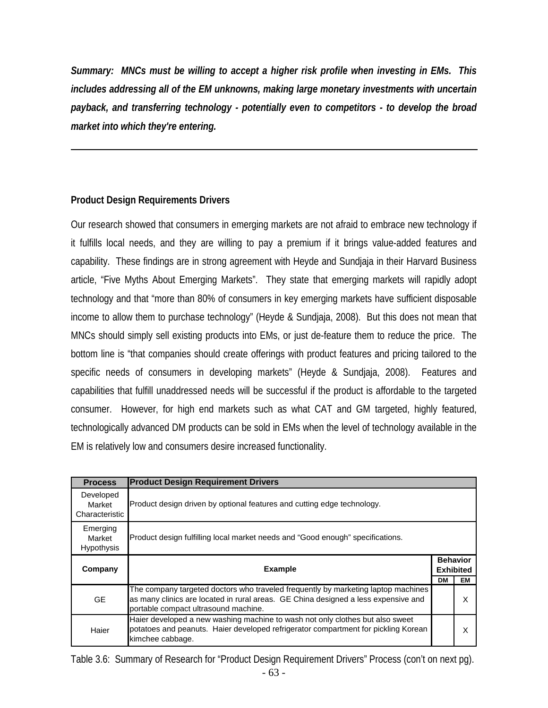*Summary: MNCs must be willing to accept a higher risk profile when investing in EMs. This includes addressing all of the EM unknowns, making large monetary investments with uncertain payback, and transferring technology - potentially even to competitors - to develop the broad market into which they're entering.*

#### **Product Design Requirements Drivers**

Our research showed that consumers in emerging markets are not afraid to embrace new technology if it fulfills local needs, and they are willing to pay a premium if it brings value-added features and capability. These findings are in strong agreement with Heyde and Sundjaja in their Harvard Business article, "Five Myths About Emerging Markets". They state that emerging markets will rapidly adopt technology and that "more than 80% of consumers in key emerging markets have sufficient disposable income to allow them to purchase technology" (Heyde & Sundjaja, 2008). But this does not mean that MNCs should simply sell existing products into EMs, or just de-feature them to reduce the price. The bottom line is "that companies should create offerings with product features and pricing tailored to the specific needs of consumers in developing markets" (Heyde & Sundjaja, 2008). Features and capabilities that fulfill unaddressed needs will be successful if the product is affordable to the targeted consumer. However, for high end markets such as what CAT and GM targeted, highly featured, technologically advanced DM products can be sold in EMs when the level of technology available in the EM is relatively low and consumers desire increased functionality.

| <b>Process</b>                          | <b>Product Design Requirement Drivers</b>                                                                                                                                                                       |                                     |    |
|-----------------------------------------|-----------------------------------------------------------------------------------------------------------------------------------------------------------------------------------------------------------------|-------------------------------------|----|
| Developed<br>Market<br>Characteristic   | Product design driven by optional features and cutting edge technology.                                                                                                                                         |                                     |    |
| Emerging<br>Market<br><b>Hypothysis</b> | Product design fulfilling local market needs and "Good enough" specifications.                                                                                                                                  |                                     |    |
| Company                                 | <b>Example</b>                                                                                                                                                                                                  | <b>Behavior</b><br><b>Exhibited</b> |    |
|                                         |                                                                                                                                                                                                                 | DM                                  | EM |
|                                         |                                                                                                                                                                                                                 |                                     |    |
| <b>GE</b>                               | The company targeted doctors who traveled frequently by marketing laptop machines<br>as many clinics are located in rural areas. GE China designed a less expensive and<br>portable compact ultrasound machine. |                                     | X  |

- 63 - Table 3.6: Summary of Research for "Product Design Requirement Drivers" Process (con't on next pg).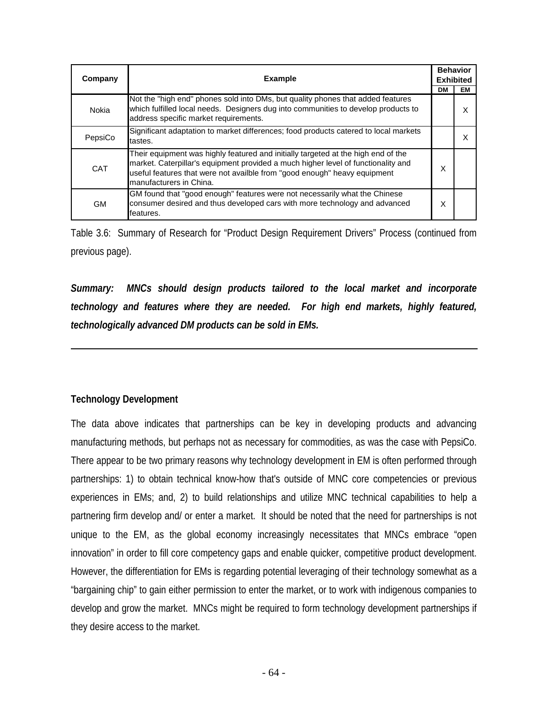| Company    | <b>Example</b>                                                                                                                                                                                                                                                                 |    | <b>Behavior</b><br><b>Exhibited</b> |
|------------|--------------------------------------------------------------------------------------------------------------------------------------------------------------------------------------------------------------------------------------------------------------------------------|----|-------------------------------------|
|            |                                                                                                                                                                                                                                                                                | DМ | EМ                                  |
| Nokia      | Not the "high end" phones sold into DMs, but quality phones that added features<br>which fulfilled local needs. Designers dug into communities to develop products to<br>address specific market requirements.                                                                 |    | X                                   |
| PepsiCo    | Significant adaptation to market differences; food products catered to local markets<br>tastes.                                                                                                                                                                                |    | х                                   |
| <b>CAT</b> | Their equipment was highly featured and initially targeted at the high end of the<br>market. Caterpillar's equipment provided a much higher level of functionality and<br>useful features that were not availble from "good enough" heavy equipment<br>manufacturers in China. | Χ  |                                     |
| <b>GM</b>  | GM found that "good enough" features were not necessarily what the Chinese<br>consumer desired and thus developed cars with more technology and advanced<br>features.                                                                                                          | X  |                                     |

Table 3.6: Summary of Research for "Product Design Requirement Drivers" Process (continued from previous page).

*Summary: MNCs should design products tailored to the local market and incorporate technology and features where they are needed. For high end markets, highly featured, technologically advanced DM products can be sold in EMs.* 

#### **Technology Development**

The data above indicates that partnerships can be key in developing products and advancing manufacturing methods, but perhaps not as necessary for commodities, as was the case with PepsiCo. There appear to be two primary reasons why technology development in EM is often performed through partnerships: 1) to obtain technical know-how that's outside of MNC core competencies or previous experiences in EMs; and, 2) to build relationships and utilize MNC technical capabilities to help a partnering firm develop and/ or enter a market. It should be noted that the need for partnerships is not unique to the EM, as the global economy increasingly necessitates that MNCs embrace "open innovation" in order to fill core competency gaps and enable quicker, competitive product development. However, the differentiation for EMs is regarding potential leveraging of their technology somewhat as a "bargaining chip" to gain either permission to enter the market, or to work with indigenous companies to develop and grow the market. MNCs might be required to form technology development partnerships if they desire access to the market.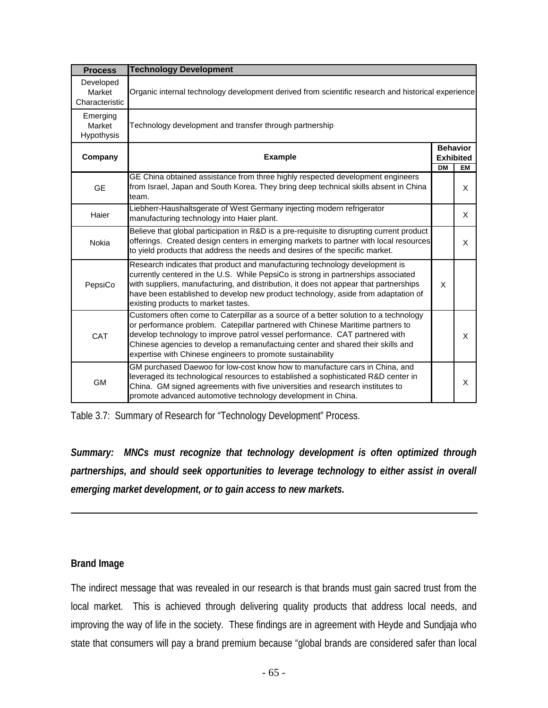| <b>Process</b>                        | <b>Technology Development</b>                                                                                                                                                                                                                                                                                                                                                                          |           |                                     |
|---------------------------------------|--------------------------------------------------------------------------------------------------------------------------------------------------------------------------------------------------------------------------------------------------------------------------------------------------------------------------------------------------------------------------------------------------------|-----------|-------------------------------------|
| Developed<br>Market<br>Characteristic | Organic internal technology development derived from scientific research and historical experience                                                                                                                                                                                                                                                                                                     |           |                                     |
| Emerging<br>Market<br>Hypothysis      | Technology development and transfer through partnership                                                                                                                                                                                                                                                                                                                                                |           |                                     |
| Company                               | <b>Example</b>                                                                                                                                                                                                                                                                                                                                                                                         |           | <b>Behavior</b><br><b>Exhibited</b> |
| <b>GE</b>                             | GE China obtained assistance from three highly respected development engineers<br>from Israel, Japan and South Korea. They bring deep technical skills absent in China<br>team.                                                                                                                                                                                                                        | <b>DM</b> | <b>EM</b><br>X                      |
| Haier                                 | Liebherr-Haushaltsgerate of West Germany injecting modern refrigerator<br>manufacturing technology into Haier plant.                                                                                                                                                                                                                                                                                   |           | X.                                  |
| Nokia                                 | Believe that global participation in R&D is a pre-requisite to disrupting current product<br>offerings. Created design centers in emerging markets to partner with local resources<br>to yield products that address the needs and desires of the specific market.                                                                                                                                     |           | X                                   |
| PepsiCo                               | Research indicates that product and manufacturing technology development is<br>currently centered in the U.S. While PepsiCo is strong in partnerships associated<br>with suppliers, manufacturing, and distribution, it does not appear that partnerships<br>have been established to develop new product technology, aside from adaptation of<br>existing products to market tastes.                  | X         |                                     |
| <b>CAT</b>                            | Customers often come to Caterpillar as a source of a better solution to a technology<br>or performance problem. Catepillar partnered with Chinese Maritime partners to<br>develop technology to improve patrol vessel performance. CAT partnered with<br>Chinese agencies to develop a remanufactuing center and shared their skills and<br>expertise with Chinese engineers to promote sustainability |           | X                                   |
| <b>GM</b>                             | GM purchased Daewoo for low-cost know how to manufacture cars in China, and<br>leveraged its technological resources to established a sophisticated R&D center in<br>China. GM signed agreements with five universities and research institutes to<br>promote advanced automotive technology development in China.                                                                                     |           | X                                   |

Table 3.7: Summary of Research for "Technology Development" Process.

*Summary: MNCs must recognize that technology development is often optimized through partnerships, and should seek opportunities to leverage technology to either assist in overall emerging market development, or to gain access to new markets.* 

### **Brand Image**

The indirect message that was revealed in our research is that brands must gain sacred trust from the local market. This is achieved through delivering quality products that address local needs, and improving the way of life in the society. These findings are in agreement with Heyde and Sundjaja who state that consumers will pay a brand premium because "global brands are considered safer than local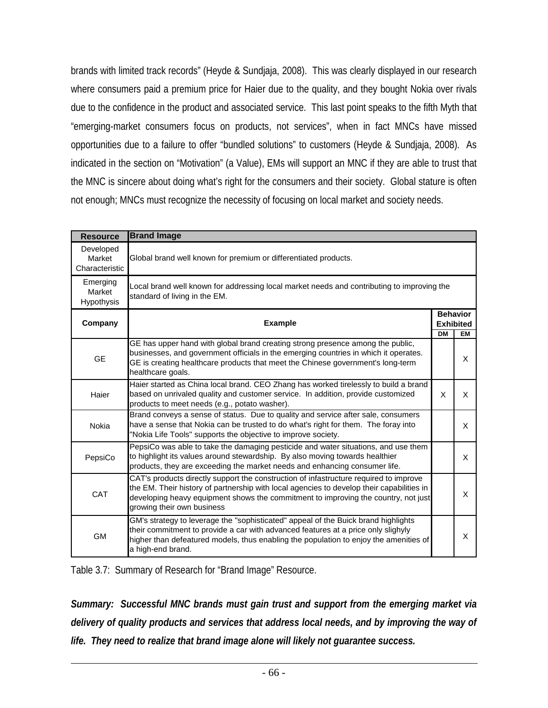brands with limited track records" (Heyde & Sundjaja, 2008). This was clearly displayed in our research where consumers paid a premium price for Haier due to the quality, and they bought Nokia over rivals due to the confidence in the product and associated service. This last point speaks to the fifth Myth that "emerging-market consumers focus on products, not services", when in fact MNCs have missed opportunities due to a failure to offer "bundled solutions" to customers (Heyde & Sundjaja, 2008). As indicated in the section on "Motivation" (a Value), EMs will support an MNC if they are able to trust that the MNC is sincere about doing what's right for the consumers and their society. Global stature is often not enough; MNCs must recognize the necessity of focusing on local market and society needs.

| <b>Resource</b>                         | <b>Brand Image</b>                                                                                                                                                                                                                                                                                     |           |                                           |
|-----------------------------------------|--------------------------------------------------------------------------------------------------------------------------------------------------------------------------------------------------------------------------------------------------------------------------------------------------------|-----------|-------------------------------------------|
| Developed<br>Market<br>Characteristic   | Global brand well known for premium or differentiated products.                                                                                                                                                                                                                                        |           |                                           |
| Emerging<br>Market<br><b>Hypothysis</b> | Local brand well known for addressing local market needs and contributing to improving the<br>standard of living in the EM.                                                                                                                                                                            |           |                                           |
| Company                                 | <b>Example</b>                                                                                                                                                                                                                                                                                         | <b>DM</b> | <b>Behavior</b><br><b>Exhibited</b><br>EM |
| <b>GE</b>                               | GE has upper hand with global brand creating strong presence among the public,<br>businesses, and government officials in the emerging countries in which it operates.<br>GE is creating healthcare products that meet the Chinese government's long-term<br>healthcare goals.                         |           | X                                         |
| Haier                                   | Haier started as China local brand. CEO Zhang has worked tirelessly to build a brand<br>based on unrivaled quality and customer service. In addition, provide customized<br>products to meet needs (e.g., potato washer).                                                                              | X         | X                                         |
| Nokia                                   | Brand conveys a sense of status. Due to quality and service after sale, consumers<br>have a sense that Nokia can be trusted to do what's right for them. The foray into<br>"Nokia Life Tools" supports the objective to improve society.                                                               |           | X                                         |
| PepsiCo                                 | PepsiCo was able to take the damaging pesticide and water situations, and use them<br>to highlight its values around stewardship. By also moving towards healthier<br>products, they are exceeding the market needs and enhancing consumer life.                                                       |           | X                                         |
| CAT                                     | CAT's products directly support the construction of infastructure required to improve<br>the EM. Their history of partnership with local agencies to develop their capabilities in<br>developing heavy equipment shows the commitment to improving the country, not just<br>growing their own business |           | X                                         |
| <b>GM</b>                               | GM's strategy to leverage the "sophisticated" appeal of the Buick brand highlights<br>their commitment to provide a car with advanced features at a price only slighyly<br>higher than defeatured models, thus enabling the population to enjoy the amenities of<br>a high-end brand.                  |           | X                                         |

Table 3.7: Summary of Research for "Brand Image" Resource.

*Summary: Successful MNC brands must gain trust and support from the emerging market via delivery of quality products and services that address local needs, and by improving the way of life. They need to realize that brand image alone will likely not guarantee success.*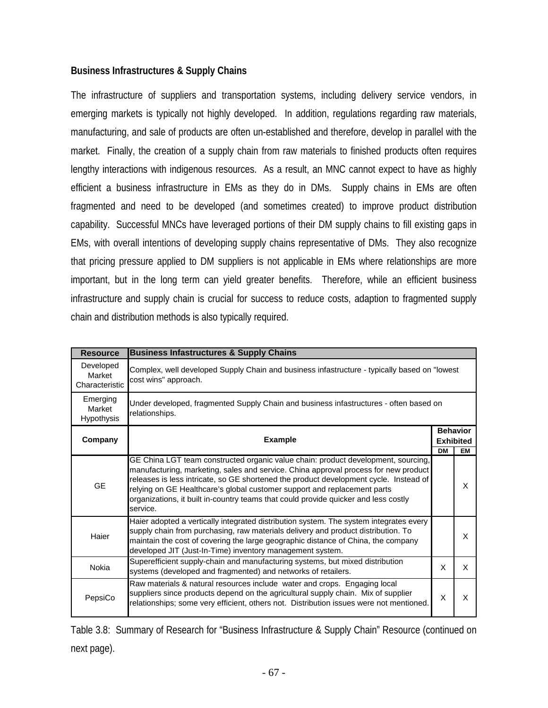## **Business Infrastructures & Supply Chains**

The infrastructure of suppliers and transportation systems, including delivery service vendors, in emerging markets is typically not highly developed. In addition, regulations regarding raw materials, manufacturing, and sale of products are often un-established and therefore, develop in parallel with the market. Finally, the creation of a supply chain from raw materials to finished products often requires lengthy interactions with indigenous resources. As a result, an MNC cannot expect to have as highly efficient a business infrastructure in EMs as they do in DMs. Supply chains in EMs are often fragmented and need to be developed (and sometimes created) to improve product distribution capability. Successful MNCs have leveraged portions of their DM supply chains to fill existing gaps in EMs, with overall intentions of developing supply chains representative of DMs. They also recognize that pricing pressure applied to DM suppliers is not applicable in EMs where relationships are more important, but in the long term can yield greater benefits. Therefore, while an efficient business infrastructure and supply chain is crucial for success to reduce costs, adaption to fragmented supply chain and distribution methods is also typically required.

| <b>Resource</b>                       | <b>Business Infastructures &amp; Supply Chains</b>                                                                                                                                                                                                                                                                                                                                                                                               |                                                        |   |
|---------------------------------------|--------------------------------------------------------------------------------------------------------------------------------------------------------------------------------------------------------------------------------------------------------------------------------------------------------------------------------------------------------------------------------------------------------------------------------------------------|--------------------------------------------------------|---|
| Developed<br>Market<br>Characteristic | Complex, well developed Supply Chain and business infastructure - typically based on "lowest<br>cost wins" approach.                                                                                                                                                                                                                                                                                                                             |                                                        |   |
| Emerging<br>Market<br>Hypothysis      | Under developed, fragmented Supply Chain and business infastructures - often based on<br>relationships.                                                                                                                                                                                                                                                                                                                                          |                                                        |   |
| Company                               | <b>Example</b>                                                                                                                                                                                                                                                                                                                                                                                                                                   | <b>Behavior</b><br><b>Exhibited</b><br>DМ<br><b>EM</b> |   |
| <b>GE</b>                             | GE China LGT team constructed organic value chain: product development, sourcing,<br>manufacturing, marketing, sales and service. China approval process for new product<br>releases is less intricate, so GE shortened the product development cycle. Instead of<br>relying on GE Healthcare's global customer support and replacement parts<br>organizations, it built in-country teams that could provide quicker and less costly<br>service. |                                                        | X |
| Haier                                 | Haier adopted a vertically integrated distribution system. The system integrates every<br>supply chain from purchasing, raw materials delivery and product distribution. To<br>maintain the cost of covering the large geographic distance of China, the company<br>developed JIT (Just-In-Time) inventory management system.                                                                                                                    |                                                        | X |
| Nokia                                 | Superefficient supply-chain and manufacturing systems, but mixed distribution<br>systems (developed and fragmented) and networks of retailers.                                                                                                                                                                                                                                                                                                   | X                                                      | X |
| PepsiCo                               | Raw materials & natural resources include water and crops. Engaging local<br>suppliers since products depend on the agricultural supply chain. Mix of supplier<br>relationships; some very efficient, others not. Distribution issues were not mentioned.                                                                                                                                                                                        | X                                                      | X |

Table 3.8: Summary of Research for "Business Infrastructure & Supply Chain" Resource (continued on next page).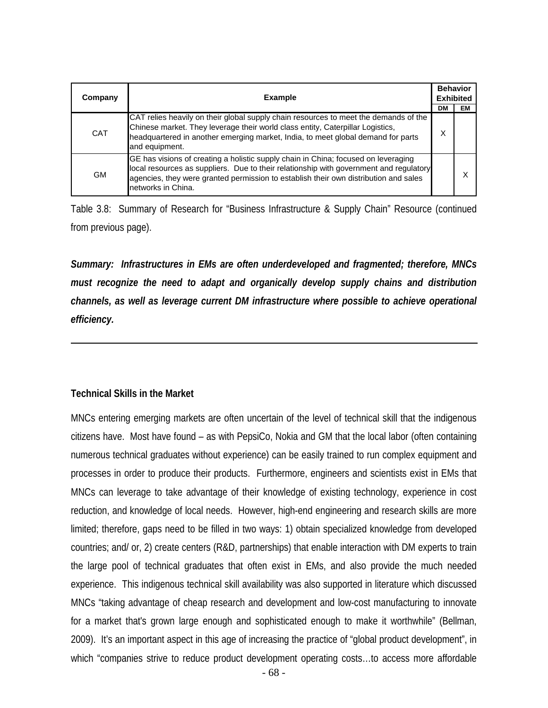| Company    | <b>Example</b>                                                                                                                                                                                                                                                                             | <b>Behavior</b><br><b>Exhibited</b> |    |
|------------|--------------------------------------------------------------------------------------------------------------------------------------------------------------------------------------------------------------------------------------------------------------------------------------------|-------------------------------------|----|
|            |                                                                                                                                                                                                                                                                                            | DМ                                  | EM |
| <b>CAT</b> | CAT relies heavily on their global supply chain resources to meet the demands of the<br>Chinese market. They leverage their world class entity, Caterpillar Logistics,<br>headquartered in another emerging market, India, to meet global demand for parts<br>and equipment.               | X                                   |    |
| <b>GM</b>  | GE has visions of creating a holistic supply chain in China; focused on leveraging<br>local resources as suppliers. Due to their relationship with government and regulatory<br>agencies, they were granted permission to establish their own distribution and sales<br>networks in China. |                                     | х  |

Table 3.8: Summary of Research for "Business Infrastructure & Supply Chain" Resource (continued from previous page).

*Summary: Infrastructures in EMs are often underdeveloped and fragmented; therefore, MNCs must recognize the need to adapt and organically develop supply chains and distribution channels, as well as leverage current DM infrastructure where possible to achieve operational efficiency.* 

#### **Technical Skills in the Market**

MNCs entering emerging markets are often uncertain of the level of technical skill that the indigenous citizens have. Most have found – as with PepsiCo, Nokia and GM that the local labor (often containing numerous technical graduates without experience) can be easily trained to run complex equipment and processes in order to produce their products. Furthermore, engineers and scientists exist in EMs that MNCs can leverage to take advantage of their knowledge of existing technology, experience in cost reduction, and knowledge of local needs. However, high-end engineering and research skills are more limited; therefore, gaps need to be filled in two ways: 1) obtain specialized knowledge from developed countries; and/ or, 2) create centers (R&D, partnerships) that enable interaction with DM experts to train the large pool of technical graduates that often exist in EMs, and also provide the much needed experience. This indigenous technical skill availability was also supported in literature which discussed MNCs "taking advantage of cheap research and development and low-cost manufacturing to innovate for a market that's grown large enough and sophisticated enough to make it worthwhile" (Bellman, 2009). It's an important aspect in this age of increasing the practice of "global product development", in which "companies strive to reduce product development operating costs…to access more affordable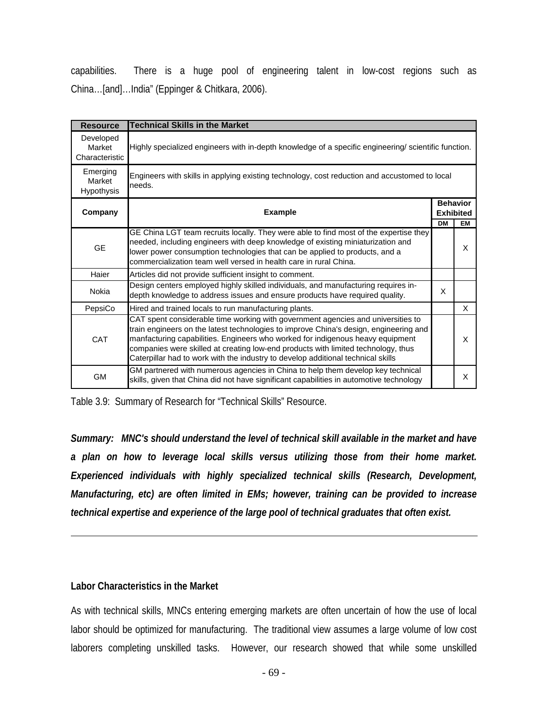capabilities. There is a huge pool of engineering talent in low-cost regions such as China…[and]…India" (Eppinger & Chitkara, 2006).

| <b>Resource</b>                       | <b>Technical Skills in the Market</b>                                                                                                                                                                                                                                                                                                                                                                                                |                               |                       |
|---------------------------------------|--------------------------------------------------------------------------------------------------------------------------------------------------------------------------------------------------------------------------------------------------------------------------------------------------------------------------------------------------------------------------------------------------------------------------------------|-------------------------------|-----------------------|
| Developed<br>Market<br>Characteristic | Highly specialized engineers with in-depth knowledge of a specific engineering/ scientific function.                                                                                                                                                                                                                                                                                                                                 |                               |                       |
| Emerging<br>Market<br>Hypothysis      | Engineers with skills in applying existing technology, cost reduction and accustomed to local<br>needs.                                                                                                                                                                                                                                                                                                                              |                               |                       |
| Company                               | <b>Example</b>                                                                                                                                                                                                                                                                                                                                                                                                                       | <b>Exhibited</b><br><b>DM</b> | <b>Behavior</b><br>EM |
|                                       | GE China LGT team recruits locally. They were able to find most of the expertise they                                                                                                                                                                                                                                                                                                                                                |                               |                       |
| <b>GE</b>                             | needed, including engineers with deep knowledge of existing miniaturization and<br>lower power consumption technologies that can be applied to products, and a<br>commercialization team well versed in health care in rural China.                                                                                                                                                                                                  |                               | X                     |
| Haier                                 | Articles did not provide sufficient insight to comment.                                                                                                                                                                                                                                                                                                                                                                              |                               |                       |
| Nokia                                 | Design centers employed highly skilled individuals, and manufacturing requires in-<br>depth knowledge to address issues and ensure products have required quality.                                                                                                                                                                                                                                                                   | X                             |                       |
| PepsiCo                               | Hired and trained locals to run manufacturing plants.                                                                                                                                                                                                                                                                                                                                                                                |                               | X                     |
| CAT                                   | CAT spent considerable time working with government agencies and universities to<br>train engineers on the latest technologies to improve China's design, engineering and<br>manfacturing capabilities. Engineers who worked for indigenous heavy equipment<br>companies were skilled at creating low-end products with limited technology, thus<br>Caterpillar had to work with the industry to develop additional technical skills |                               | X                     |
| <b>GM</b>                             | GM partnered with numerous agencies in China to help them develop key technical<br>skills, given that China did not have significant capabilities in automotive technology                                                                                                                                                                                                                                                           |                               | X                     |

Table 3.9: Summary of Research for "Technical Skills" Resource.

*Summary: MNC's should understand the level of technical skill available in the market and have a plan on how to leverage local skills versus utilizing those from their home market. Experienced individuals with highly specialized technical skills (Research, Development, Manufacturing, etc) are often limited in EMs; however, training can be provided to increase technical expertise and experience of the large pool of technical graduates that often exist.* 

#### **Labor Characteristics in the Market**

As with technical skills, MNCs entering emerging markets are often uncertain of how the use of local labor should be optimized for manufacturing. The traditional view assumes a large volume of low cost laborers completing unskilled tasks. However, our research showed that while some unskilled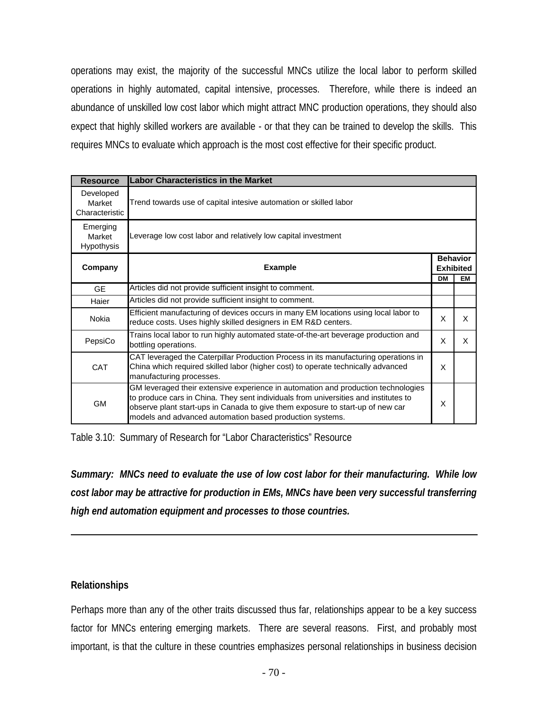operations may exist, the majority of the successful MNCs utilize the local labor to perform skilled operations in highly automated, capital intensive, processes. Therefore, while there is indeed an abundance of unskilled low cost labor which might attract MNC production operations, they should also expect that highly skilled workers are available - or that they can be trained to develop the skills. This requires MNCs to evaluate which approach is the most cost effective for their specific product.

| <b>Resource</b>                       | <b>Labor Characteristics in the Market</b>                                                                                                                                                                                                                                                                             |           |                                     |
|---------------------------------------|------------------------------------------------------------------------------------------------------------------------------------------------------------------------------------------------------------------------------------------------------------------------------------------------------------------------|-----------|-------------------------------------|
| Developed<br>Market<br>Characteristic | Trend towards use of capital intesive automation or skilled labor                                                                                                                                                                                                                                                      |           |                                     |
| Emerging<br>Market<br>Hypothysis      | Leverage low cost labor and relatively low capital investment                                                                                                                                                                                                                                                          |           |                                     |
| Company                               | <b>Example</b>                                                                                                                                                                                                                                                                                                         |           | <b>Behavior</b><br><b>Exhibited</b> |
| <b>GE</b>                             | Articles did not provide sufficient insight to comment.                                                                                                                                                                                                                                                                | <b>DM</b> | EМ                                  |
|                                       | Articles did not provide sufficient insight to comment.                                                                                                                                                                                                                                                                |           |                                     |
| Haier                                 |                                                                                                                                                                                                                                                                                                                        |           |                                     |
| Nokia                                 | Efficient manufacturing of devices occurs in many EM locations using local labor to<br>reduce costs. Uses highly skilled designers in EM R&D centers.                                                                                                                                                                  | X         | X                                   |
| PepsiCo                               | Trains local labor to run highly automated state-of-the-art beverage production and<br>bottling operations.                                                                                                                                                                                                            | X         | X                                   |
| <b>CAT</b>                            | CAT leveraged the Caterpillar Production Process in its manufacturing operations in<br>China which required skilled labor (higher cost) to operate technically advanced<br>manufacturing processes.                                                                                                                    | X         |                                     |
| GM                                    | GM leveraged their extensive experience in automation and production technologies<br>to produce cars in China. They sent individuals from universities and institutes to<br>observe plant start-ups in Canada to give them exposure to start-up of new car<br>models and advanced automation based production systems. | X         |                                     |

Table 3.10: Summary of Research for "Labor Characteristics" Resource

*Summary: MNCs need to evaluate the use of low cost labor for their manufacturing. While low cost labor may be attractive for production in EMs, MNCs have been very successful transferring high end automation equipment and processes to those countries.* 

#### **Relationships**

Perhaps more than any of the other traits discussed thus far, relationships appear to be a key success factor for MNCs entering emerging markets. There are several reasons. First, and probably most important, is that the culture in these countries emphasizes personal relationships in business decision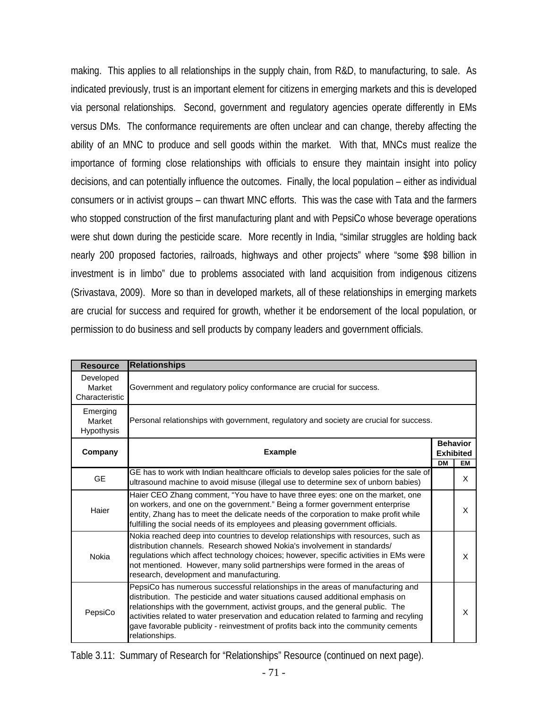making. This applies to all relationships in the supply chain, from R&D, to manufacturing, to sale. As indicated previously, trust is an important element for citizens in emerging markets and this is developed via personal relationships. Second, government and regulatory agencies operate differently in EMs versus DMs. The conformance requirements are often unclear and can change, thereby affecting the ability of an MNC to produce and sell goods within the market. With that, MNCs must realize the importance of forming close relationships with officials to ensure they maintain insight into policy decisions, and can potentially influence the outcomes. Finally, the local population – either as individual consumers or in activist groups – can thwart MNC efforts. This was the case with Tata and the farmers who stopped construction of the first manufacturing plant and with PepsiCo whose beverage operations were shut down during the pesticide scare. More recently in India, "similar struggles are holding back nearly 200 proposed factories, railroads, highways and other projects" where "some \$98 billion in investment is in limbo" due to problems associated with land acquisition from indigenous citizens (Srivastava, 2009). More so than in developed markets, all of these relationships in emerging markets are crucial for success and required for growth, whether it be endorsement of the local population, or permission to do business and sell products by company leaders and government officials.

| <b>Resource</b>                       | <b>Relationships</b>                                                                                                                                                                                                                                                                                                                                                                                                                                   |                                                  |    |
|---------------------------------------|--------------------------------------------------------------------------------------------------------------------------------------------------------------------------------------------------------------------------------------------------------------------------------------------------------------------------------------------------------------------------------------------------------------------------------------------------------|--------------------------------------------------|----|
| Developed<br>Market<br>Characteristic | Government and regulatory policy conformance are crucial for success.                                                                                                                                                                                                                                                                                                                                                                                  |                                                  |    |
| Emerging<br>Market<br>Hypothysis      | Personal relationships with government, regulatory and society are crucial for success.                                                                                                                                                                                                                                                                                                                                                                |                                                  |    |
| Company                               | <b>Example</b>                                                                                                                                                                                                                                                                                                                                                                                                                                         | <b>Behavior</b><br><b>Exhibited</b><br><b>DM</b> | EM |
| <b>GE</b>                             | GE has to work with Indian healthcare officials to develop sales policies for the sale of<br>ultrasound machine to avoid misuse (illegal use to determine sex of unborn babies)                                                                                                                                                                                                                                                                        |                                                  | X  |
| Haier                                 | Haier CEO Zhang comment, "You have to have three eyes: one on the market, one<br>on workers, and one on the government." Being a former government enterprise<br>entity, Zhang has to meet the delicate needs of the corporation to make profit while<br>fulfilling the social needs of its employees and pleasing government officials.                                                                                                               |                                                  | X  |
| Nokia                                 | Nokia reached deep into countries to develop relationships with resources, such as<br>distribution channels. Research showed Nokia's involvement in standards/<br>regulations which affect technology choices; however, specific activities in EMs were<br>not mentioned. However, many solid partnerships were formed in the areas of<br>research, development and manufacturing.                                                                     |                                                  | X  |
| PepsiCo                               | PepsiCo has numerous successful relationships in the areas of manufacturing and<br>distribution. The pesticide and water situations caused additional emphasis on<br>relationships with the government, activist groups, and the general public. The<br>activities related to water preservation and education related to farming and recyling<br>gave favorable publicity - reinvestment of profits back into the community cements<br>relationships. |                                                  | X  |

| Table 3.11: Summary of Research for "Relationships" Resource (continued on next page). |
|----------------------------------------------------------------------------------------|
|----------------------------------------------------------------------------------------|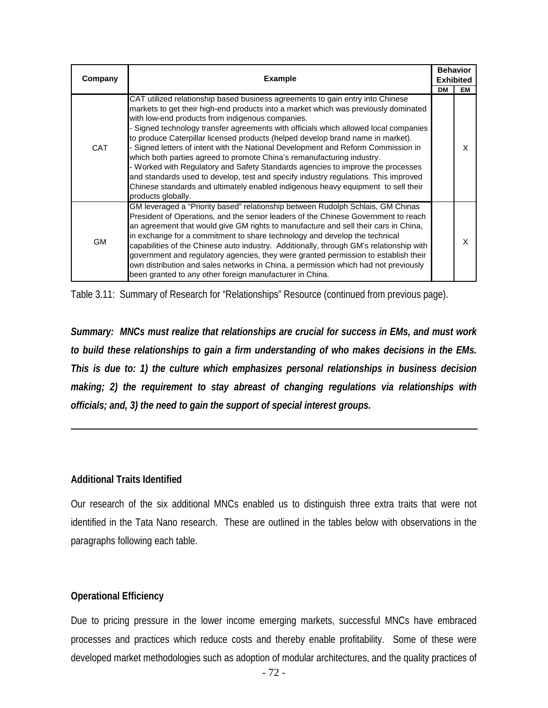| Company    | <b>Example</b>                                                                                                                                                                                                                                                                                                                                                                                                                                                                                                                                                                                                                                                                                                                                                                                                                                           |    | <b>Behavior</b><br><b>Exhibited</b> |
|------------|----------------------------------------------------------------------------------------------------------------------------------------------------------------------------------------------------------------------------------------------------------------------------------------------------------------------------------------------------------------------------------------------------------------------------------------------------------------------------------------------------------------------------------------------------------------------------------------------------------------------------------------------------------------------------------------------------------------------------------------------------------------------------------------------------------------------------------------------------------|----|-------------------------------------|
|            |                                                                                                                                                                                                                                                                                                                                                                                                                                                                                                                                                                                                                                                                                                                                                                                                                                                          | DМ | EМ                                  |
| <b>CAT</b> | CAT utilized relationship based business agreements to gain entry into Chinese<br>markets to get their high-end products into a market which was previously dominated<br>with low-end products from indigenous companies.<br>- Signed technology transfer agreements with officials which allowed local companies<br>to produce Caterpillar licensed products (helped develop brand name in market).<br>- Signed letters of intent with the National Development and Reform Commission in<br>which both parties agreed to promote China's remanufacturing industry.<br>- Worked with Regulatory and Safety Standards agencies to improve the processes<br>and standards used to develop, test and specify industry regulations. This improved<br>Chinese standards and ultimately enabled indigenous heavy equipment to sell their<br>products globally. |    | X                                   |
| GM.        | GM leveraged a "Priority based" relationship between Rudolph Schlais, GM Chinas<br>President of Operations, and the senior leaders of the Chinese Government to reach<br>an agreement that would give GM rights to manufacture and sell their cars in China,<br>in exchange for a commitment to share technology and develop the technical<br>capabilities of the Chinese auto industry. Additionally, through GM's relationship with<br>government and regulatory agencies, they were granted permission to establish their<br>own distribution and sales networks in China, a permission which had not previously<br>been granted to any other foreign manufacturer in China.                                                                                                                                                                          |    | X                                   |

Table 3.11: Summary of Research for "Relationships" Resource (continued from previous page).

*Summary: MNCs must realize that relationships are crucial for success in EMs, and must work to build these relationships to gain a firm understanding of who makes decisions in the EMs. This is due to: 1) the culture which emphasizes personal relationships in business decision making; 2) the requirement to stay abreast of changing regulations via relationships with officials; and, 3) the need to gain the support of special interest groups.* 

#### **Additional Traits Identified**

Our research of the six additional MNCs enabled us to distinguish three extra traits that were not identified in the Tata Nano research. These are outlined in the tables below with observations in the paragraphs following each table.

#### **Operational Efficiency**

Due to pricing pressure in the lower income emerging markets, successful MNCs have embraced processes and practices which reduce costs and thereby enable profitability. Some of these were developed market methodologies such as adoption of modular architectures, and the quality practices of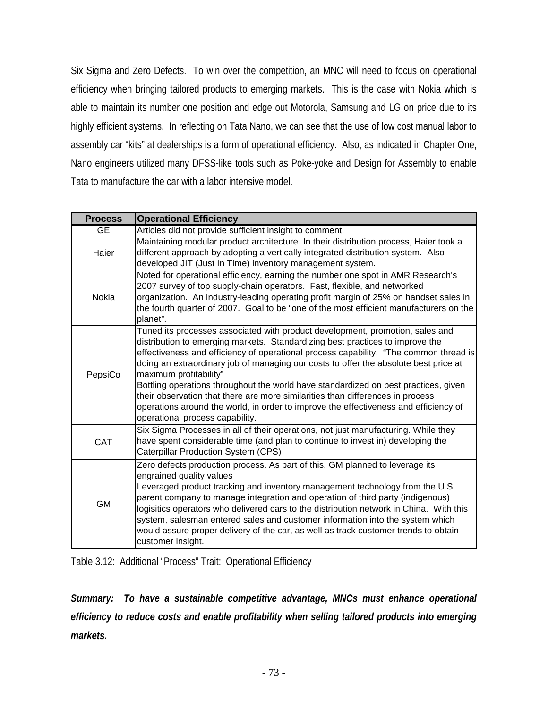Six Sigma and Zero Defects. To win over the competition, an MNC will need to focus on operational efficiency when bringing tailored products to emerging markets. This is the case with Nokia which is able to maintain its number one position and edge out Motorola, Samsung and LG on price due to its highly efficient systems. In reflecting on Tata Nano, we can see that the use of low cost manual labor to assembly car "kits" at dealerships is a form of operational efficiency. Also, as indicated in Chapter One, Nano engineers utilized many DFSS-like tools such as Poke-yoke and Design for Assembly to enable Tata to manufacture the car with a labor intensive model.

| <b>Process</b> | <b>Operational Efficiency</b>                                                                                                                                                                                                                                                                                                                                                                                                                                                                                                                                                                                                                                                 |  |
|----------------|-------------------------------------------------------------------------------------------------------------------------------------------------------------------------------------------------------------------------------------------------------------------------------------------------------------------------------------------------------------------------------------------------------------------------------------------------------------------------------------------------------------------------------------------------------------------------------------------------------------------------------------------------------------------------------|--|
| GЕ             | Articles did not provide sufficient insight to comment.                                                                                                                                                                                                                                                                                                                                                                                                                                                                                                                                                                                                                       |  |
| Haier          | Maintaining modular product architecture. In their distribution process, Haier took a<br>different approach by adopting a vertically integrated distribution system. Also<br>developed JIT (Just In Time) inventory management system.                                                                                                                                                                                                                                                                                                                                                                                                                                        |  |
| Nokia          | Noted for operational efficiency, earning the number one spot in AMR Research's<br>2007 survey of top supply-chain operators. Fast, flexible, and networked<br>organization. An industry-leading operating profit margin of 25% on handset sales in<br>the fourth quarter of 2007. Goal to be "one of the most efficient manufacturers on the<br>planet".                                                                                                                                                                                                                                                                                                                     |  |
| PepsiCo        | Tuned its processes associated with product development, promotion, sales and<br>distribution to emerging markets. Standardizing best practices to improve the<br>effectiveness and efficiency of operational process capability. "The common thread is<br>doing an extraordinary job of managing our costs to offer the absolute best price at<br>maximum profitability"<br>Bottling operations throughout the world have standardized on best practices, given<br>their observation that there are more similarities than differences in process<br>operations around the world, in order to improve the effectiveness and efficiency of<br>operational process capability. |  |
| CAT            | Six Sigma Processes in all of their operations, not just manufacturing. While they<br>have spent considerable time (and plan to continue to invest in) developing the<br>Caterpillar Production System (CPS)                                                                                                                                                                                                                                                                                                                                                                                                                                                                  |  |
| <b>GM</b>      | Zero defects production process. As part of this, GM planned to leverage its<br>engrained quality values<br>Leveraged product tracking and inventory management technology from the U.S.<br>parent company to manage integration and operation of third party (indigenous)<br>logisitics operators who delivered cars to the distribution network in China. With this<br>system, salesman entered sales and customer information into the system which<br>would assure proper delivery of the car, as well as track customer trends to obtain<br>customer insight.                                                                                                            |  |

Table 3.12: Additional "Process" Trait: Operational Efficiency

*Summary: To have a sustainable competitive advantage, MNCs must enhance operational efficiency to reduce costs and enable profitability when selling tailored products into emerging markets.*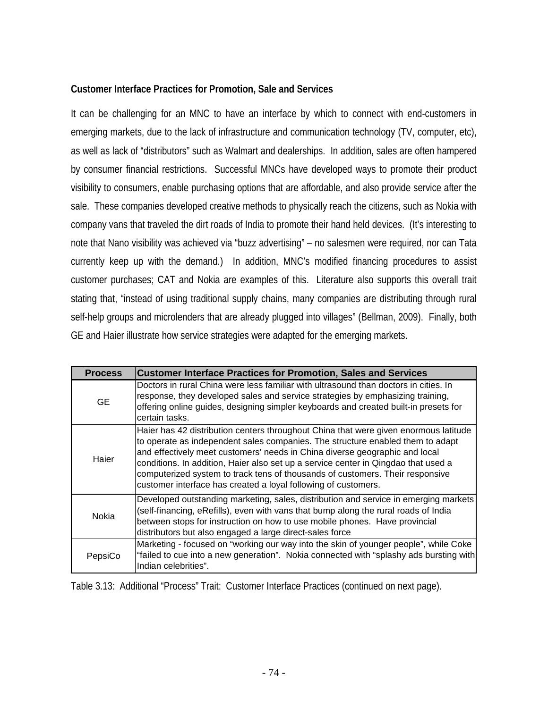### **Customer Interface Practices for Promotion, Sale and Services**

It can be challenging for an MNC to have an interface by which to connect with end-customers in emerging markets, due to the lack of infrastructure and communication technology (TV, computer, etc), as well as lack of "distributors" such as Walmart and dealerships. In addition, sales are often hampered by consumer financial restrictions. Successful MNCs have developed ways to promote their product visibility to consumers, enable purchasing options that are affordable, and also provide service after the sale. These companies developed creative methods to physically reach the citizens, such as Nokia with company vans that traveled the dirt roads of India to promote their hand held devices. (It's interesting to note that Nano visibility was achieved via "buzz advertising" – no salesmen were required, nor can Tata currently keep up with the demand.) In addition, MNC's modified financing procedures to assist customer purchases; CAT and Nokia are examples of this. Literature also supports this overall trait stating that, "instead of using traditional supply chains, many companies are distributing through rural self-help groups and microlenders that are already plugged into villages" (Bellman, 2009). Finally, both GE and Haier illustrate how service strategies were adapted for the emerging markets.

| <b>Process</b> | <b>Customer Interface Practices for Promotion, Sales and Services</b>                                                                                                                                                                                                                                                                                                                                                                                                                          |
|----------------|------------------------------------------------------------------------------------------------------------------------------------------------------------------------------------------------------------------------------------------------------------------------------------------------------------------------------------------------------------------------------------------------------------------------------------------------------------------------------------------------|
| <b>GE</b>      | Doctors in rural China were less familiar with ultrasound than doctors in cities. In<br>response, they developed sales and service strategies by emphasizing training,<br>offering online guides, designing simpler keyboards and created built-in presets for<br>certain tasks.                                                                                                                                                                                                               |
| Haier          | Haier has 42 distribution centers throughout China that were given enormous latitude<br>to operate as independent sales companies. The structure enabled them to adapt<br>and effectively meet customers' needs in China diverse geographic and local<br>conditions. In addition, Haier also set up a service center in Qingdao that used a<br>computerized system to track tens of thousands of customers. Their responsive<br>customer interface has created a loyal following of customers. |
| Nokia          | Developed outstanding marketing, sales, distribution and service in emerging markets<br>(self-financing, eRefills), even with vans that bump along the rural roads of India<br>between stops for instruction on how to use mobile phones. Have provincial<br>distributors but also engaged a large direct-sales force                                                                                                                                                                          |
| PepsiCo        | Marketing - focused on "working our way into the skin of younger people", while Coke<br>"failed to cue into a new generation". Nokia connected with "splashy ads bursting with<br>Indian celebrities".                                                                                                                                                                                                                                                                                         |

Table 3.13: Additional "Process" Trait: Customer Interface Practices (continued on next page).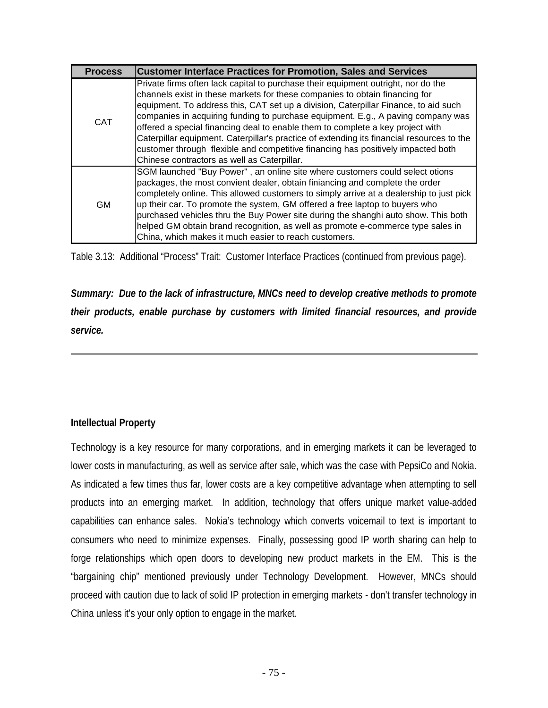| <b>Process</b> | <b>Customer Interface Practices for Promotion, Sales and Services</b>                                                                                                                                                                                                                                                                                                                                                                                                                                                                                                                                                                                         |  |  |
|----------------|---------------------------------------------------------------------------------------------------------------------------------------------------------------------------------------------------------------------------------------------------------------------------------------------------------------------------------------------------------------------------------------------------------------------------------------------------------------------------------------------------------------------------------------------------------------------------------------------------------------------------------------------------------------|--|--|
| <b>CAT</b>     | Private firms often lack capital to purchase their equipment outright, nor do the<br>channels exist in these markets for these companies to obtain financing for<br>equipment. To address this, CAT set up a division, Caterpillar Finance, to aid such<br>companies in acquiring funding to purchase equipment. E.g., A paving company was<br>offered a special financing deal to enable them to complete a key project with<br>Caterpillar equipment. Caterpillar's practice of extending its financial resources to the<br>customer through flexible and competitive financing has positively impacted both<br>Chinese contractors as well as Caterpillar. |  |  |
| <b>GM</b>      | SGM launched "Buy Power", an online site where customers could select otions<br>packages, the most convient dealer, obtain finiancing and complete the order<br>completely online. This allowed customers to simply arrive at a dealership to just pick<br>up their car. To promote the system, GM offered a free laptop to buyers who<br>purchased vehicles thru the Buy Power site during the shanghi auto show. This both<br>helped GM obtain brand recognition, as well as promote e-commerce type sales in<br>China, which makes it much easier to reach customers.                                                                                      |  |  |

Table 3.13: Additional "Process" Trait: Customer Interface Practices (continued from previous page).

*Summary: Due to the lack of infrastructure, MNCs need to develop creative methods to promote their products, enable purchase by customers with limited financial resources, and provide service.* 

## **Intellectual Property**

Technology is a key resource for many corporations, and in emerging markets it can be leveraged to lower costs in manufacturing, as well as service after sale, which was the case with PepsiCo and Nokia. As indicated a few times thus far, lower costs are a key competitive advantage when attempting to sell products into an emerging market. In addition, technology that offers unique market value-added capabilities can enhance sales. Nokia's technology which converts voicemail to text is important to consumers who need to minimize expenses. Finally, possessing good IP worth sharing can help to forge relationships which open doors to developing new product markets in the EM. This is the "bargaining chip" mentioned previously under Technology Development. However, MNCs should proceed with caution due to lack of solid IP protection in emerging markets - don't transfer technology in China unless it's your only option to engage in the market.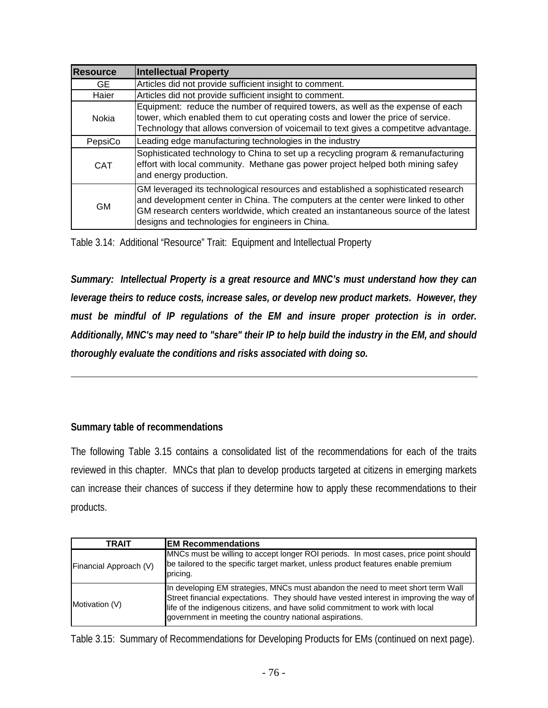| <b>Resource</b> | <b>Intellectual Property</b>                                                                                                                                                                                                                                                                                     |  |
|-----------------|------------------------------------------------------------------------------------------------------------------------------------------------------------------------------------------------------------------------------------------------------------------------------------------------------------------|--|
| GE.             | Articles did not provide sufficient insight to comment.                                                                                                                                                                                                                                                          |  |
| Haier           | Articles did not provide sufficient insight to comment.                                                                                                                                                                                                                                                          |  |
| Nokia           | Equipment: reduce the number of required towers, as well as the expense of each<br>tower, which enabled them to cut operating costs and lower the price of service.<br>Technology that allows conversion of voicemail to text gives a competitve advantage.                                                      |  |
| PepsiCo         | Leading edge manufacturing technologies in the industry                                                                                                                                                                                                                                                          |  |
| <b>CAT</b>      | Sophisticated technology to China to set up a recycling program & remanufacturing<br>effort with local community. Methane gas power project helped both mining safey<br>and energy production.                                                                                                                   |  |
| <b>GM</b>       | GM leveraged its technological resources and established a sophisticated research<br>and development center in China. The computers at the center were linked to other<br>GM research centers worldwide, which created an instantaneous source of the latest<br>designs and technologies for engineers in China. |  |

Table 3.14: Additional "Resource" Trait: Equipment and Intellectual Property

*Summary: Intellectual Property is a great resource and MNC's must understand how they can leverage theirs to reduce costs, increase sales, or develop new product markets. However, they must be mindful of IP regulations of the EM and insure proper protection is in order. Additionally, MNC's may need to "share" their IP to help build the industry in the EM, and should thoroughly evaluate the conditions and risks associated with doing so.* 

## **Summary table of recommendations**

The following Table 3.15 contains a consolidated list of the recommendations for each of the traits reviewed in this chapter. MNCs that plan to develop products targeted at citizens in emerging markets can increase their chances of success if they determine how to apply these recommendations to their products.

| <b>TRAIT</b>           | <b>IEM Recommendations</b>                                                                                                                                                                                                                                                                                             |
|------------------------|------------------------------------------------------------------------------------------------------------------------------------------------------------------------------------------------------------------------------------------------------------------------------------------------------------------------|
| Financial Approach (V) | MNCs must be willing to accept longer ROI periods. In most cases, price point should<br>be tailored to the specific target market, unless product features enable premium<br>pricing.                                                                                                                                  |
| Motivation (V)         | In developing EM strategies, MNCs must abandon the need to meet short term Wall<br>Street financial expectations. They should have vested interest in improving the way of<br>life of the indigenous citizens, and have solid commitment to work with local<br>government in meeting the country national aspirations. |

Table 3.15: Summary of Recommendations for Developing Products for EMs (continued on next page).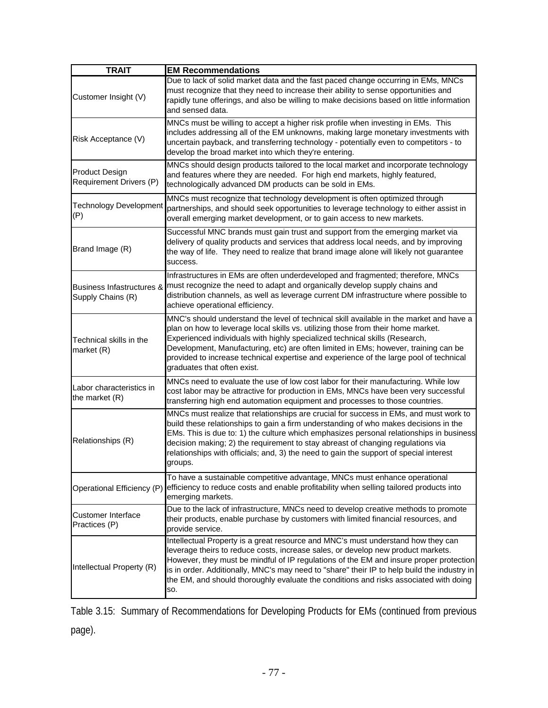| <b>TRAIT</b>                                              | <b>EM Recommendations</b>                                                                                                                                                                                                                                                                                                                                                                                                                                                  |
|-----------------------------------------------------------|----------------------------------------------------------------------------------------------------------------------------------------------------------------------------------------------------------------------------------------------------------------------------------------------------------------------------------------------------------------------------------------------------------------------------------------------------------------------------|
| Customer Insight (V)                                      | Due to lack of solid market data and the fast paced change occurring in EMs, MNCs<br>must recognize that they need to increase their ability to sense opportunities and<br>rapidly tune offerings, and also be willing to make decisions based on little information<br>and sensed data.                                                                                                                                                                                   |
| Risk Acceptance (V)                                       | MNCs must be willing to accept a higher risk profile when investing in EMs. This<br>includes addressing all of the EM unknowns, making large monetary investments with<br>uncertain payback, and transferring technology - potentially even to competitors - to<br>develop the broad market into which they're entering.                                                                                                                                                   |
| Product Design<br>Requirement Drivers (P)                 | MNCs should design products tailored to the local market and incorporate technology<br>and features where they are needed. For high end markets, highly featured,<br>technologically advanced DM products can be sold in EMs.                                                                                                                                                                                                                                              |
| <b>Technology Development</b><br>(P)                      | MNCs must recognize that technology development is often optimized through<br>partnerships, and should seek opportunities to leverage technology to either assist in<br>overall emerging market development, or to gain access to new markets.                                                                                                                                                                                                                             |
| Brand Image (R)                                           | Successful MNC brands must gain trust and support from the emerging market via<br>delivery of quality products and services that address local needs, and by improving<br>the way of life. They need to realize that brand image alone will likely not guarantee<br>success.                                                                                                                                                                                               |
| <b>Business Infastructures &amp;</b><br>Supply Chains (R) | Infrastructures in EMs are often underdeveloped and fragmented; therefore, MNCs<br>must recognize the need to adapt and organically develop supply chains and<br>distribution channels, as well as leverage current DM infrastructure where possible to<br>achieve operational efficiency.                                                                                                                                                                                 |
| Technical skills in the<br>market (R)                     | MNC's should understand the level of technical skill available in the market and have a<br>plan on how to leverage local skills vs. utilizing those from their home market.<br>Experienced individuals with highly specialized technical skills (Research,<br>Development, Manufacturing, etc) are often limited in EMs; however, training can be<br>provided to increase technical expertise and experience of the large pool of technical<br>graduates that often exist. |
| Labor characteristics in<br>the market (R)                | MNCs need to evaluate the use of low cost labor for their manufacturing. While low<br>cost labor may be attractive for production in EMs, MNCs have been very successful<br>transferring high end automation equipment and processes to those countries.                                                                                                                                                                                                                   |
| Relationships (R)                                         | MNCs must realize that relationships are crucial for success in EMs, and must work to<br>build these relationships to gain a firm understanding of who makes decisions in the<br>EMs. This is due to: 1) the culture which emphasizes personal relationships in business<br>decision making; 2) the requirement to stay abreast of changing regulations via<br>relationships with officials; and, 3) the need to gain the support of special interest<br>groups.           |
| Operational Efficiency (P)                                | To have a sustainable competitive advantage, MNCs must enhance operational<br>efficiency to reduce costs and enable profitability when selling tailored products into<br>emerging markets.                                                                                                                                                                                                                                                                                 |
| Customer Interface<br>Practices (P)                       | Due to the lack of infrastructure, MNCs need to develop creative methods to promote<br>their products, enable purchase by customers with limited financial resources, and<br>provide service.                                                                                                                                                                                                                                                                              |
| Intellectual Property (R)                                 | Intellectual Property is a great resource and MNC's must understand how they can<br>leverage theirs to reduce costs, increase sales, or develop new product markets.<br>However, they must be mindful of IP regulations of the EM and insure proper protection<br>is in order. Additionally, MNC's may need to "share" their IP to help build the industry in<br>the EM, and should thoroughly evaluate the conditions and risks associated with doing<br>SO.              |

Table 3.15: Summary of Recommendations for Developing Products for EMs (continued from previous page).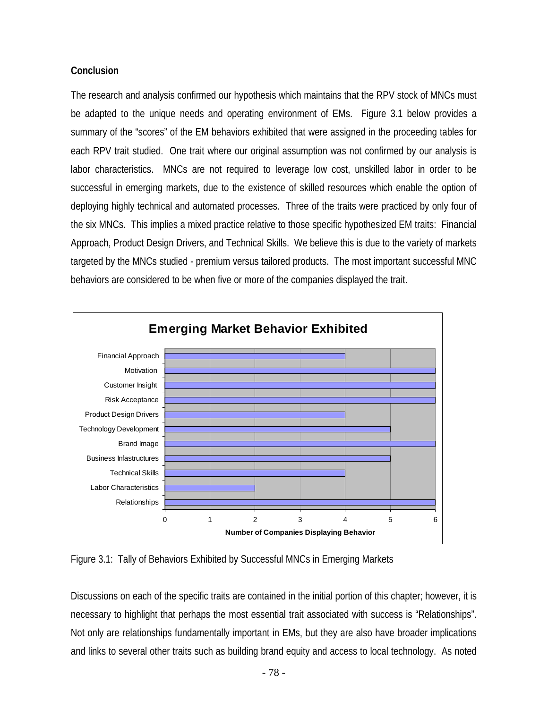## **Conclusion**

The research and analysis confirmed our hypothesis which maintains that the RPV stock of MNCs must be adapted to the unique needs and operating environment of EMs. Figure 3.1 below provides a summary of the "scores" of the EM behaviors exhibited that were assigned in the proceeding tables for each RPV trait studied. One trait where our original assumption was not confirmed by our analysis is labor characteristics. MNCs are not required to leverage low cost, unskilled labor in order to be successful in emerging markets, due to the existence of skilled resources which enable the option of deploying highly technical and automated processes. Three of the traits were practiced by only four of the six MNCs. This implies a mixed practice relative to those specific hypothesized EM traits: Financial Approach, Product Design Drivers, and Technical Skills. We believe this is due to the variety of markets targeted by the MNCs studied - premium versus tailored products. The most important successful MNC behaviors are considered to be when five or more of the companies displayed the trait.



Figure 3.1: Tally of Behaviors Exhibited by Successful MNCs in Emerging Markets

Discussions on each of the specific traits are contained in the initial portion of this chapter; however, it is necessary to highlight that perhaps the most essential trait associated with success is "Relationships". Not only are relationships fundamentally important in EMs, but they are also have broader implications and links to several other traits such as building brand equity and access to local technology. As noted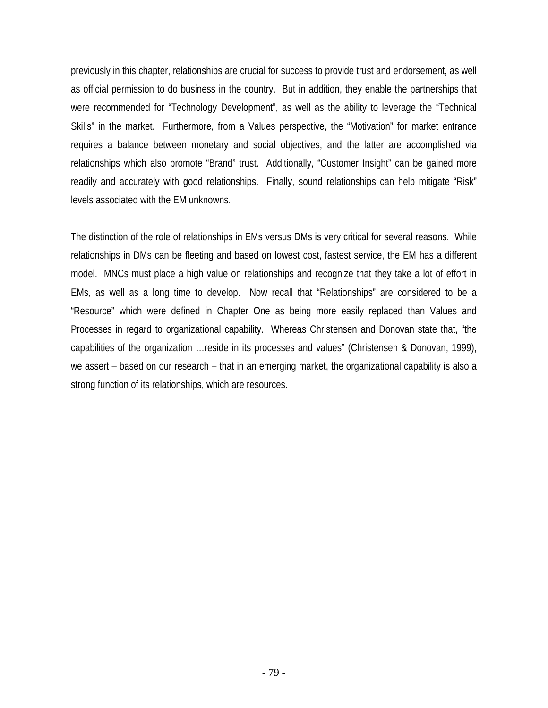previously in this chapter, relationships are crucial for success to provide trust and endorsement, as well as official permission to do business in the country. But in addition, they enable the partnerships that were recommended for "Technology Development", as well as the ability to leverage the "Technical Skills" in the market. Furthermore, from a Values perspective, the "Motivation" for market entrance requires a balance between monetary and social objectives, and the latter are accomplished via relationships which also promote "Brand" trust. Additionally, "Customer Insight" can be gained more readily and accurately with good relationships. Finally, sound relationships can help mitigate "Risk" levels associated with the EM unknowns.

The distinction of the role of relationships in EMs versus DMs is very critical for several reasons. While relationships in DMs can be fleeting and based on lowest cost, fastest service, the EM has a different model. MNCs must place a high value on relationships and recognize that they take a lot of effort in EMs, as well as a long time to develop. Now recall that "Relationships" are considered to be a "Resource" which were defined in Chapter One as being more easily replaced than Values and Processes in regard to organizational capability. Whereas Christensen and Donovan state that, "the capabilities of the organization …reside in its processes and values" (Christensen & Donovan, 1999), we assert – based on our research – that in an emerging market, the organizational capability is also a strong function of its relationships, which are resources.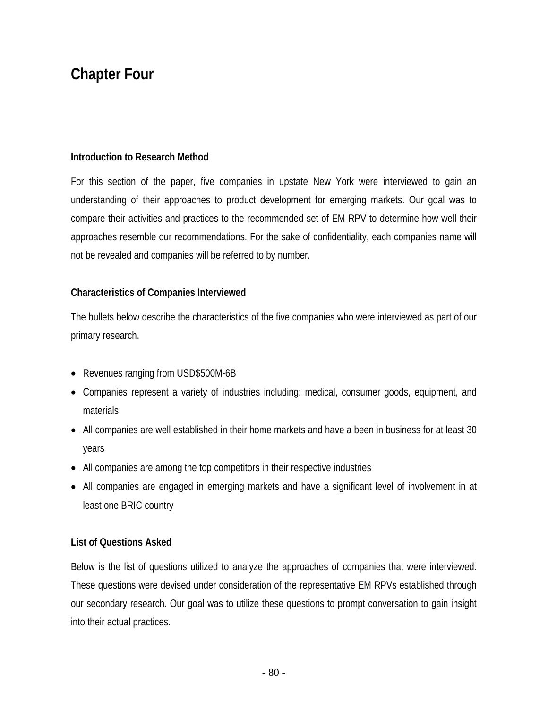# **Chapter Four**

## **Introduction to Research Method**

For this section of the paper, five companies in upstate New York were interviewed to gain an understanding of their approaches to product development for emerging markets. Our goal was to compare their activities and practices to the recommended set of EM RPV to determine how well their approaches resemble our recommendations. For the sake of confidentiality, each companies name will not be revealed and companies will be referred to by number.

## **Characteristics of Companies Interviewed**

The bullets below describe the characteristics of the five companies who were interviewed as part of our primary research.

- Revenues ranging from USD\$500M-6B
- Companies represent a variety of industries including: medical, consumer goods, equipment, and materials
- All companies are well established in their home markets and have a been in business for at least 30 years
- All companies are among the top competitors in their respective industries
- All companies are engaged in emerging markets and have a significant level of involvement in at least one BRIC country

## **List of Questions Asked**

Below is the list of questions utilized to analyze the approaches of companies that were interviewed. These questions were devised under consideration of the representative EM RPVs established through our secondary research. Our goal was to utilize these questions to prompt conversation to gain insight into their actual practices.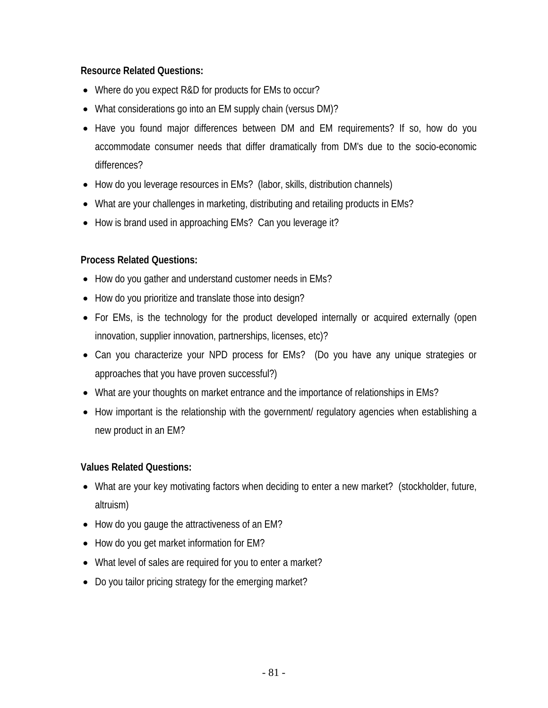## **Resource Related Questions:**

- Where do you expect R&D for products for EMs to occur?
- What considerations go into an EM supply chain (versus DM)?
- Have you found major differences between DM and EM requirements? If so, how do you accommodate consumer needs that differ dramatically from DM's due to the socio-economic differences?
- How do you leverage resources in EMs? (labor, skills, distribution channels)
- What are your challenges in marketing, distributing and retailing products in EMs?
- How is brand used in approaching EMs? Can you leverage it?

## **Process Related Questions:**

- How do you gather and understand customer needs in EMs?
- How do you prioritize and translate those into design?
- For EMs, is the technology for the product developed internally or acquired externally (open innovation, supplier innovation, partnerships, licenses, etc)?
- Can you characterize your NPD process for EMs? (Do you have any unique strategies or approaches that you have proven successful?)
- What are your thoughts on market entrance and the importance of relationships in EMs?
- How important is the relationship with the government/ regulatory agencies when establishing a new product in an EM?

## **Values Related Questions:**

- What are your key motivating factors when deciding to enter a new market? (stockholder, future, altruism)
- How do you gauge the attractiveness of an EM?
- How do you get market information for EM?
- What level of sales are required for you to enter a market?
- Do you tailor pricing strategy for the emerging market?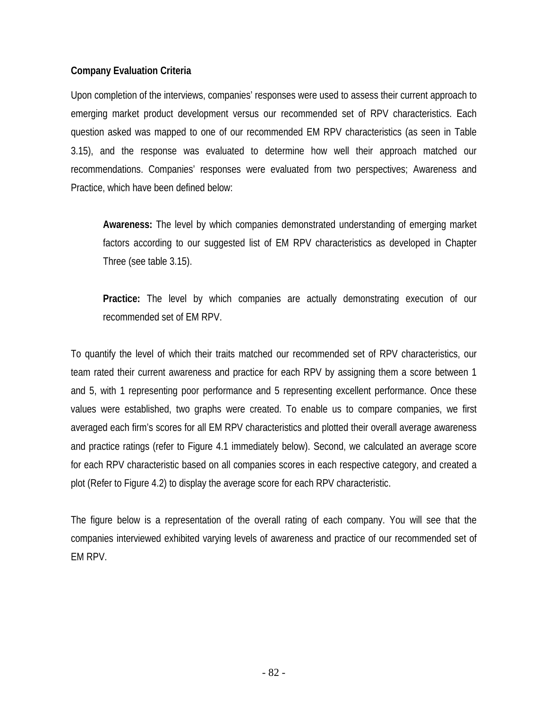## **Company Evaluation Criteria**

Upon completion of the interviews, companies' responses were used to assess their current approach to emerging market product development versus our recommended set of RPV characteristics. Each question asked was mapped to one of our recommended EM RPV characteristics (as seen in Table 3.15), and the response was evaluated to determine how well their approach matched our recommendations. Companies' responses were evaluated from two perspectives; Awareness and Practice, which have been defined below:

**Awareness:** The level by which companies demonstrated understanding of emerging market factors according to our suggested list of EM RPV characteristics as developed in Chapter Three (see table 3.15).

**Practice:** The level by which companies are actually demonstrating execution of our recommended set of EM RPV.

To quantify the level of which their traits matched our recommended set of RPV characteristics, our team rated their current awareness and practice for each RPV by assigning them a score between 1 and 5, with 1 representing poor performance and 5 representing excellent performance. Once these values were established, two graphs were created. To enable us to compare companies, we first averaged each firm's scores for all EM RPV characteristics and plotted their overall average awareness and practice ratings (refer to Figure 4.1 immediately below). Second, we calculated an average score for each RPV characteristic based on all companies scores in each respective category, and created a plot (Refer to Figure 4.2) to display the average score for each RPV characteristic.

The figure below is a representation of the overall rating of each company. You will see that the companies interviewed exhibited varying levels of awareness and practice of our recommended set of EM RPV.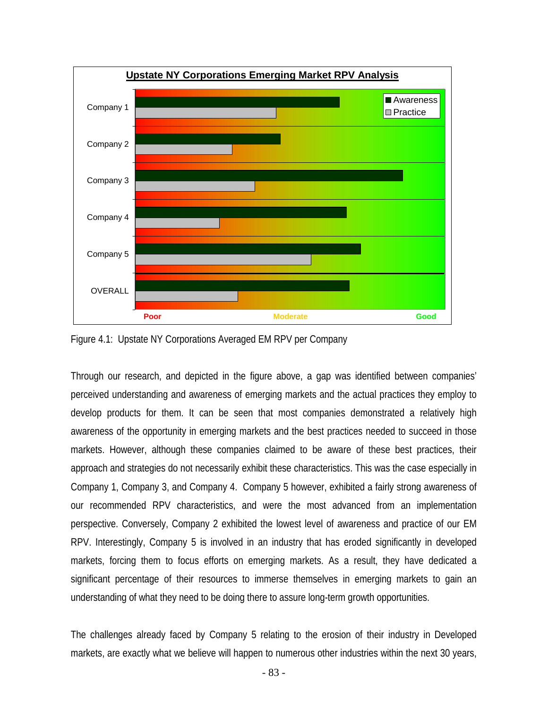

Figure 4.1: Upstate NY Corporations Averaged EM RPV per Company

Through our research, and depicted in the figure above, a gap was identified between companies' perceived understanding and awareness of emerging markets and the actual practices they employ to develop products for them. It can be seen that most companies demonstrated a relatively high awareness of the opportunity in emerging markets and the best practices needed to succeed in those markets. However, although these companies claimed to be aware of these best practices, their approach and strategies do not necessarily exhibit these characteristics. This was the case especially in Company 1, Company 3, and Company 4. Company 5 however, exhibited a fairly strong awareness of our recommended RPV characteristics, and were the most advanced from an implementation perspective. Conversely, Company 2 exhibited the lowest level of awareness and practice of our EM RPV. Interestingly, Company 5 is involved in an industry that has eroded significantly in developed markets, forcing them to focus efforts on emerging markets. As a result, they have dedicated a significant percentage of their resources to immerse themselves in emerging markets to gain an understanding of what they need to be doing there to assure long-term growth opportunities.

The challenges already faced by Company 5 relating to the erosion of their industry in Developed markets, are exactly what we believe will happen to numerous other industries within the next 30 years,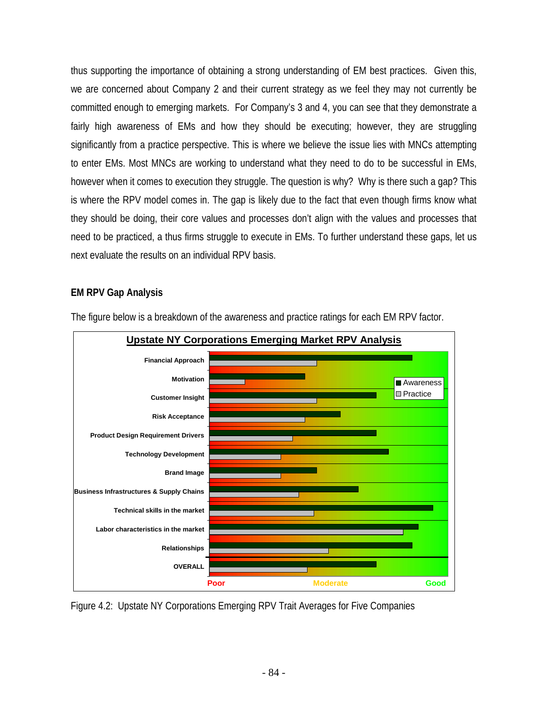thus supporting the importance of obtaining a strong understanding of EM best practices. Given this, we are concerned about Company 2 and their current strategy as we feel they may not currently be committed enough to emerging markets. For Company's 3 and 4, you can see that they demonstrate a fairly high awareness of EMs and how they should be executing; however, they are struggling significantly from a practice perspective. This is where we believe the issue lies with MNCs attempting to enter EMs. Most MNCs are working to understand what they need to do to be successful in EMs, however when it comes to execution they struggle. The question is why? Why is there such a gap? This is where the RPV model comes in. The gap is likely due to the fact that even though firms know what they should be doing, their core values and processes don't align with the values and processes that need to be practiced, a thus firms struggle to execute in EMs. To further understand these gaps, let us next evaluate the results on an individual RPV basis.

#### **EM RPV Gap Analysis**



The figure below is a breakdown of the awareness and practice ratings for each EM RPV factor.

Figure 4.2: Upstate NY Corporations Emerging RPV Trait Averages for Five Companies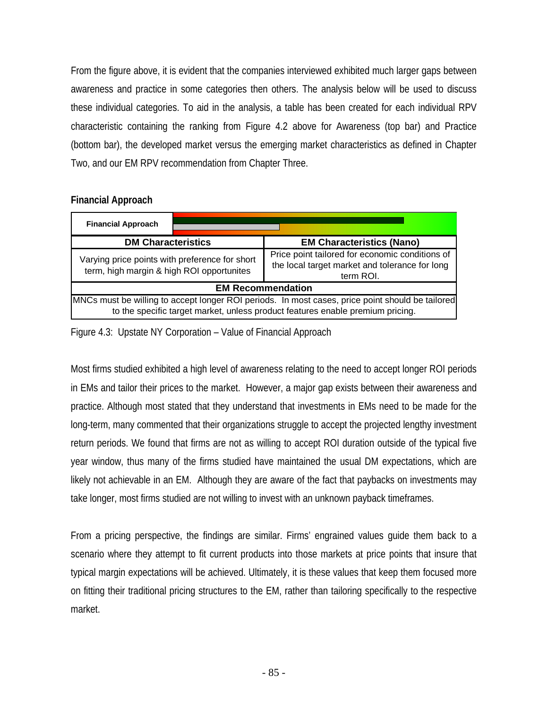From the figure above, it is evident that the companies interviewed exhibited much larger gaps between awareness and practice in some categories then others. The analysis below will be used to discuss these individual categories. To aid in the analysis, a table has been created for each individual RPV characteristic containing the ranking from Figure 4.2 above for Awareness (top bar) and Practice (bottom bar), the developed market versus the emerging market characteristics as defined in Chapter Two, and our EM RPV recommendation from Chapter Three.

## **Financial Approach**

| <b>Financial Approach</b>                                                                                                                                                          |                                                                                                                |  |
|------------------------------------------------------------------------------------------------------------------------------------------------------------------------------------|----------------------------------------------------------------------------------------------------------------|--|
| <b>DM Characteristics</b>                                                                                                                                                          | <b>EM Characteristics (Nano)</b>                                                                               |  |
| Varying price points with preference for short<br>term, high margin & high ROI opportunites                                                                                        | Price point tailored for economic conditions of<br>the local target market and tolerance for long<br>term ROI. |  |
| <b>EM Recommendation</b>                                                                                                                                                           |                                                                                                                |  |
| MNCs must be willing to accept longer ROI periods. In most cases, price point should be tailored<br>to the specific target market, unless product features enable premium pricing. |                                                                                                                |  |

Figure 4.3: Upstate NY Corporation – Value of Financial Approach

Most firms studied exhibited a high level of awareness relating to the need to accept longer ROI periods in EMs and tailor their prices to the market. However, a major gap exists between their awareness and practice. Although most stated that they understand that investments in EMs need to be made for the long-term, many commented that their organizations struggle to accept the projected lengthy investment return periods. We found that firms are not as willing to accept ROI duration outside of the typical five year window, thus many of the firms studied have maintained the usual DM expectations, which are likely not achievable in an EM. Although they are aware of the fact that paybacks on investments may take longer, most firms studied are not willing to invest with an unknown payback timeframes.

From a pricing perspective, the findings are similar. Firms' engrained values guide them back to a scenario where they attempt to fit current products into those markets at price points that insure that typical margin expectations will be achieved. Ultimately, it is these values that keep them focused more on fitting their traditional pricing structures to the EM, rather than tailoring specifically to the respective market.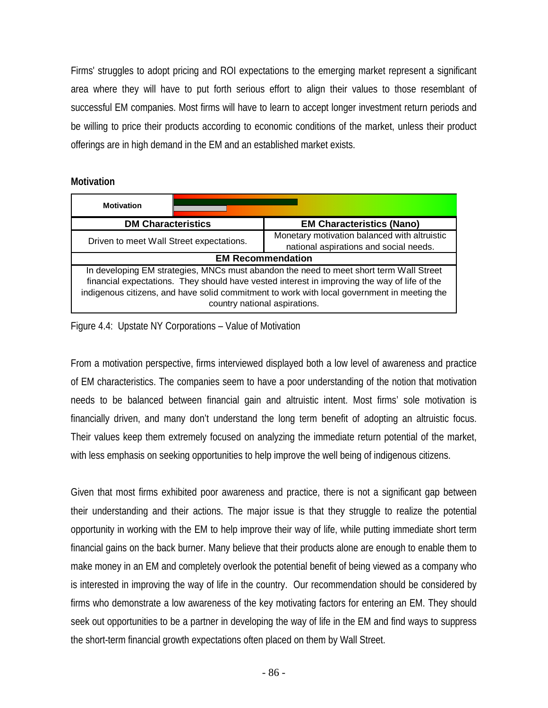Firms' struggles to adopt pricing and ROI expectations to the emerging market represent a significant area where they will have to put forth serious effort to align their values to those resemblant of successful EM companies. Most firms will have to learn to accept longer investment return periods and be willing to price their products according to economic conditions of the market, unless their product offerings are in high demand in the EM and an established market exists.

#### **Motivation**

| <b>Motivation</b>                                                                            |                                              |  |  |
|----------------------------------------------------------------------------------------------|----------------------------------------------|--|--|
| <b>DM Characteristics</b>                                                                    | <b>EM Characteristics (Nano)</b>             |  |  |
| Driven to meet Wall Street expectations.                                                     | Monetary motivation balanced with altruistic |  |  |
|                                                                                              | national aspirations and social needs.       |  |  |
| <b>EM Recommendation</b>                                                                     |                                              |  |  |
| In developing EM strategies, MNCs must abandon the need to meet short term Wall Street       |                                              |  |  |
| financial expectations. They should have vested interest in improving the way of life of the |                                              |  |  |
| indigenous citizens, and have solid commitment to work with local government in meeting the  |                                              |  |  |
| country national aspirations.                                                                |                                              |  |  |

## Figure 4.4: Upstate NY Corporations – Value of Motivation

From a motivation perspective, firms interviewed displayed both a low level of awareness and practice of EM characteristics. The companies seem to have a poor understanding of the notion that motivation needs to be balanced between financial gain and altruistic intent. Most firms' sole motivation is financially driven, and many don't understand the long term benefit of adopting an altruistic focus. Their values keep them extremely focused on analyzing the immediate return potential of the market, with less emphasis on seeking opportunities to help improve the well being of indigenous citizens.

Given that most firms exhibited poor awareness and practice, there is not a significant gap between their understanding and their actions. The major issue is that they struggle to realize the potential opportunity in working with the EM to help improve their way of life, while putting immediate short term financial gains on the back burner. Many believe that their products alone are enough to enable them to make money in an EM and completely overlook the potential benefit of being viewed as a company who is interested in improving the way of life in the country. Our recommendation should be considered by firms who demonstrate a low awareness of the key motivating factors for entering an EM. They should seek out opportunities to be a partner in developing the way of life in the EM and find ways to suppress the short-term financial growth expectations often placed on them by Wall Street.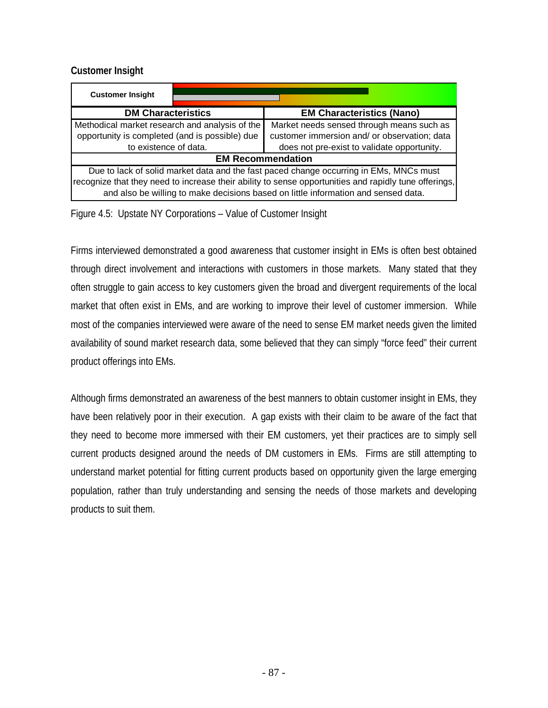#### **Customer Insight**

| <b>Customer Insight</b>                                                                                                                                                                     |  |                                              |
|---------------------------------------------------------------------------------------------------------------------------------------------------------------------------------------------|--|----------------------------------------------|
| <b>DM Characteristics</b>                                                                                                                                                                   |  | <b>EM Characteristics (Nano)</b>             |
| Methodical market research and analysis of the                                                                                                                                              |  | Market needs sensed through means such as    |
| opportunity is completed (and is possible) due                                                                                                                                              |  | customer immersion and/ or observation; data |
| to existence of data.                                                                                                                                                                       |  | does not pre-exist to validate opportunity.  |
| <b>EM Recommendation</b>                                                                                                                                                                    |  |                                              |
| Due to lack of solid market data and the fast paced change occurring in EMs, MNCs must                                                                                                      |  |                                              |
| recognize that they need to increase their ability to sense opportunities and rapidly tune offerings,<br>and also be willing to make decisions based on little information and sensed data. |  |                                              |

Figure 4.5: Upstate NY Corporations – Value of Customer Insight

Firms interviewed demonstrated a good awareness that customer insight in EMs is often best obtained through direct involvement and interactions with customers in those markets. Many stated that they often struggle to gain access to key customers given the broad and divergent requirements of the local market that often exist in EMs, and are working to improve their level of customer immersion. While most of the companies interviewed were aware of the need to sense EM market needs given the limited availability of sound market research data, some believed that they can simply "force feed" their current product offerings into EMs.

Although firms demonstrated an awareness of the best manners to obtain customer insight in EMs, they have been relatively poor in their execution. A gap exists with their claim to be aware of the fact that they need to become more immersed with their EM customers, yet their practices are to simply sell current products designed around the needs of DM customers in EMs. Firms are still attempting to understand market potential for fitting current products based on opportunity given the large emerging population, rather than truly understanding and sensing the needs of those markets and developing products to suit them.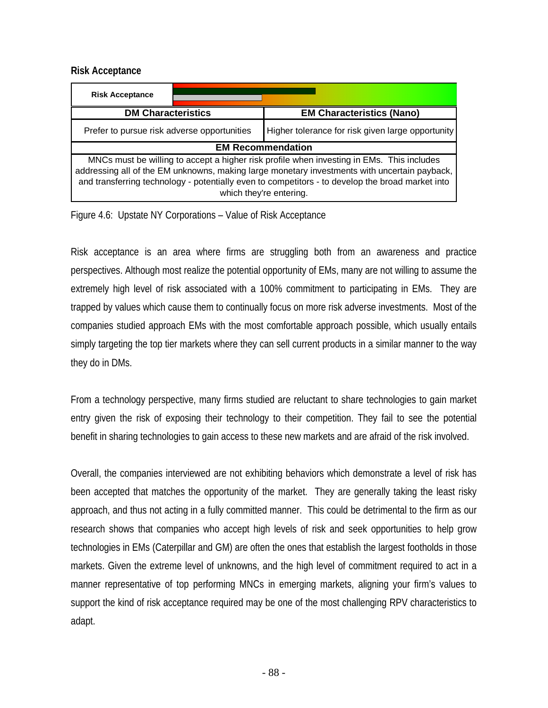#### **Risk Acceptance**

| <b>Risk Acceptance</b>                                                                                                                                                                                                                                                                                                   |  |                                                   |
|--------------------------------------------------------------------------------------------------------------------------------------------------------------------------------------------------------------------------------------------------------------------------------------------------------------------------|--|---------------------------------------------------|
| <b>DM Characteristics</b>                                                                                                                                                                                                                                                                                                |  | <b>EM Characteristics (Nano)</b>                  |
| Prefer to pursue risk adverse opportunities                                                                                                                                                                                                                                                                              |  | Higher tolerance for risk given large opportunity |
| <b>EM Recommendation</b>                                                                                                                                                                                                                                                                                                 |  |                                                   |
| MNCs must be willing to accept a higher risk profile when investing in EMs. This includes<br>addressing all of the EM unknowns, making large monetary investments with uncertain payback,<br>and transferring technology - potentially even to competitors - to develop the broad market into<br>which they're entering. |  |                                                   |

Figure 4.6: Upstate NY Corporations – Value of Risk Acceptance

Risk acceptance is an area where firms are struggling both from an awareness and practice perspectives. Although most realize the potential opportunity of EMs, many are not willing to assume the extremely high level of risk associated with a 100% commitment to participating in EMs. They are trapped by values which cause them to continually focus on more risk adverse investments. Most of the companies studied approach EMs with the most comfortable approach possible, which usually entails simply targeting the top tier markets where they can sell current products in a similar manner to the way they do in DMs.

From a technology perspective, many firms studied are reluctant to share technologies to gain market entry given the risk of exposing their technology to their competition. They fail to see the potential benefit in sharing technologies to gain access to these new markets and are afraid of the risk involved.

Overall, the companies interviewed are not exhibiting behaviors which demonstrate a level of risk has been accepted that matches the opportunity of the market. They are generally taking the least risky approach, and thus not acting in a fully committed manner. This could be detrimental to the firm as our research shows that companies who accept high levels of risk and seek opportunities to help grow technologies in EMs (Caterpillar and GM) are often the ones that establish the largest footholds in those markets. Given the extreme level of unknowns, and the high level of commitment required to act in a manner representative of top performing MNCs in emerging markets, aligning your firm's values to support the kind of risk acceptance required may be one of the most challenging RPV characteristics to adapt.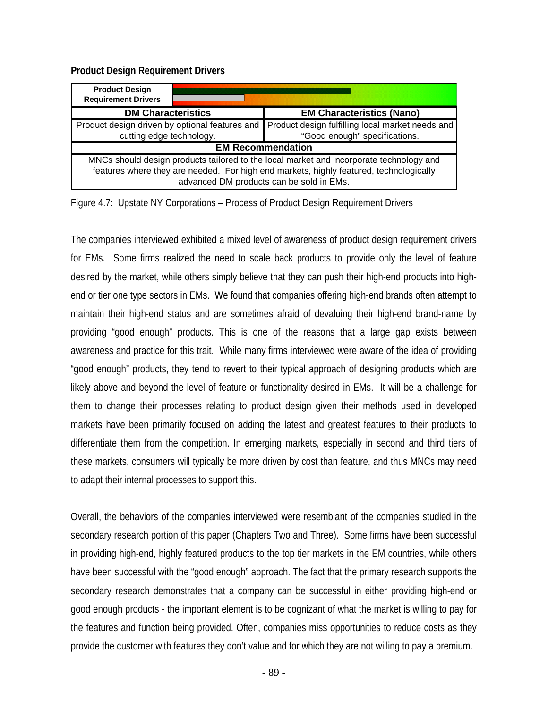**Product Design Requirement Drivers** 

| <b>Product Design</b><br><b>Requirement Drivers</b>                                                                                                                                                                           |  |                                                                                   |  |
|-------------------------------------------------------------------------------------------------------------------------------------------------------------------------------------------------------------------------------|--|-----------------------------------------------------------------------------------|--|
| <b>DM Characteristics</b>                                                                                                                                                                                                     |  | <b>EM Characteristics (Nano)</b>                                                  |  |
| Product design driven by optional features and<br>cutting edge technology.                                                                                                                                                    |  | Product design fulfilling local market needs and<br>"Good enough" specifications. |  |
| <b>EM Recommendation</b>                                                                                                                                                                                                      |  |                                                                                   |  |
| MNCs should design products tailored to the local market and incorporate technology and<br>features where they are needed. For high end markets, highly featured, technologically<br>advanced DM products can be sold in EMs. |  |                                                                                   |  |

Figure 4.7: Upstate NY Corporations – Process of Product Design Requirement Drivers

The companies interviewed exhibited a mixed level of awareness of product design requirement drivers for EMs. Some firms realized the need to scale back products to provide only the level of feature desired by the market, while others simply believe that they can push their high-end products into highend or tier one type sectors in EMs. We found that companies offering high-end brands often attempt to maintain their high-end status and are sometimes afraid of devaluing their high-end brand-name by providing "good enough" products. This is one of the reasons that a large gap exists between awareness and practice for this trait. While many firms interviewed were aware of the idea of providing "good enough" products, they tend to revert to their typical approach of designing products which are likely above and beyond the level of feature or functionality desired in EMs. It will be a challenge for them to change their processes relating to product design given their methods used in developed markets have been primarily focused on adding the latest and greatest features to their products to differentiate them from the competition. In emerging markets, especially in second and third tiers of these markets, consumers will typically be more driven by cost than feature, and thus MNCs may need to adapt their internal processes to support this.

Overall, the behaviors of the companies interviewed were resemblant of the companies studied in the secondary research portion of this paper (Chapters Two and Three). Some firms have been successful in providing high-end, highly featured products to the top tier markets in the EM countries, while others have been successful with the "good enough" approach. The fact that the primary research supports the secondary research demonstrates that a company can be successful in either providing high-end or good enough products - the important element is to be cognizant of what the market is willing to pay for the features and function being provided. Often, companies miss opportunities to reduce costs as they provide the customer with features they don't value and for which they are not willing to pay a premium.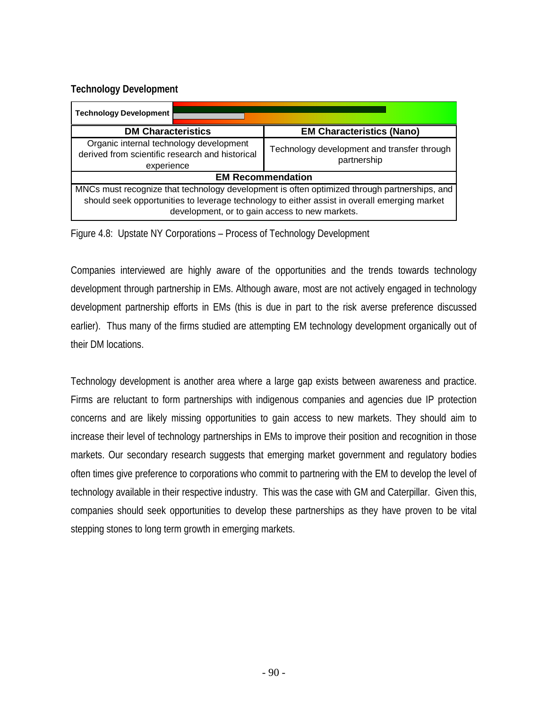## **Technology Development**

| <b>Technology Development</b>                                                                                                                                                                                                                  |                                                            |  |  |
|------------------------------------------------------------------------------------------------------------------------------------------------------------------------------------------------------------------------------------------------|------------------------------------------------------------|--|--|
| <b>DM Characteristics</b>                                                                                                                                                                                                                      | <b>EM Characteristics (Nano)</b>                           |  |  |
| Organic internal technology development<br>derived from scientific research and historical<br>experience                                                                                                                                       | Technology development and transfer through<br>partnership |  |  |
| <b>EM Recommendation</b>                                                                                                                                                                                                                       |                                                            |  |  |
| MNCs must recognize that technology development is often optimized through partnerships, and<br>should seek opportunities to leverage technology to either assist in overall emerging market<br>development, or to gain access to new markets. |                                                            |  |  |

Figure 4.8: Upstate NY Corporations – Process of Technology Development

Companies interviewed are highly aware of the opportunities and the trends towards technology development through partnership in EMs. Although aware, most are not actively engaged in technology development partnership efforts in EMs (this is due in part to the risk averse preference discussed earlier). Thus many of the firms studied are attempting EM technology development organically out of their DM locations.

Technology development is another area where a large gap exists between awareness and practice. Firms are reluctant to form partnerships with indigenous companies and agencies due IP protection concerns and are likely missing opportunities to gain access to new markets. They should aim to increase their level of technology partnerships in EMs to improve their position and recognition in those markets. Our secondary research suggests that emerging market government and regulatory bodies often times give preference to corporations who commit to partnering with the EM to develop the level of technology available in their respective industry. This was the case with GM and Caterpillar. Given this, companies should seek opportunities to develop these partnerships as they have proven to be vital stepping stones to long term growth in emerging markets.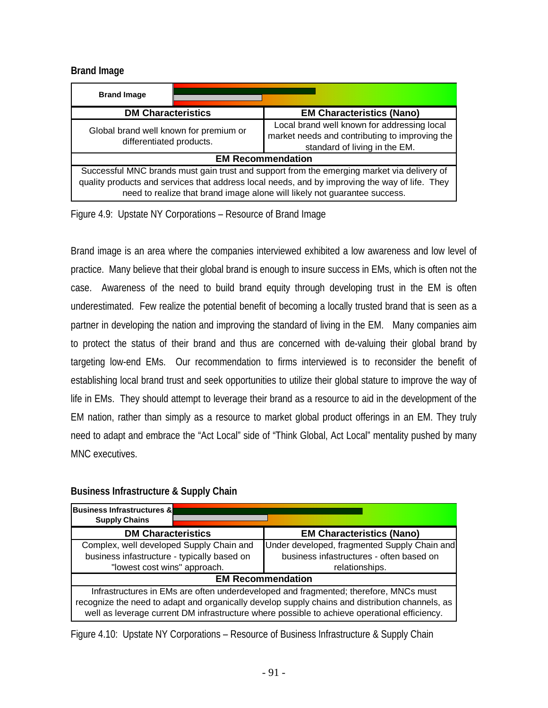#### **Brand Image**

| <b>Brand Image</b>                                                                                                                                                                                                                                                        |  |                                                                                                                                |  |  |
|---------------------------------------------------------------------------------------------------------------------------------------------------------------------------------------------------------------------------------------------------------------------------|--|--------------------------------------------------------------------------------------------------------------------------------|--|--|
| <b>DM Characteristics</b>                                                                                                                                                                                                                                                 |  | <b>EM Characteristics (Nano)</b>                                                                                               |  |  |
| Global brand well known for premium or<br>differentiated products.                                                                                                                                                                                                        |  | Local brand well known for addressing local<br>market needs and contributing to improving the<br>standard of living in the EM. |  |  |
| <b>EM Recommendation</b>                                                                                                                                                                                                                                                  |  |                                                                                                                                |  |  |
| Successful MNC brands must gain trust and support from the emerging market via delivery of<br>quality products and services that address local needs, and by improving the way of life. They<br>need to realize that brand image alone will likely not guarantee success. |  |                                                                                                                                |  |  |

Figure 4.9: Upstate NY Corporations – Resource of Brand Image

Brand image is an area where the companies interviewed exhibited a low awareness and low level of practice. Many believe that their global brand is enough to insure success in EMs, which is often not the case. Awareness of the need to build brand equity through developing trust in the EM is often underestimated. Few realize the potential benefit of becoming a locally trusted brand that is seen as a partner in developing the nation and improving the standard of living in the EM. Many companies aim to protect the status of their brand and thus are concerned with de-valuing their global brand by targeting low-end EMs. Our recommendation to firms interviewed is to reconsider the benefit of establishing local brand trust and seek opportunities to utilize their global stature to improve the way of life in EMs. They should attempt to leverage their brand as a resource to aid in the development of the EM nation, rather than simply as a resource to market global product offerings in an EM. They truly need to adapt and embrace the "Act Local" side of "Think Global, Act Local" mentality pushed by many MNC executives.

| <b>Business Infrastructures &amp;</b><br><b>Supply Chains</b>                                                                                                                                                                                                                           |                                                                                                            |  |  |  |
|-----------------------------------------------------------------------------------------------------------------------------------------------------------------------------------------------------------------------------------------------------------------------------------------|------------------------------------------------------------------------------------------------------------|--|--|--|
| <b>DM Characteristics</b>                                                                                                                                                                                                                                                               | <b>EM Characteristics (Nano)</b>                                                                           |  |  |  |
| Complex, well developed Supply Chain and<br>business infastructure - typically based on<br>"lowest cost wins" approach.                                                                                                                                                                 | Under developed, fragmented Supply Chain and<br>business infastructures - often based on<br>relationships. |  |  |  |
| <b>EM Recommendation</b>                                                                                                                                                                                                                                                                |                                                                                                            |  |  |  |
| Infrastructures in EMs are often underdeveloped and fragmented; therefore, MNCs must<br>recognize the need to adapt and organically develop supply chains and distribution channels, as<br>well as leverage current DM infrastructure where possible to achieve operational efficiency. |                                                                                                            |  |  |  |

#### **Business Infrastructure & Supply Chain**

Figure 4.10: Upstate NY Corporations – Resource of Business Infrastructure & Supply Chain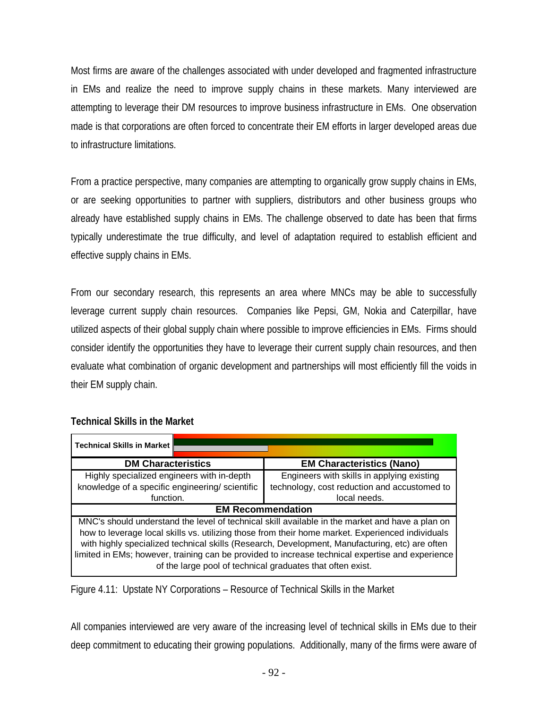Most firms are aware of the challenges associated with under developed and fragmented infrastructure in EMs and realize the need to improve supply chains in these markets. Many interviewed are attempting to leverage their DM resources to improve business infrastructure in EMs. One observation made is that corporations are often forced to concentrate their EM efforts in larger developed areas due to infrastructure limitations.

From a practice perspective, many companies are attempting to organically grow supply chains in EMs, or are seeking opportunities to partner with suppliers, distributors and other business groups who already have established supply chains in EMs. The challenge observed to date has been that firms typically underestimate the true difficulty, and level of adaptation required to establish efficient and effective supply chains in EMs.

From our secondary research, this represents an area where MNCs may be able to successfully leverage current supply chain resources. Companies like Pepsi, GM, Nokia and Caterpillar, have utilized aspects of their global supply chain where possible to improve efficiencies in EMs. Firms should consider identify the opportunities they have to leverage their current supply chain resources, and then evaluate what combination of organic development and partnerships will most efficiently fill the voids in their EM supply chain.

| <b>Technical Skills in Market</b>                                                                |                                              |  |  |  |
|--------------------------------------------------------------------------------------------------|----------------------------------------------|--|--|--|
| <b>DM Characteristics</b>                                                                        | <b>EM Characteristics (Nano)</b>             |  |  |  |
| Highly specialized engineers with in-depth                                                       | Engineers with skills in applying existing   |  |  |  |
| knowledge of a specific engineering/scientific                                                   | technology, cost reduction and accustomed to |  |  |  |
| function.                                                                                        | local needs.                                 |  |  |  |
| <b>EM Recommendation</b>                                                                         |                                              |  |  |  |
| MNC's should understand the level of technical skill available in the market and have a plan on  |                                              |  |  |  |
| how to leverage local skills vs. utilizing those from their home market. Experienced individuals |                                              |  |  |  |
| with highly specialized technical skills (Research, Development, Manufacturing, etc) are often   |                                              |  |  |  |
| limited in EMs; however, training can be provided to increase technical expertise and experience |                                              |  |  |  |
| of the large pool of technical graduates that often exist.                                       |                                              |  |  |  |

## **Technical Skills in the Market**

Figure 4.11: Upstate NY Corporations – Resource of Technical Skills in the Market

All companies interviewed are very aware of the increasing level of technical skills in EMs due to their deep commitment to educating their growing populations. Additionally, many of the firms were aware of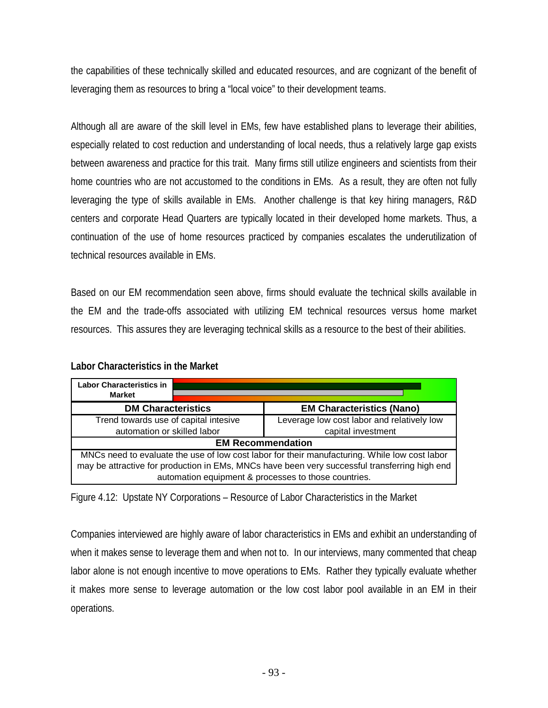the capabilities of these technically skilled and educated resources, and are cognizant of the benefit of leveraging them as resources to bring a "local voice" to their development teams.

Although all are aware of the skill level in EMs, few have established plans to leverage their abilities, especially related to cost reduction and understanding of local needs, thus a relatively large gap exists between awareness and practice for this trait. Many firms still utilize engineers and scientists from their home countries who are not accustomed to the conditions in EMs. As a result, they are often not fully leveraging the type of skills available in EMs. Another challenge is that key hiring managers, R&D centers and corporate Head Quarters are typically located in their developed home markets. Thus, a continuation of the use of home resources practiced by companies escalates the underutilization of technical resources available in EMs.

Based on our EM recommendation seen above, firms should evaluate the technical skills available in the EM and the trade-offs associated with utilizing EM technical resources versus home market resources. This assures they are leveraging technical skills as a resource to the best of their abilities.

| <b>Labor Characteristics in</b><br><b>Market</b>                                              |                                            |  |  |  |
|-----------------------------------------------------------------------------------------------|--------------------------------------------|--|--|--|
| <b>DM Characteristics</b>                                                                     | <b>EM Characteristics (Nano)</b>           |  |  |  |
| Trend towards use of capital intesive                                                         | Leverage low cost labor and relatively low |  |  |  |
| automation or skilled labor                                                                   | capital investment                         |  |  |  |
| <b>EM Recommendation</b>                                                                      |                                            |  |  |  |
| MNCs need to evaluate the use of low cost labor for their manufacturing. While low cost labor |                                            |  |  |  |
| may be attractive for production in EMs, MNCs have been very successful transferring high end |                                            |  |  |  |
| automation equipment & processes to those countries.                                          |                                            |  |  |  |

#### **Labor Characteristics in the Market**

Figure 4.12: Upstate NY Corporations – Resource of Labor Characteristics in the Market

Companies interviewed are highly aware of labor characteristics in EMs and exhibit an understanding of when it makes sense to leverage them and when not to. In our interviews, many commented that cheap labor alone is not enough incentive to move operations to EMs. Rather they typically evaluate whether it makes more sense to leverage automation or the low cost labor pool available in an EM in their operations.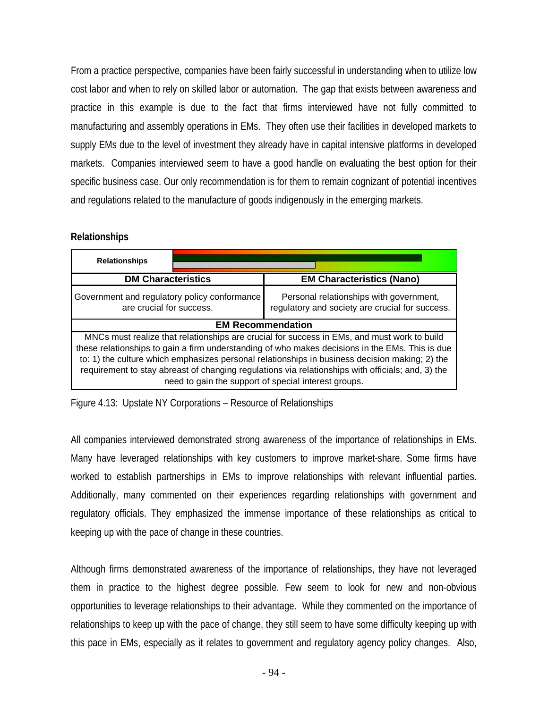From a practice perspective, companies have been fairly successful in understanding when to utilize low cost labor and when to rely on skilled labor or automation. The gap that exists between awareness and practice in this example is due to the fact that firms interviewed have not fully committed to manufacturing and assembly operations in EMs. They often use their facilities in developed markets to supply EMs due to the level of investment they already have in capital intensive platforms in developed markets. Companies interviewed seem to have a good handle on evaluating the best option for their specific business case. Our only recommendation is for them to remain cognizant of potential incentives and regulations related to the manufacture of goods indigenously in the emerging markets.

#### **Relationships**

| <b>Relationships</b>                                                                                                                                                                                                                                                                                                                                                                                                                                          |  |                                                                                            |  |  |
|---------------------------------------------------------------------------------------------------------------------------------------------------------------------------------------------------------------------------------------------------------------------------------------------------------------------------------------------------------------------------------------------------------------------------------------------------------------|--|--------------------------------------------------------------------------------------------|--|--|
| <b>DM Characteristics</b>                                                                                                                                                                                                                                                                                                                                                                                                                                     |  | <b>EM Characteristics (Nano)</b>                                                           |  |  |
| Government and regulatory policy conformance<br>are crucial for success.                                                                                                                                                                                                                                                                                                                                                                                      |  | Personal relationships with government,<br>regulatory and society are crucial for success. |  |  |
| <b>EM Recommendation</b>                                                                                                                                                                                                                                                                                                                                                                                                                                      |  |                                                                                            |  |  |
| MNCs must realize that relationships are crucial for success in EMs, and must work to build<br>these relationships to gain a firm understanding of who makes decisions in the EMs. This is due<br>to: 1) the culture which emphasizes personal relationships in business decision making; 2) the<br>requirement to stay abreast of changing regulations via relationships with officials; and, 3) the<br>need to gain the support of special interest groups. |  |                                                                                            |  |  |

Figure 4.13: Upstate NY Corporations – Resource of Relationships

All companies interviewed demonstrated strong awareness of the importance of relationships in EMs. Many have leveraged relationships with key customers to improve market-share. Some firms have worked to establish partnerships in EMs to improve relationships with relevant influential parties. Additionally, many commented on their experiences regarding relationships with government and regulatory officials. They emphasized the immense importance of these relationships as critical to keeping up with the pace of change in these countries.

Although firms demonstrated awareness of the importance of relationships, they have not leveraged them in practice to the highest degree possible. Few seem to look for new and non-obvious opportunities to leverage relationships to their advantage. While they commented on the importance of relationships to keep up with the pace of change, they still seem to have some difficulty keeping up with this pace in EMs, especially as it relates to government and regulatory agency policy changes. Also,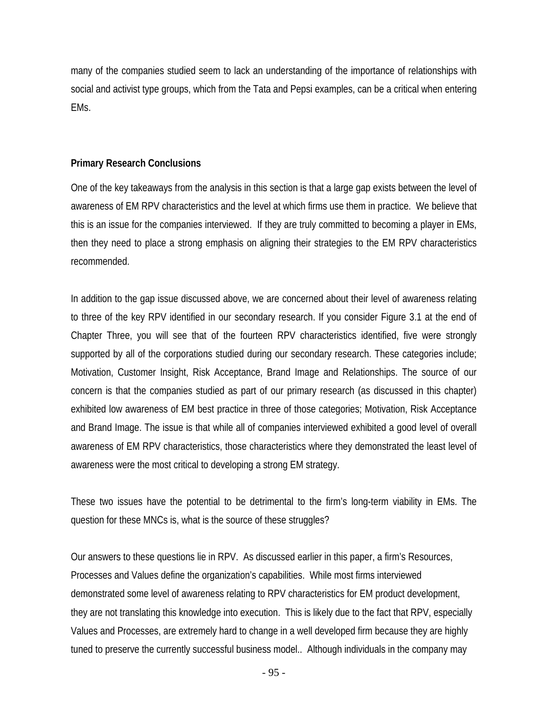many of the companies studied seem to lack an understanding of the importance of relationships with social and activist type groups, which from the Tata and Pepsi examples, can be a critical when entering EMs.

## **Primary Research Conclusions**

One of the key takeaways from the analysis in this section is that a large gap exists between the level of awareness of EM RPV characteristics and the level at which firms use them in practice. We believe that this is an issue for the companies interviewed. If they are truly committed to becoming a player in EMs, then they need to place a strong emphasis on aligning their strategies to the EM RPV characteristics recommended.

In addition to the gap issue discussed above, we are concerned about their level of awareness relating to three of the key RPV identified in our secondary research. If you consider Figure 3.1 at the end of Chapter Three, you will see that of the fourteen RPV characteristics identified, five were strongly supported by all of the corporations studied during our secondary research. These categories include; Motivation, Customer Insight, Risk Acceptance, Brand Image and Relationships. The source of our concern is that the companies studied as part of our primary research (as discussed in this chapter) exhibited low awareness of EM best practice in three of those categories; Motivation, Risk Acceptance and Brand Image. The issue is that while all of companies interviewed exhibited a good level of overall awareness of EM RPV characteristics, those characteristics where they demonstrated the least level of awareness were the most critical to developing a strong EM strategy.

These two issues have the potential to be detrimental to the firm's long-term viability in EMs. The question for these MNCs is, what is the source of these struggles?

Our answers to these questions lie in RPV. As discussed earlier in this paper, a firm's Resources, Processes and Values define the organization's capabilities. While most firms interviewed demonstrated some level of awareness relating to RPV characteristics for EM product development, they are not translating this knowledge into execution. This is likely due to the fact that RPV, especially Values and Processes, are extremely hard to change in a well developed firm because they are highly tuned to preserve the currently successful business model.. Although individuals in the company may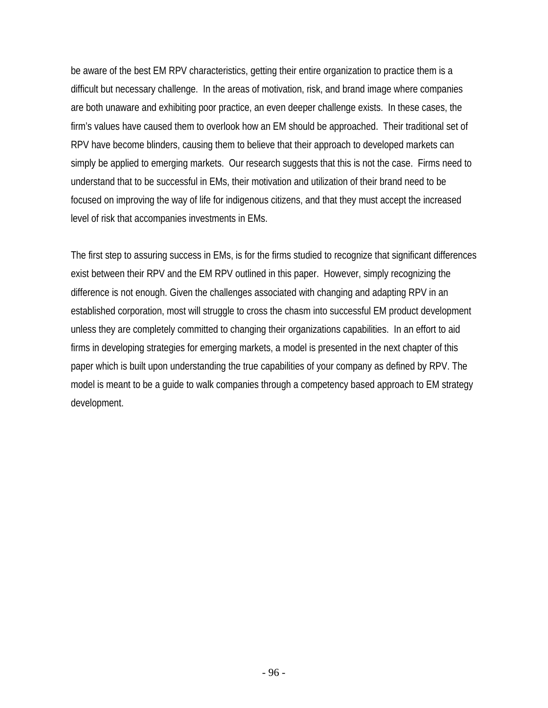be aware of the best EM RPV characteristics, getting their entire organization to practice them is a difficult but necessary challenge. In the areas of motivation, risk, and brand image where companies are both unaware and exhibiting poor practice, an even deeper challenge exists. In these cases, the firm's values have caused them to overlook how an EM should be approached. Their traditional set of RPV have become blinders, causing them to believe that their approach to developed markets can simply be applied to emerging markets. Our research suggests that this is not the case. Firms need to understand that to be successful in EMs, their motivation and utilization of their brand need to be focused on improving the way of life for indigenous citizens, and that they must accept the increased level of risk that accompanies investments in EMs.

The first step to assuring success in EMs, is for the firms studied to recognize that significant differences exist between their RPV and the EM RPV outlined in this paper. However, simply recognizing the difference is not enough. Given the challenges associated with changing and adapting RPV in an established corporation, most will struggle to cross the chasm into successful EM product development unless they are completely committed to changing their organizations capabilities. In an effort to aid firms in developing strategies for emerging markets, a model is presented in the next chapter of this paper which is built upon understanding the true capabilities of your company as defined by RPV. The model is meant to be a guide to walk companies through a competency based approach to EM strategy development.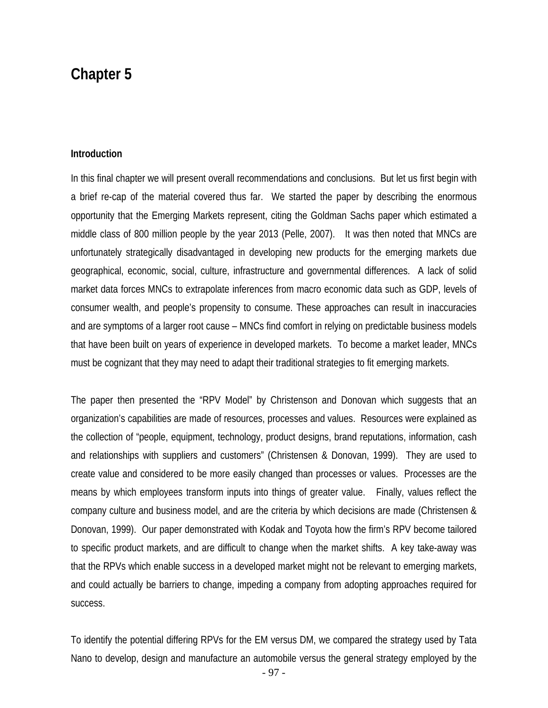## **Chapter 5**

#### **Introduction**

In this final chapter we will present overall recommendations and conclusions. But let us first begin with a brief re-cap of the material covered thus far. We started the paper by describing the enormous opportunity that the Emerging Markets represent, citing the Goldman Sachs paper which estimated a middle class of 800 million people by the year 2013 (Pelle, 2007). It was then noted that MNCs are unfortunately strategically disadvantaged in developing new products for the emerging markets due geographical, economic, social, culture, infrastructure and governmental differences. A lack of solid market data forces MNCs to extrapolate inferences from macro economic data such as GDP, levels of consumer wealth, and people's propensity to consume. These approaches can result in inaccuracies and are symptoms of a larger root cause – MNCs find comfort in relying on predictable business models that have been built on years of experience in developed markets. To become a market leader, MNCs must be cognizant that they may need to adapt their traditional strategies to fit emerging markets.

The paper then presented the "RPV Model" by Christenson and Donovan which suggests that an organization's capabilities are made of resources, processes and values. Resources were explained as the collection of "people, equipment, technology, product designs, brand reputations, information, cash and relationships with suppliers and customers" (Christensen & Donovan, 1999). They are used to create value and considered to be more easily changed than processes or values. Processes are the means by which employees transform inputs into things of greater value. Finally, values reflect the company culture and business model, and are the criteria by which decisions are made (Christensen & Donovan, 1999). Our paper demonstrated with Kodak and Toyota how the firm's RPV become tailored to specific product markets, and are difficult to change when the market shifts. A key take-away was that the RPVs which enable success in a developed market might not be relevant to emerging markets, and could actually be barriers to change, impeding a company from adopting approaches required for success.

To identify the potential differing RPVs for the EM versus DM, we compared the strategy used by Tata Nano to develop, design and manufacture an automobile versus the general strategy employed by the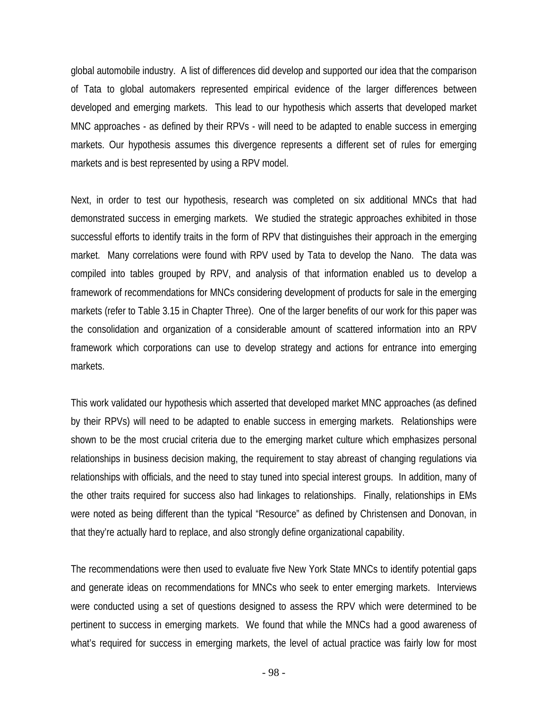global automobile industry. A list of differences did develop and supported our idea that the comparison of Tata to global automakers represented empirical evidence of the larger differences between developed and emerging markets. This lead to our hypothesis which asserts that developed market MNC approaches - as defined by their RPVs - will need to be adapted to enable success in emerging markets. Our hypothesis assumes this divergence represents a different set of rules for emerging markets and is best represented by using a RPV model.

Next, in order to test our hypothesis, research was completed on six additional MNCs that had demonstrated success in emerging markets. We studied the strategic approaches exhibited in those successful efforts to identify traits in the form of RPV that distinguishes their approach in the emerging market. Many correlations were found with RPV used by Tata to develop the Nano. The data was compiled into tables grouped by RPV, and analysis of that information enabled us to develop a framework of recommendations for MNCs considering development of products for sale in the emerging markets (refer to Table 3.15 in Chapter Three). One of the larger benefits of our work for this paper was the consolidation and organization of a considerable amount of scattered information into an RPV framework which corporations can use to develop strategy and actions for entrance into emerging markets.

This work validated our hypothesis which asserted that developed market MNC approaches (as defined by their RPVs) will need to be adapted to enable success in emerging markets. Relationships were shown to be the most crucial criteria due to the emerging market culture which emphasizes personal relationships in business decision making, the requirement to stay abreast of changing regulations via relationships with officials, and the need to stay tuned into special interest groups. In addition, many of the other traits required for success also had linkages to relationships. Finally, relationships in EMs were noted as being different than the typical "Resource" as defined by Christensen and Donovan, in that they're actually hard to replace, and also strongly define organizational capability.

The recommendations were then used to evaluate five New York State MNCs to identify potential gaps and generate ideas on recommendations for MNCs who seek to enter emerging markets. Interviews were conducted using a set of questions designed to assess the RPV which were determined to be pertinent to success in emerging markets. We found that while the MNCs had a good awareness of what's required for success in emerging markets, the level of actual practice was fairly low for most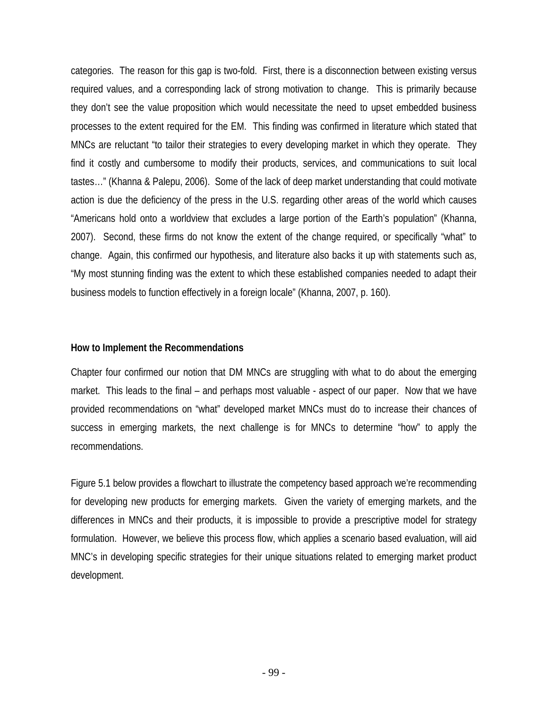categories. The reason for this gap is two-fold. First, there is a disconnection between existing versus required values, and a corresponding lack of strong motivation to change. This is primarily because they don't see the value proposition which would necessitate the need to upset embedded business processes to the extent required for the EM. This finding was confirmed in literature which stated that MNCs are reluctant "to tailor their strategies to every developing market in which they operate. They find it costly and cumbersome to modify their products, services, and communications to suit local tastes…" (Khanna & Palepu, 2006). Some of the lack of deep market understanding that could motivate action is due the deficiency of the press in the U.S. regarding other areas of the world which causes "Americans hold onto a worldview that excludes a large portion of the Earth's population" (Khanna, 2007). Second, these firms do not know the extent of the change required, or specifically "what" to change. Again, this confirmed our hypothesis, and literature also backs it up with statements such as, "My most stunning finding was the extent to which these established companies needed to adapt their business models to function effectively in a foreign locale" (Khanna, 2007, p. 160).

## **How to Implement the Recommendations**

Chapter four confirmed our notion that DM MNCs are struggling with what to do about the emerging market. This leads to the final – and perhaps most valuable - aspect of our paper. Now that we have provided recommendations on "what" developed market MNCs must do to increase their chances of success in emerging markets, the next challenge is for MNCs to determine "how" to apply the recommendations.

Figure 5.1 below provides a flowchart to illustrate the competency based approach we're recommending for developing new products for emerging markets. Given the variety of emerging markets, and the differences in MNCs and their products, it is impossible to provide a prescriptive model for strategy formulation. However, we believe this process flow, which applies a scenario based evaluation, will aid MNC's in developing specific strategies for their unique situations related to emerging market product development.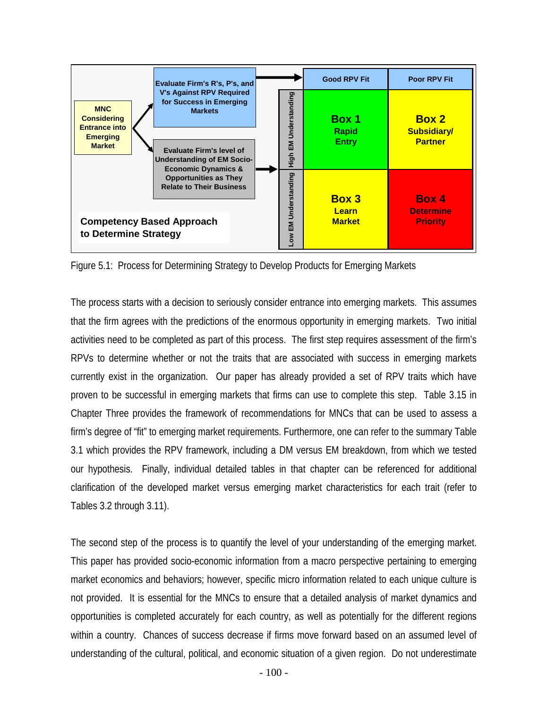

Figure 5.1: Process for Determining Strategy to Develop Products for Emerging Markets

The process starts with a decision to seriously consider entrance into emerging markets. This assumes that the firm agrees with the predictions of the enormous opportunity in emerging markets. Two initial activities need to be completed as part of this process. The first step requires assessment of the firm's RPVs to determine whether or not the traits that are associated with success in emerging markets currently exist in the organization. Our paper has already provided a set of RPV traits which have proven to be successful in emerging markets that firms can use to complete this step. Table 3.15 in Chapter Three provides the framework of recommendations for MNCs that can be used to assess a firm's degree of "fit" to emerging market requirements. Furthermore, one can refer to the summary Table 3.1 which provides the RPV framework, including a DM versus EM breakdown, from which we tested our hypothesis. Finally, individual detailed tables in that chapter can be referenced for additional clarification of the developed market versus emerging market characteristics for each trait (refer to Tables 3.2 through 3.11).

The second step of the process is to quantify the level of your understanding of the emerging market. This paper has provided socio-economic information from a macro perspective pertaining to emerging market economics and behaviors; however, specific micro information related to each unique culture is not provided. It is essential for the MNCs to ensure that a detailed analysis of market dynamics and opportunities is completed accurately for each country, as well as potentially for the different regions within a country. Chances of success decrease if firms move forward based on an assumed level of understanding of the cultural, political, and economic situation of a given region. Do not underestimate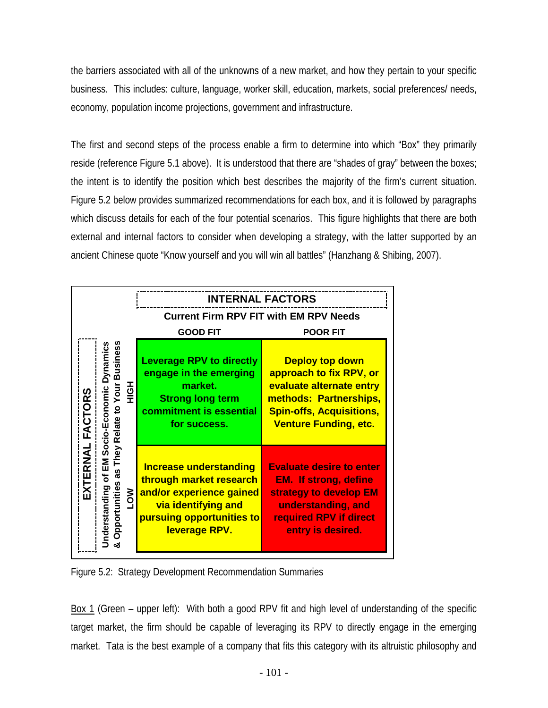the barriers associated with all of the unknowns of a new market, and how they pertain to your specific business. This includes: culture, language, worker skill, education, markets, social preferences/ needs, economy, population income projections, government and infrastructure.

The first and second steps of the process enable a firm to determine into which "Box" they primarily reside (reference Figure 5.1 above). It is understood that there are "shades of gray" between the boxes; the intent is to identify the position which best describes the majority of the firm's current situation. Figure 5.2 below provides summarized recommendations for each box, and it is followed by paragraphs which discuss details for each of the four potential scenarios. This figure highlights that there are both external and internal factors to consider when developing a strategy, with the latter supported by an ancient Chinese quote "Know yourself and you will win all battles" (Hanzhang & Shibing, 2007).

| <b>INTERNAL FACTORS</b>    |                                                                                                                                              |                                                                                                                                                           |                                                                                                                                                                            |  |
|----------------------------|----------------------------------------------------------------------------------------------------------------------------------------------|-----------------------------------------------------------------------------------------------------------------------------------------------------------|----------------------------------------------------------------------------------------------------------------------------------------------------------------------------|--|
|                            |                                                                                                                                              |                                                                                                                                                           | <b>Current Firm RPV FIT with EM RPV Needs</b>                                                                                                                              |  |
|                            |                                                                                                                                              | <b>GOOD FIT</b>                                                                                                                                           | <b>POOR FIT</b>                                                                                                                                                            |  |
| <b>FACTORS</b><br>EXTERNAL | Relate to Your Business<br>Socio-Economic Dynamics<br>Hộ<br>Hộ<br>as They<br><b>Jnderstanding of EM</b><br>Opportunities<br><b>MOT</b><br>න් | <b>Leverage RPV to directly</b><br>engage in the emerging<br>market.<br><b>Strong long term</b><br>commitment is essential<br>for success.                | <b>Deploy top down</b><br>approach to fix RPV, or<br>evaluate alternate entry<br>methods: Partnerships,<br><b>Spin-offs, Acquisitions,</b><br><b>Venture Funding, etc.</b> |  |
|                            |                                                                                                                                              | <b>Increase understanding</b><br>through market research<br>and/or experience gained<br>via identifying and<br>pursuing opportunities to<br>leverage RPV. | <b>Evaluate desire to enter</b><br><b>EM.</b> If strong, define<br>strategy to develop EM<br>understanding, and<br>required RPV if direct<br>entry is desired.             |  |

Figure 5.2: Strategy Development Recommendation Summaries

Box 1 (Green – upper left): With both a good RPV fit and high level of understanding of the specific target market, the firm should be capable of leveraging its RPV to directly engage in the emerging market. Tata is the best example of a company that fits this category with its altruistic philosophy and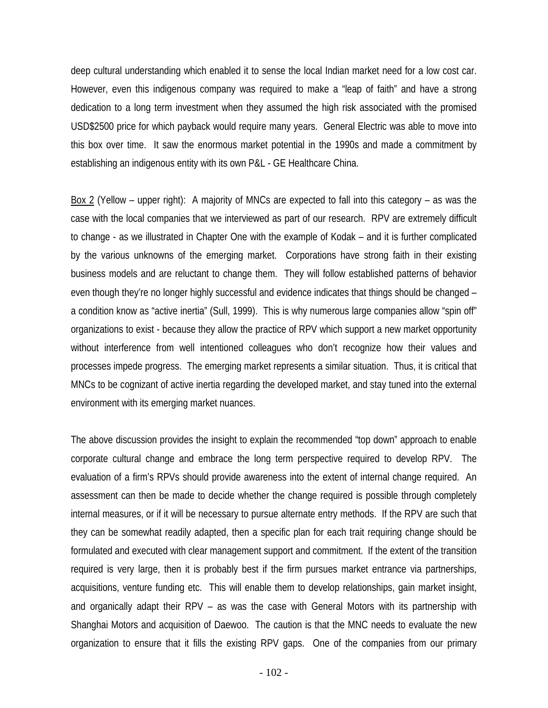deep cultural understanding which enabled it to sense the local Indian market need for a low cost car. However, even this indigenous company was required to make a "leap of faith" and have a strong dedication to a long term investment when they assumed the high risk associated with the promised USD\$2500 price for which payback would require many years. General Electric was able to move into this box over time. It saw the enormous market potential in the 1990s and made a commitment by establishing an indigenous entity with its own P&L - GE Healthcare China.

Box 2 (Yellow – upper right): A majority of MNCs are expected to fall into this category – as was the case with the local companies that we interviewed as part of our research. RPV are extremely difficult to change - as we illustrated in Chapter One with the example of Kodak – and it is further complicated by the various unknowns of the emerging market. Corporations have strong faith in their existing business models and are reluctant to change them. They will follow established patterns of behavior even though they're no longer highly successful and evidence indicates that things should be changed – a condition know as "active inertia" (Sull, 1999). This is why numerous large companies allow "spin off" organizations to exist - because they allow the practice of RPV which support a new market opportunity without interference from well intentioned colleagues who don't recognize how their values and processes impede progress. The emerging market represents a similar situation. Thus, it is critical that MNCs to be cognizant of active inertia regarding the developed market, and stay tuned into the external environment with its emerging market nuances.

The above discussion provides the insight to explain the recommended "top down" approach to enable corporate cultural change and embrace the long term perspective required to develop RPV. The evaluation of a firm's RPVs should provide awareness into the extent of internal change required. An assessment can then be made to decide whether the change required is possible through completely internal measures, or if it will be necessary to pursue alternate entry methods. If the RPV are such that they can be somewhat readily adapted, then a specific plan for each trait requiring change should be formulated and executed with clear management support and commitment. If the extent of the transition required is very large, then it is probably best if the firm pursues market entrance via partnerships, acquisitions, venture funding etc. This will enable them to develop relationships, gain market insight, and organically adapt their RPV – as was the case with General Motors with its partnership with Shanghai Motors and acquisition of Daewoo. The caution is that the MNC needs to evaluate the new organization to ensure that it fills the existing RPV gaps. One of the companies from our primary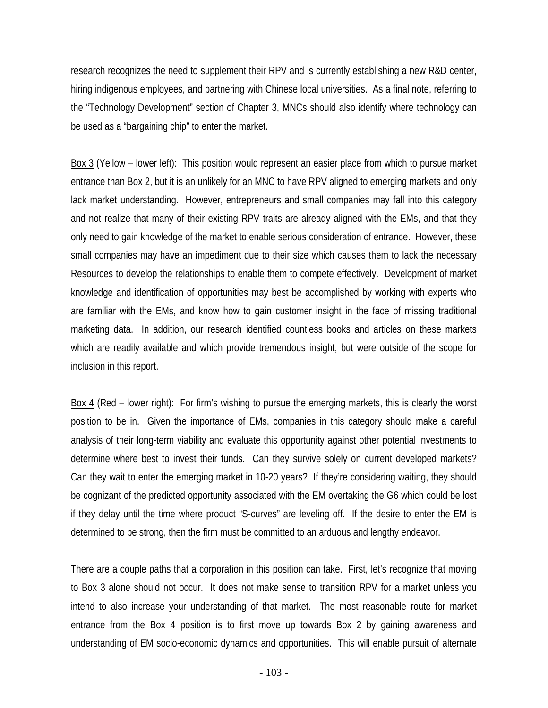research recognizes the need to supplement their RPV and is currently establishing a new R&D center, hiring indigenous employees, and partnering with Chinese local universities. As a final note, referring to the "Technology Development" section of Chapter 3, MNCs should also identify where technology can be used as a "bargaining chip" to enter the market.

Box 3 (Yellow – lower left): This position would represent an easier place from which to pursue market entrance than Box 2, but it is an unlikely for an MNC to have RPV aligned to emerging markets and only lack market understanding. However, entrepreneurs and small companies may fall into this category and not realize that many of their existing RPV traits are already aligned with the EMs, and that they only need to gain knowledge of the market to enable serious consideration of entrance. However, these small companies may have an impediment due to their size which causes them to lack the necessary Resources to develop the relationships to enable them to compete effectively. Development of market knowledge and identification of opportunities may best be accomplished by working with experts who are familiar with the EMs, and know how to gain customer insight in the face of missing traditional marketing data. In addition, our research identified countless books and articles on these markets which are readily available and which provide tremendous insight, but were outside of the scope for inclusion in this report.

<u>Box 4</u> (Red – lower right): For firm's wishing to pursue the emerging markets, this is clearly the worst position to be in. Given the importance of EMs, companies in this category should make a careful analysis of their long-term viability and evaluate this opportunity against other potential investments to determine where best to invest their funds. Can they survive solely on current developed markets? Can they wait to enter the emerging market in 10-20 years? If they're considering waiting, they should be cognizant of the predicted opportunity associated with the EM overtaking the G6 which could be lost if they delay until the time where product "S-curves" are leveling off. If the desire to enter the EM is determined to be strong, then the firm must be committed to an arduous and lengthy endeavor.

There are a couple paths that a corporation in this position can take. First, let's recognize that moving to Box 3 alone should not occur. It does not make sense to transition RPV for a market unless you intend to also increase your understanding of that market. The most reasonable route for market entrance from the Box 4 position is to first move up towards Box 2 by gaining awareness and understanding of EM socio-economic dynamics and opportunities. This will enable pursuit of alternate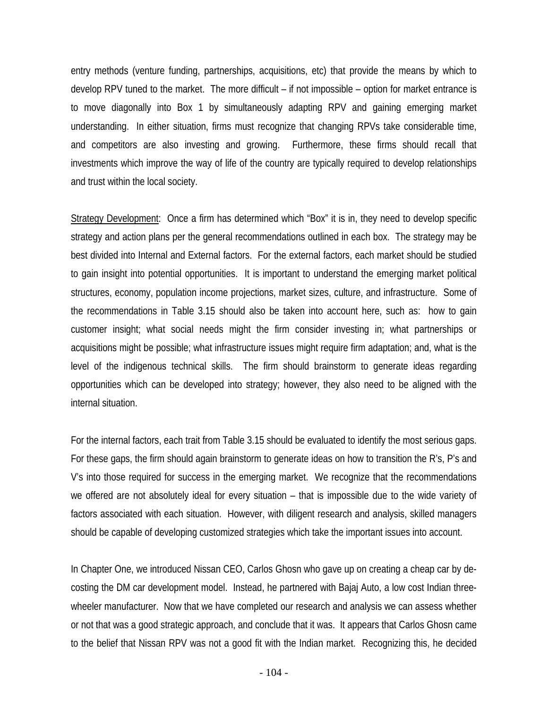entry methods (venture funding, partnerships, acquisitions, etc) that provide the means by which to develop RPV tuned to the market. The more difficult – if not impossible – option for market entrance is to move diagonally into Box 1 by simultaneously adapting RPV and gaining emerging market understanding. In either situation, firms must recognize that changing RPVs take considerable time, and competitors are also investing and growing. Furthermore, these firms should recall that investments which improve the way of life of the country are typically required to develop relationships and trust within the local society.

Strategy Development: Once a firm has determined which "Box" it is in, they need to develop specific strategy and action plans per the general recommendations outlined in each box. The strategy may be best divided into Internal and External factors. For the external factors, each market should be studied to gain insight into potential opportunities. It is important to understand the emerging market political structures, economy, population income projections, market sizes, culture, and infrastructure. Some of the recommendations in Table 3.15 should also be taken into account here, such as: how to gain customer insight; what social needs might the firm consider investing in; what partnerships or acquisitions might be possible; what infrastructure issues might require firm adaptation; and, what is the level of the indigenous technical skills. The firm should brainstorm to generate ideas regarding opportunities which can be developed into strategy; however, they also need to be aligned with the internal situation.

For the internal factors, each trait from Table 3.15 should be evaluated to identify the most serious gaps. For these gaps, the firm should again brainstorm to generate ideas on how to transition the R's, P's and V's into those required for success in the emerging market. We recognize that the recommendations we offered are not absolutely ideal for every situation – that is impossible due to the wide variety of factors associated with each situation. However, with diligent research and analysis, skilled managers should be capable of developing customized strategies which take the important issues into account.

In Chapter One, we introduced Nissan CEO, Carlos Ghosn who gave up on creating a cheap car by decosting the DM car development model. Instead, he partnered with Bajaj Auto, a low cost Indian threewheeler manufacturer. Now that we have completed our research and analysis we can assess whether or not that was a good strategic approach, and conclude that it was. It appears that Carlos Ghosn came to the belief that Nissan RPV was not a good fit with the Indian market. Recognizing this, he decided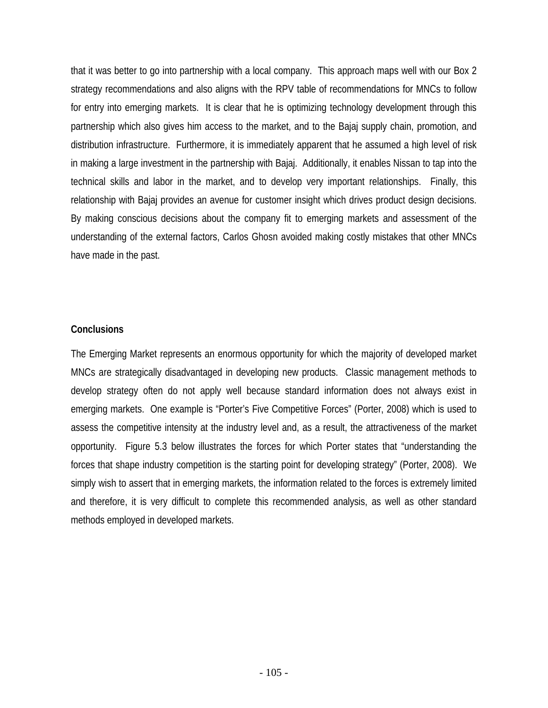that it was better to go into partnership with a local company. This approach maps well with our Box 2 strategy recommendations and also aligns with the RPV table of recommendations for MNCs to follow for entry into emerging markets. It is clear that he is optimizing technology development through this partnership which also gives him access to the market, and to the Bajaj supply chain, promotion, and distribution infrastructure. Furthermore, it is immediately apparent that he assumed a high level of risk in making a large investment in the partnership with Bajaj. Additionally, it enables Nissan to tap into the technical skills and labor in the market, and to develop very important relationships. Finally, this relationship with Bajaj provides an avenue for customer insight which drives product design decisions. By making conscious decisions about the company fit to emerging markets and assessment of the understanding of the external factors, Carlos Ghosn avoided making costly mistakes that other MNCs have made in the past.

## **Conclusions**

The Emerging Market represents an enormous opportunity for which the majority of developed market MNCs are strategically disadvantaged in developing new products. Classic management methods to develop strategy often do not apply well because standard information does not always exist in emerging markets. One example is "Porter's Five Competitive Forces" (Porter, 2008) which is used to assess the competitive intensity at the industry level and, as a result, the attractiveness of the market opportunity. Figure 5.3 below illustrates the forces for which Porter states that "understanding the forces that shape industry competition is the starting point for developing strategy" (Porter, 2008). We simply wish to assert that in emerging markets, the information related to the forces is extremely limited and therefore, it is very difficult to complete this recommended analysis, as well as other standard methods employed in developed markets.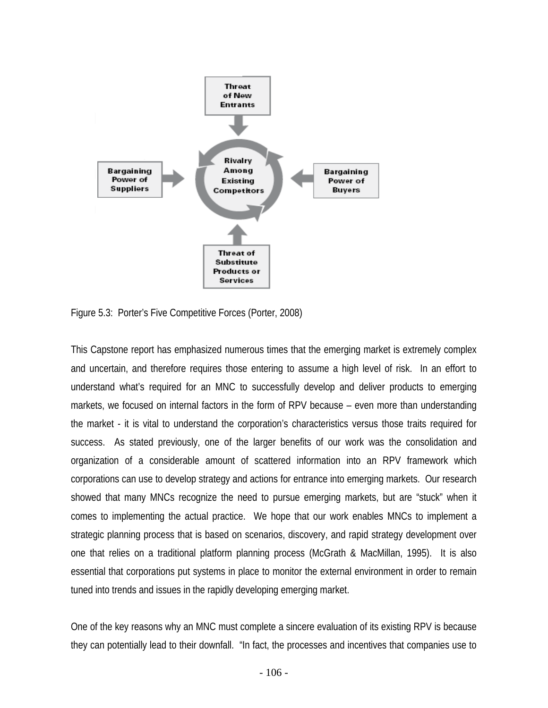

Figure 5.3: Porter's Five Competitive Forces (Porter, 2008)

This Capstone report has emphasized numerous times that the emerging market is extremely complex and uncertain, and therefore requires those entering to assume a high level of risk. In an effort to understand what's required for an MNC to successfully develop and deliver products to emerging markets, we focused on internal factors in the form of RPV because – even more than understanding the market - it is vital to understand the corporation's characteristics versus those traits required for success. As stated previously, one of the larger benefits of our work was the consolidation and organization of a considerable amount of scattered information into an RPV framework which corporations can use to develop strategy and actions for entrance into emerging markets. Our research showed that many MNCs recognize the need to pursue emerging markets, but are "stuck" when it comes to implementing the actual practice. We hope that our work enables MNCs to implement a strategic planning process that is based on scenarios, discovery, and rapid strategy development over one that relies on a traditional platform planning process (McGrath & MacMillan, 1995). It is also essential that corporations put systems in place to monitor the external environment in order to remain tuned into trends and issues in the rapidly developing emerging market.

One of the key reasons why an MNC must complete a sincere evaluation of its existing RPV is because they can potentially lead to their downfall. "In fact, the processes and incentives that companies use to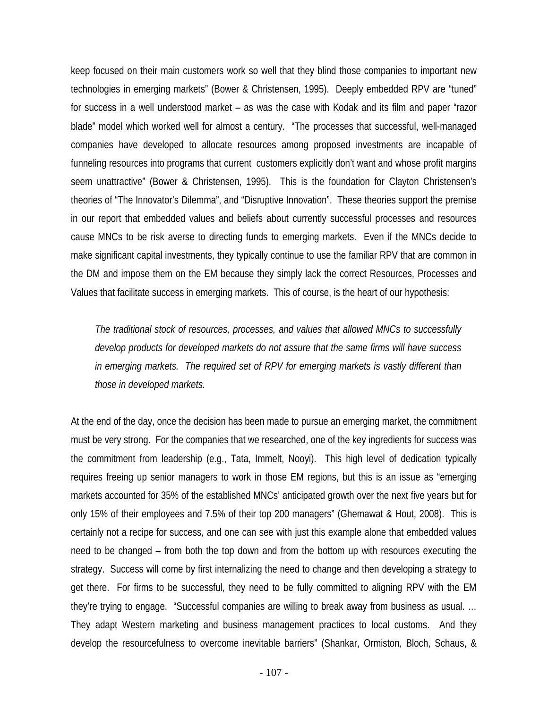keep focused on their main customers work so well that they blind those companies to important new technologies in emerging markets" (Bower & Christensen, 1995). Deeply embedded RPV are "tuned" for success in a well understood market – as was the case with Kodak and its film and paper "razor blade" model which worked well for almost a century. "The processes that successful, well-managed companies have developed to allocate resources among proposed investments are incapable of funneling resources into programs that current customers explicitly don't want and whose profit margins seem unattractive" (Bower & Christensen, 1995). This is the foundation for Clayton Christensen's theories of "The Innovator's Dilemma", and "Disruptive Innovation". These theories support the premise in our report that embedded values and beliefs about currently successful processes and resources cause MNCs to be risk averse to directing funds to emerging markets. Even if the MNCs decide to make significant capital investments, they typically continue to use the familiar RPV that are common in the DM and impose them on the EM because they simply lack the correct Resources, Processes and Values that facilitate success in emerging markets. This of course, is the heart of our hypothesis:

*The traditional stock of resources, processes, and values that allowed MNCs to successfully develop products for developed markets do not assure that the same firms will have success in emerging markets. The required set of RPV for emerging markets is vastly different than those in developed markets.* 

At the end of the day, once the decision has been made to pursue an emerging market, the commitment must be very strong. For the companies that we researched, one of the key ingredients for success was the commitment from leadership (e.g., Tata, Immelt, Nooyi). This high level of dedication typically requires freeing up senior managers to work in those EM regions, but this is an issue as "emerging markets accounted for 35% of the established MNCs' anticipated growth over the next five years but for only 15% of their employees and 7.5% of their top 200 managers" (Ghemawat & Hout, 2008). This is certainly not a recipe for success, and one can see with just this example alone that embedded values need to be changed – from both the top down and from the bottom up with resources executing the strategy. Success will come by first internalizing the need to change and then developing a strategy to get there. For firms to be successful, they need to be fully committed to aligning RPV with the EM they're trying to engage. "Successful companies are willing to break away from business as usual. … They adapt Western marketing and business management practices to local customs. And they develop the resourcefulness to overcome inevitable barriers" (Shankar, Ormiston, Bloch, Schaus, &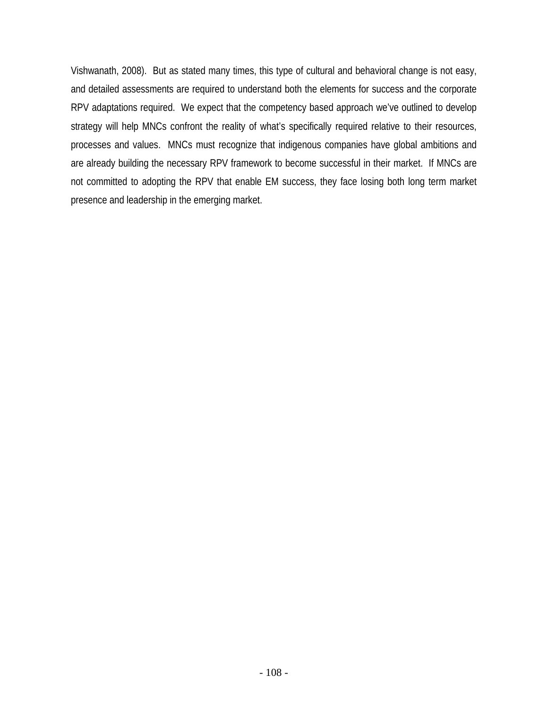Vishwanath, 2008). But as stated many times, this type of cultural and behavioral change is not easy, and detailed assessments are required to understand both the elements for success and the corporate RPV adaptations required. We expect that the competency based approach we've outlined to develop strategy will help MNCs confront the reality of what's specifically required relative to their resources, processes and values. MNCs must recognize that indigenous companies have global ambitions and are already building the necessary RPV framework to become successful in their market. If MNCs are not committed to adopting the RPV that enable EM success, they face losing both long term market presence and leadership in the emerging market.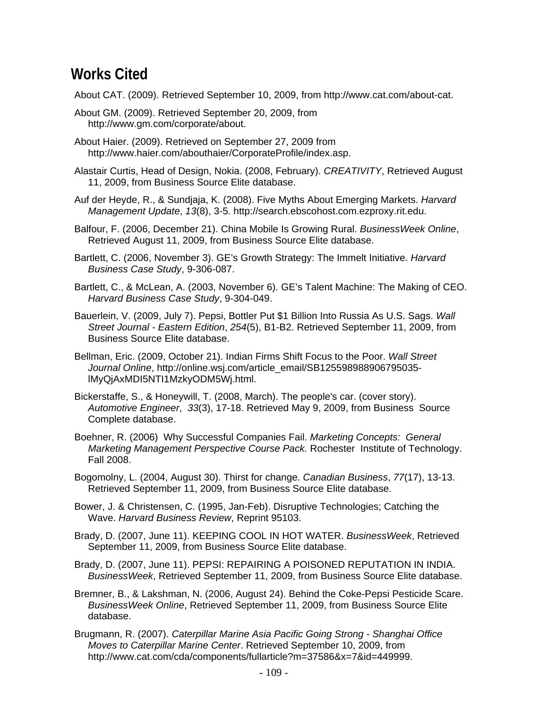## **Works Cited**

- About CAT. (2009). Retrieved September 10, 2009, from http://www.cat.com/about-cat.
- About GM. (2009). Retrieved September 20, 2009, from http://www.gm.com/corporate/about.
- About Haier. (2009). Retrieved on September 27, 2009 from http://www.haier.com/abouthaier/CorporateProfile/index.asp.
- Alastair Curtis, Head of Design, Nokia. (2008, February). *CREATIVITY*, Retrieved August 11, 2009, from Business Source Elite database.
- Auf der Heyde, R., & Sundjaja, K. (2008). Five Myths About Emerging Markets. *Harvard Management Update*, *13*(8), 3-5. http://search.ebscohost.com.ezproxy.rit.edu.
- Balfour, F. (2006, December 21). China Mobile Is Growing Rural. *BusinessWeek Online*, Retrieved August 11, 2009, from Business Source Elite database.
- Bartlett, C. (2006, November 3). GE's Growth Strategy: The Immelt Initiative. *Harvard Business Case Study*, 9-306-087.
- Bartlett, C., & McLean, A. (2003, November 6). GE's Talent Machine: The Making of CEO. *Harvard Business Case Study*, 9-304-049.
- Bauerlein, V. (2009, July 7). Pepsi, Bottler Put \$1 Billion Into Russia As U.S. Sags. *Wall Street Journal - Eastern Edition*, *254*(5), B1-B2. Retrieved September 11, 2009, from Business Source Elite database.
- Bellman, Eric. (2009, October 21). Indian Firms Shift Focus to the Poor. *Wall Street Journal Online*, http://online.wsj.com/article\_email/SB125598988906795035 lMyQjAxMDI5NTI1MzkyODM5Wj.html.
- Bickerstaffe, S., & Honeywill, T. (2008, March). The people's car. (cover story). *Automotive Engineer*, *33*(3), 17-18. Retrieved May 9, 2009, from Business Source Complete database.
- Boehner, R. (2006) Why Successful Companies Fail. *Marketing Concepts: General Marketing Management Perspective Course Pack.* Rochester Institute of Technology. Fall 2008.
- Bogomolny, L. (2004, August 30). Thirst for change. *Canadian Business*, *77*(17), 13-13. Retrieved September 11, 2009, from Business Source Elite database.
- Bower, J. & Christensen, C. (1995, Jan-Feb). Disruptive Technologies; Catching the Wave. *Harvard Business Review*, Reprint 95103.
- Brady, D. (2007, June 11). KEEPING COOL IN HOT WATER. *BusinessWeek*, Retrieved September 11, 2009, from Business Source Elite database.
- Brady, D. (2007, June 11). PEPSI: REPAIRING A POISONED REPUTATION IN INDIA. *BusinessWeek*, Retrieved September 11, 2009, from Business Source Elite database.
- Bremner, B., & Lakshman, N. (2006, August 24). Behind the Coke-Pepsi Pesticide Scare. *BusinessWeek Online*, Retrieved September 11, 2009, from Business Source Elite database.
- Brugmann, R. (2007). *Caterpillar Marine Asia Pacific Going Strong Shanghai Office Moves to Caterpillar Marine Center*. Retrieved September 10, 2009, from http://www.cat.com/cda/components/fullarticle?m=37586&x=7&id=449999.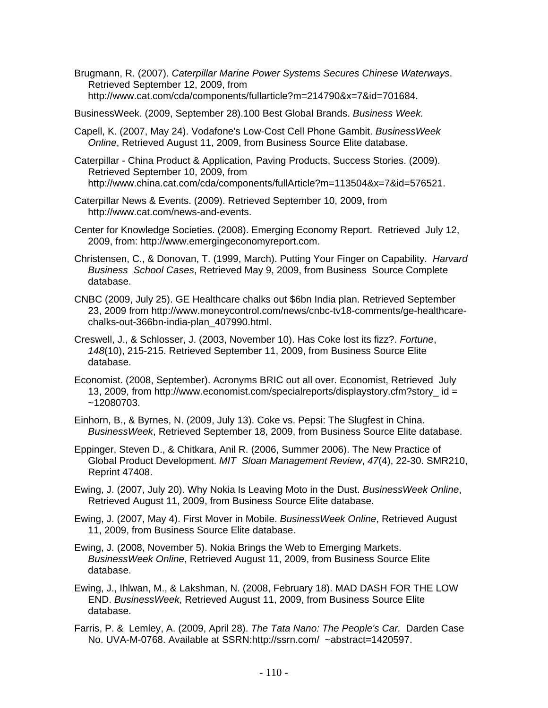- Brugmann, R. (2007). *Caterpillar Marine Power Systems Secures Chinese Waterways*. Retrieved September 12, 2009, from http://www.cat.com/cda/components/fullarticle?m=214790&x=7&id=701684.
- BusinessWeek. (2009, September 28).100 Best Global Brands. *Business Week.*
- Capell, K. (2007, May 24). Vodafone's Low-Cost Cell Phone Gambit. *BusinessWeek Online*, Retrieved August 11, 2009, from Business Source Elite database.
- Caterpillar China Product & Application, Paving Products, Success Stories. (2009). Retrieved September 10, 2009, from http://www.china.cat.com/cda/components/fullArticle?m=113504&x=7&id=576521.
- Caterpillar News & Events. (2009). Retrieved September 10, 2009, from http://www.cat.com/news-and-events.
- Center for Knowledge Societies. (2008). Emerging Economy Report. Retrieved July 12, 2009, from: http://www.emergingeconomyreport.com.
- Christensen, C., & Donovan, T. (1999, March). Putting Your Finger on Capability. *Harvard Business School Cases*, Retrieved May 9, 2009, from Business Source Complete database.
- CNBC (2009, July 25). GE Healthcare chalks out \$6bn India plan. Retrieved September 23, 2009 from http://www.moneycontrol.com/news/cnbc-tv18-comments/ge-healthcare chalks-out-366bn-india-plan\_407990.html.
- Creswell, J., & Schlosser, J. (2003, November 10). Has Coke lost its fizz?. *Fortune*, *148*(10), 215-215. Retrieved September 11, 2009, from Business Source Elite database.
- Economist. (2008, September). Acronyms BRIC out all over. Economist, Retrieved July 13, 2009, from http://www.economist.com/specialreports/displaystory.cfm?story\_ id = ~12080703.
- Einhorn, B., & Byrnes, N. (2009, July 13). Coke vs. Pepsi: The Slugfest in China. *BusinessWeek*, Retrieved September 18, 2009, from Business Source Elite database.
- Eppinger, Steven D., & Chitkara, Anil R. (2006, Summer 2006). The New Practice of Global Product Development. *MIT Sloan Management Review*, *47*(4), 22-30. SMR210, Reprint 47408.
- Ewing, J. (2007, July 20). Why Nokia Is Leaving Moto in the Dust. *BusinessWeek Online*, Retrieved August 11, 2009, from Business Source Elite database.
- Ewing, J. (2007, May 4). First Mover in Mobile. *BusinessWeek Online*, Retrieved August 11, 2009, from Business Source Elite database.
- Ewing, J. (2008, November 5). Nokia Brings the Web to Emerging Markets. *BusinessWeek Online*, Retrieved August 11, 2009, from Business Source Elite database.
- Ewing, J., Ihlwan, M., & Lakshman, N. (2008, February 18). MAD DASH FOR THE LOW END. *BusinessWeek*, Retrieved August 11, 2009, from Business Source Elite database.
- Farris, P. & Lemley, A. (2009, April 28). *The Tata Nano: The People's Car.* Darden Case No. UVA-M-0768. Available at SSRN:http://ssrn.com/ ~abstract=1420597.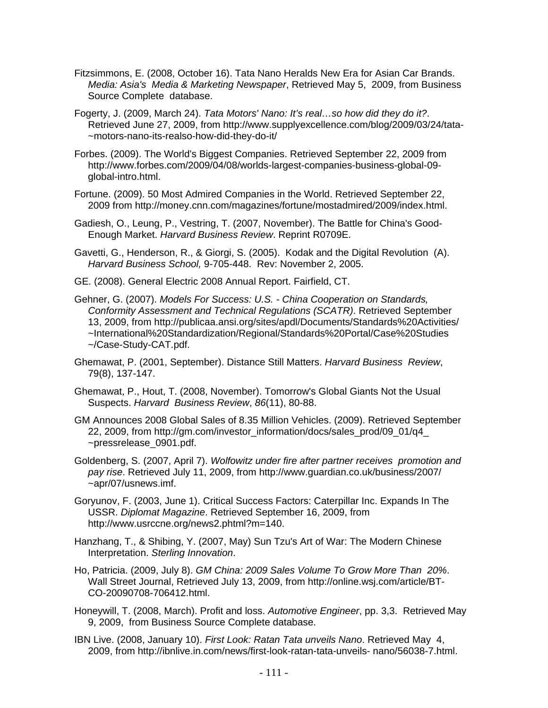- Fitzsimmons, E. (2008, October 16). Tata Nano Heralds New Era for Asian Car Brands. *Media: Asia's Media & Marketing Newspaper*, Retrieved May 5, 2009, from Business Source Complete database.
- Fogerty, J. (2009, March 24). *Tata Motors' Nano: It's real…so how did they do it?*. Retrieved June 27, 2009, from http://www.supplyexcellence.com/blog/2009/03/24/tata- ~motors-nano-its-realso-how-did-they-do-it/
- Forbes. (2009). The World's Biggest Companies. Retrieved September 22, 2009 from http://www.forbes.com/2009/04/08/worlds-largest-companies-business-global-09 global-intro.html.
- Fortune. (2009). 50 Most Admired Companies in the World. Retrieved September 22, 2009 from http://money.cnn.com/magazines/fortune/mostadmired/2009/index.html.
- Gadiesh, O., Leung, P., Vestring, T. (2007, November). The Battle for China's Good- Enough Market. *Harvard Business Review*. Reprint R0709E.
- Gavetti, G., Henderson, R., & Giorgi, S. (2005). Kodak and the Digital Revolution (A). *Harvard Business School,* 9-705-448. Rev: November 2, 2005.
- GE. (2008). General Electric 2008 Annual Report. Fairfield, CT.
- Gehner, G. (2007). *Models For Success: U.S. China Cooperation on Standards, Conformity Assessment and Technical Regulations (SCATR)*. Retrieved September 13, 2009, from http://publicaa.ansi.org/sites/apdl/Documents/Standards%20Activities/ ~International%20Standardization/Regional/Standards%20Portal/Case%20Studies ~/Case-Study-CAT.pdf.
- Ghemawat, P. (2001, September). Distance Still Matters. *Harvard Business Review*, 79(8), 137-147.
- Ghemawat, P., Hout, T. (2008, November). Tomorrow's Global Giants Not the Usual Suspects. *Harvard Business Review*, *86*(11), 80-88.
- GM Announces 2008 Global Sales of 8.35 Million Vehicles. (2009). Retrieved September 22, 2009, from http://gm.com/investor\_information/docs/sales\_prod/09\_01/q4 ~pressrelease\_0901.pdf.
- Goldenberg, S. (2007, April 7). *Wolfowitz under fire after partner receives promotion and pay rise*. Retrieved July 11, 2009, from http://www.guardian.co.uk/business/2007/ ~apr/07/usnews.imf.
- Goryunov, F. (2003, June 1). Critical Success Factors: Caterpillar Inc. Expands In The USSR. *Diplomat Magazine*. Retrieved September 16, 2009, from http://www.usrccne.org/news2.phtml?m=140.
- Hanzhang, T., & Shibing, Y. (2007, May) Sun Tzu's Art of War: The Modern Chinese Interpretation. *Sterling Innovation*.
- Ho, Patricia. (2009, July 8). *GM China: 2009 Sales Volume To Grow More Than 20%*. Wall Street Journal, Retrieved July 13, 2009, from http://online.wsj.com/article/BT- CO-20090708-706412.html.
- Honeywill, T. (2008, March). Profit and loss. *Automotive Engineer*, pp. 3,3. Retrieved May 9, 2009, from Business Source Complete database.
- IBN Live. (2008, January 10). *First Look: Ratan Tata unveils Nano*. Retrieved May 4, 2009, from http://ibnlive.in.com/news/first-look-ratan-tata-unveils- nano/56038-7.html.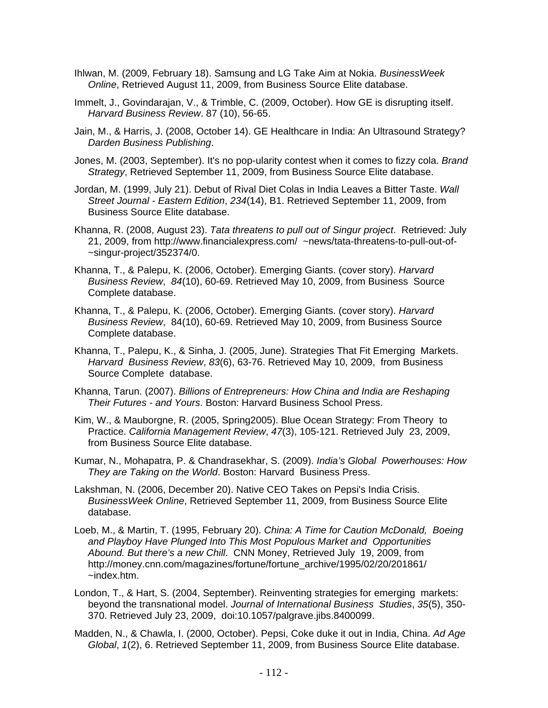- Ihlwan, M. (2009, February 18). Samsung and LG Take Aim at Nokia. *BusinessWeek Online*, Retrieved August 11, 2009, from Business Source Elite database.
- Immelt, J., Govindarajan, V., & Trimble, C. (2009, October). How GE is disrupting itself. *Harvard Business Review*. 87 (10), 56-65.
- Jain, M., & Harris, J. (2008, October 14). GE Healthcare in India: An Ultrasound Strategy? *Darden Business Publishing*.
- Jones, M. (2003, September). It's no pop-ularity contest when it comes to fizzy cola. *Brand Strategy*, Retrieved September 11, 2009, from Business Source Elite database.
- Jordan, M. (1999, July 21). Debut of Rival Diet Colas in India Leaves a Bitter Taste. *Wall Street Journal - Eastern Edition*, *234*(14), B1. Retrieved September 11, 2009, from Business Source Elite database.
- Khanna, R. (2008, August 23). *Tata threatens to pull out of Singur project*. Retrieved: July 21, 2009, from http://www.financialexpress.com/ ~news/tata-threatens-to-pull-out-of- ~singur-project/352374/0.
- Khanna, T., & Palepu, K. (2006, October). Emerging Giants. (cover story). *Harvard Business Review*, *84*(10), 60-69. Retrieved May 10, 2009, from Business Source Complete database.
- Khanna, T., & Palepu, K. (2006, October). Emerging Giants. (cover story). *Harvard Business Review*, 84(10), 60-69. Retrieved May 10, 2009, from Business Source Complete database.
- Khanna, T., Palepu, K., & Sinha, J. (2005, June). Strategies That Fit Emerging Markets. *Harvard Business Review*, *83*(6), 63-76. Retrieved May 10, 2009, from Business Source Complete database.
- Khanna, Tarun. (2007). *Billions of Entrepreneurs: How China and India are Reshaping Their Futures - and Yours*. Boston: Harvard Business School Press.
- Kim, W., & Mauborgne, R. (2005, Spring2005). Blue Ocean Strategy: From Theory to Practice. *California Management Review*, *47*(3), 105-121. Retrieved July 23, 2009, from Business Source Elite database.
- Kumar, N., Mohapatra, P. & Chandrasekhar, S. (2009). *India's Global Powerhouses: How They are Taking on the World*. Boston: Harvard Business Press.
- Lakshman, N. (2006, December 20). Native CEO Takes on Pepsi's India Crisis. *BusinessWeek Online*, Retrieved September 11, 2009, from Business Source Elite database.
- Loeb, M., & Martin, T. (1995, February 20). *China: A Time for Caution McDonald, Boeing and Playboy Have Plunged Into This Most Populous Market and Opportunities Abound. But there's a new Chill*. CNN Money, Retrieved July 19, 2009, from http://money.cnn.com/magazines/fortune/fortune\_archive/1995/02/20/201861/ ~index.htm.
- London, T., & Hart, S. (2004, September). Reinventing strategies for emerging markets: beyond the transnational model. *Journal of International Business Studies*, *35*(5), 350- 370. Retrieved July 23, 2009, doi:10.1057/palgrave.jibs.8400099.
- Madden, N., & Chawla, I. (2000, October). Pepsi, Coke duke it out in India, China. *Ad Age Global*, *1*(2), 6. Retrieved September 11, 2009, from Business Source Elite database.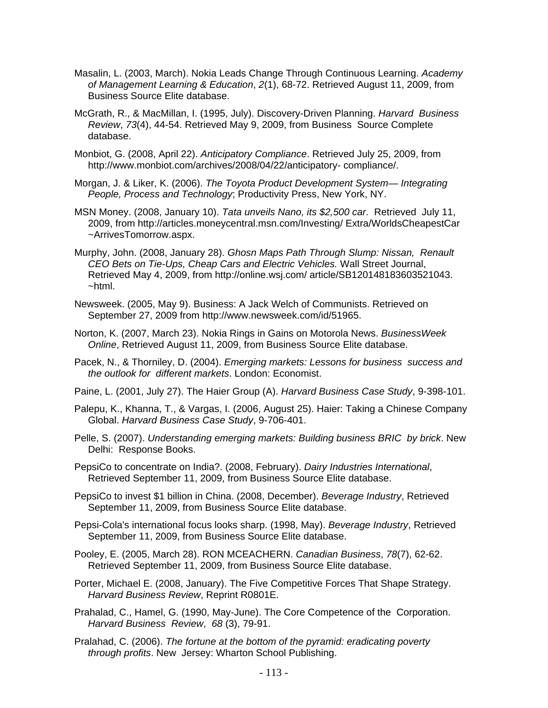- Masalin, L. (2003, March). Nokia Leads Change Through Continuous Learning. *Academy of Management Learning & Education*, *2*(1), 68-72. Retrieved August 11, 2009, from Business Source Elite database.
- McGrath, R., & MacMillan, I. (1995, July). Discovery-Driven Planning. *Harvard Business Review*, *73*(4), 44-54. Retrieved May 9, 2009, from Business Source Complete database.
- Monbiot, G. (2008, April 22). *Anticipatory Compliance*. Retrieved July 25, 2009, from http://www.monbiot.com/archives/2008/04/22/anticipatory- compliance/.
- Morgan, J. & Liker, K. (2006). *The Toyota Product Development System— Integrating People, Process and Technology*; Productivity Press, New York, NY.
- MSN Money. (2008, January 10). *Tata unveils Nano, its \$2,500 car*. Retrieved July 11, 2009, from http://articles.moneycentral.msn.com/Investing/ Extra/WorldsCheapestCar ~ArrivesTomorrow.aspx.
- Murphy, John. (2008, January 28). *Ghosn Maps Path Through Slump: Nissan, Renault CEO Bets on Tie-Ups, Cheap Cars and Electric Vehicles.* Wall Street Journal, Retrieved May 4, 2009, from http://online.wsj.com/ article/SB120148183603521043. ~html.
- Newsweek. (2005, May 9). Business: A Jack Welch of Communists. Retrieved on September 27, 2009 from http://www.newsweek.com/id/51965.
- Norton, K. (2007, March 23). Nokia Rings in Gains on Motorola News. *BusinessWeek Online*, Retrieved August 11, 2009, from Business Source Elite database.
- Pacek, N., & Thorniley, D. (2004). *Emerging markets: Lessons for business success and the outlook for different markets*. London: Economist.
- Paine, L. (2001, July 27). The Haier Group (A). *Harvard Business Case Study*, 9-398-101.
- Palepu, K., Khanna, T., & Vargas, I. (2006, August 25). Haier: Taking a Chinese Company Global. *Harvard Business Case Study*, 9-706-401.
- Pelle, S. (2007). *Understanding emerging markets: Building business BRIC by brick*. New Delhi: Response Books.
- PepsiCo to concentrate on India?. (2008, February). *Dairy Industries International*, Retrieved September 11, 2009, from Business Source Elite database.
- PepsiCo to invest \$1 billion in China. (2008, December). *Beverage Industry*, Retrieved September 11, 2009, from Business Source Elite database.
- Pepsi-Cola's international focus looks sharp. (1998, May). *Beverage Industry*, Retrieved September 11, 2009, from Business Source Elite database.
- Pooley, E. (2005, March 28). RON MCEACHERN. *Canadian Business*, *78*(7), 62-62. Retrieved September 11, 2009, from Business Source Elite database.
- Porter, Michael E. (2008, January). The Five Competitive Forces That Shape Strategy. *Harvard Business Review*, Reprint R0801E.
- Prahalad, C., Hamel, G. (1990, May-June). The Core Competence of the Corporation. *Harvard Business Review*, *68* (3), 79-91.
- Pralahad, C. (2006). *The fortune at the bottom of the pyramid: eradicating poverty through profits*. New Jersey: Wharton School Publishing.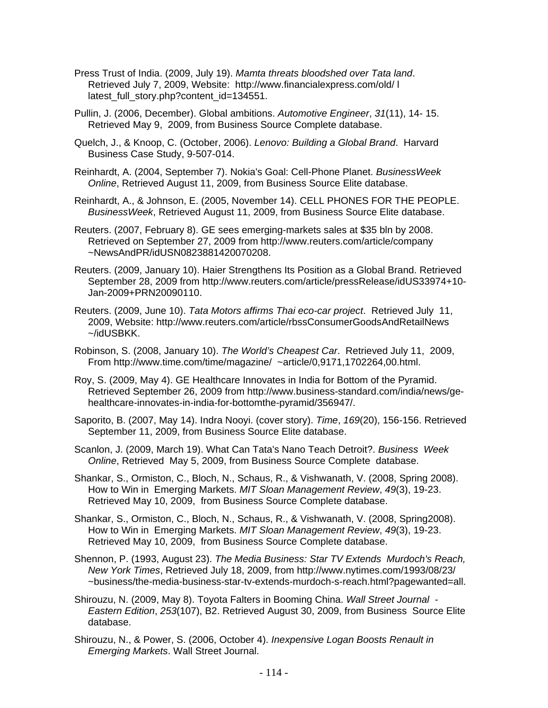- Press Trust of India. (2009, July 19). *Mamta threats bloodshed over Tata land*. Retrieved July 7, 2009, Website: http://www.financialexpress.com/old/ l latest full story.php?content id=134551.
- Pullin, J. (2006, December). Global ambitions. *Automotive Engineer*, *31*(11), 14- 15. Retrieved May 9, 2009, from Business Source Complete database.
- Quelch, J., & Knoop, C. (October, 2006). *Lenovo: Building a Global Brand*. Harvard Business Case Study, 9-507-014.
- Reinhardt, A. (2004, September 7). Nokia's Goal: Cell-Phone Planet. *BusinessWeek Online*, Retrieved August 11, 2009, from Business Source Elite database.
- Reinhardt, A., & Johnson, E. (2005, November 14). CELL PHONES FOR THE PEOPLE. *BusinessWeek*, Retrieved August 11, 2009, from Business Source Elite database.
- Reuters. (2007, February 8). GE sees emerging-markets sales at \$35 bln by 2008. Retrieved on September 27, 2009 from http://www.reuters.com/article/company ~NewsAndPR/idUSN0823881420070208.
- Reuters. (2009, January 10). Haier Strengthens Its Position as a Global Brand. Retrieved September 28, 2009 from http://www.reuters.com/article/pressRelease/idUS33974+10- Jan-2009+PRN20090110.
- Reuters. (2009, June 10). *Tata Motors affirms Thai eco-car project*. Retrieved July 11, 2009, Website: http://www.reuters.com/article/rbssConsumerGoodsAndRetailNews ~/idUSBKK.
- Robinson, S. (2008, January 10). *The World's Cheapest Car*. Retrieved July 11, 2009, From http://www.time.com/time/magazine/ ~article/0,9171,1702264,00.html.
- Roy, S. (2009, May 4). GE Healthcare Innovates in India for Bottom of the Pyramid. Retrieved September 26, 2009 from http://www.business-standard.com/india/news/ge healthcare-innovates-in-india-for-bottomthe-pyramid/356947/.
- Saporito, B. (2007, May 14). Indra Nooyi. (cover story). *Time*, *169*(20), 156-156. Retrieved September 11, 2009, from Business Source Elite database.
- Scanlon, J. (2009, March 19). What Can Tata's Nano Teach Detroit?. *Business Week Online*, Retrieved May 5, 2009, from Business Source Complete database.
- Shankar, S., Ormiston, C., Bloch, N., Schaus, R., & Vishwanath, V. (2008, Spring 2008). How to Win in Emerging Markets. *MIT Sloan Management Review*, *49*(3), 19-23. Retrieved May 10, 2009, from Business Source Complete database.
- Shankar, S., Ormiston, C., Bloch, N., Schaus, R., & Vishwanath, V. (2008, Spring2008). How to Win in Emerging Markets. *MIT Sloan Management Review*, *49*(3), 19-23. Retrieved May 10, 2009, from Business Source Complete database.
- Shennon, P. (1993, August 23). *The Media Business: Star TV Extends Murdoch's Reach, New York Times*, Retrieved July 18, 2009, from http://www.nytimes.com/1993/08/23/ ~business/the-media-business-star-tv-extends-murdoch-s-reach.html?pagewanted=all.
- Shirouzu, N. (2009, May 8). Toyota Falters in Booming China. *Wall Street Journal Eastern Edition*, *253*(107), B2. Retrieved August 30, 2009, from Business Source Elite database.
- Shirouzu, N., & Power, S. (2006, October 4). *Inexpensive Logan Boosts Renault in Emerging Markets*. Wall Street Journal.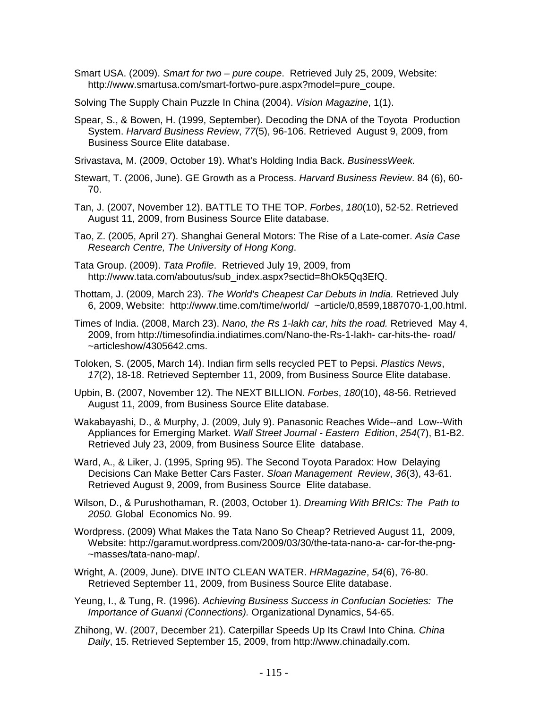- Smart USA. (2009). *Smart for two pure coupe*. Retrieved July 25, 2009, Website: http://www.smartusa.com/smart-fortwo-pure.aspx?model=pure\_coupe.
- Solving The Supply Chain Puzzle In China (2004). *Vision Magazine*, 1(1).
- Spear, S., & Bowen, H. (1999, September). Decoding the DNA of the Toyota Production System. *Harvard Business Review*, *77*(5), 96-106. Retrieved August 9, 2009, from Business Source Elite database.
- Srivastava, M. (2009, October 19). What's Holding India Back. *BusinessWeek.*
- Stewart, T. (2006, June). GE Growth as a Process. *Harvard Business Review*. 84 (6), 60- 70.
- Tan, J. (2007, November 12). BATTLE TO THE TOP. *Forbes*, *180*(10), 52-52. Retrieved August 11, 2009, from Business Source Elite database.
- Tao, Z. (2005, April 27). Shanghai General Motors: The Rise of a Late-comer. *Asia Case Research Centre, The University of Hong Kong*.
- Tata Group. (2009). *Tata Profile*. Retrieved July 19, 2009, from http://www.tata.com/aboutus/sub\_index.aspx?sectid=8hOk5Qq3EfQ.
- Thottam, J. (2009, March 23). *The World's Cheapest Car Debuts in India.* Retrieved July 6, 2009, Website: http://www.time.com/time/world/ ~article/0,8599,1887070-1,00.html.
- Times of India. (2008, March 23). *Nano, the Rs 1-lakh car, hits the road.* Retrieved May 4, 2009, from http://timesofindia.indiatimes.com/Nano-the-Rs-1-lakh- car-hits-the- road/ ~articleshow/4305642.cms.
- Toloken, S. (2005, March 14). Indian firm sells recycled PET to Pepsi. *Plastics News*, *17*(2), 18-18. Retrieved September 11, 2009, from Business Source Elite database.
- Upbin, B. (2007, November 12). The NEXT BILLION. *Forbes*, *180*(10), 48-56. Retrieved August 11, 2009, from Business Source Elite database.
- Wakabayashi, D., & Murphy, J. (2009, July 9). Panasonic Reaches Wide--and Low--With Appliances for Emerging Market. *Wall Street Journal - Eastern Edition*, *254*(7), B1-B2. Retrieved July 23, 2009, from Business Source Elite database.
- Ward, A., & Liker, J. (1995, Spring 95). The Second Toyota Paradox: How Delaying Decisions Can Make Better Cars Faster. *Sloan Management Review*, *36*(3), 43-61. Retrieved August 9, 2009, from Business Source Elite database.
- Wilson, D., & Purushothaman, R. (2003, October 1). *Dreaming With BRICs: The Path to 2050.* Global Economics No. 99.
- Wordpress. (2009) What Makes the Tata Nano So Cheap? Retrieved August 11, 2009, Website: http://garamut.wordpress.com/2009/03/30/the-tata-nano-a- car-for-the-png- ~masses/tata-nano-map/.
- Wright, A. (2009, June). DIVE INTO CLEAN WATER. *HRMagazine*, *54*(6), 76-80. Retrieved September 11, 2009, from Business Source Elite database.
- Yeung, I., & Tung, R. (1996). *Achieving Business Success in Confucian Societies: The Importance of Guanxi (Connections).* Organizational Dynamics, 54-65.
- Zhihong, W. (2007, December 21). Caterpillar Speeds Up Its Crawl Into China. *China Daily*, 15. Retrieved September 15, 2009, from http://www.chinadaily.com.